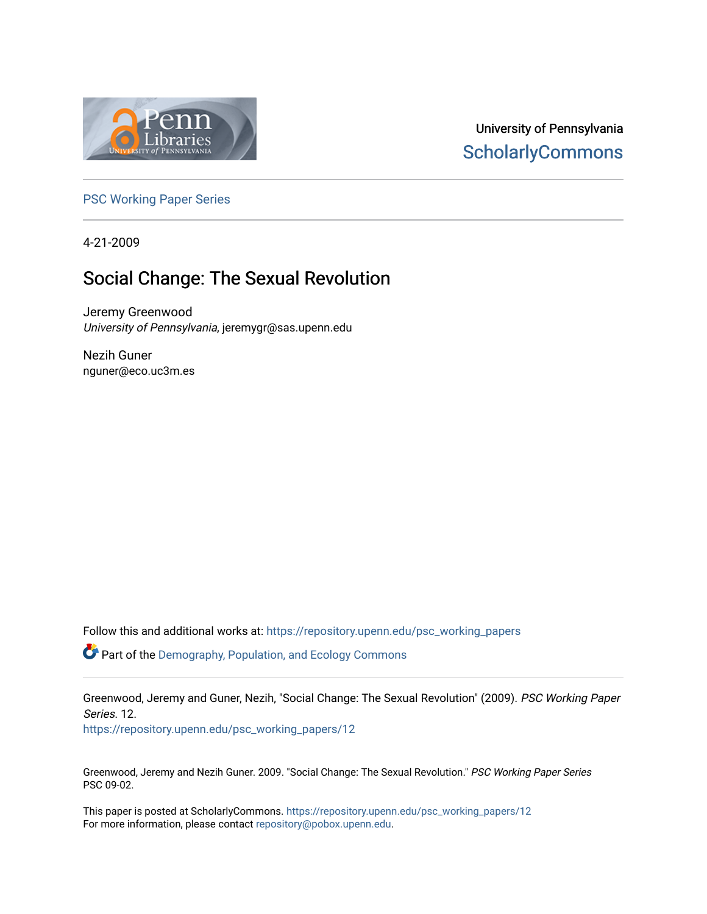

# University of Pennsylvania **ScholarlyCommons**

[PSC Working Paper Series](https://repository.upenn.edu/psc_working_papers) 

4-21-2009

# Social Change: The Sexual Revolution

Jeremy Greenwood University of Pennsylvania, jeremygr@sas.upenn.edu

Nezih Guner nguner@eco.uc3m.es

Follow this and additional works at: [https://repository.upenn.edu/psc\\_working\\_papers](https://repository.upenn.edu/psc_working_papers?utm_source=repository.upenn.edu%2Fpsc_working_papers%2F12&utm_medium=PDF&utm_campaign=PDFCoverPages)

 $\bullet$  Part of the Demography, Population, and Ecology Commons

Greenwood, Jeremy and Guner, Nezih, "Social Change: The Sexual Revolution" (2009). PSC Working Paper Series. 12.

[https://repository.upenn.edu/psc\\_working\\_papers/12](https://repository.upenn.edu/psc_working_papers/12?utm_source=repository.upenn.edu%2Fpsc_working_papers%2F12&utm_medium=PDF&utm_campaign=PDFCoverPages) 

Greenwood, Jeremy and Nezih Guner. 2009. "Social Change: The Sexual Revolution." PSC Working Paper Series PSC 09-02.

This paper is posted at ScholarlyCommons. [https://repository.upenn.edu/psc\\_working\\_papers/12](https://repository.upenn.edu/psc_working_papers/12) For more information, please contact [repository@pobox.upenn.edu.](mailto:repository@pobox.upenn.edu)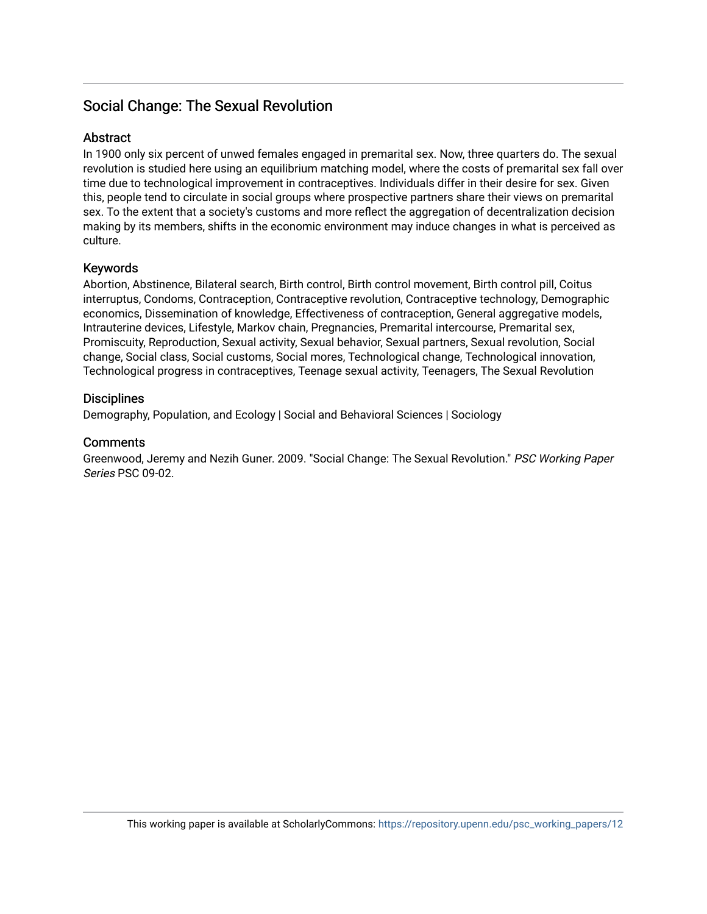### Social Change: The Sexual Revolution

#### Abstract

In 1900 only six percent of unwed females engaged in premarital sex. Now, three quarters do. The sexual revolution is studied here using an equilibrium matching model, where the costs of premarital sex fall over time due to technological improvement in contraceptives. Individuals differ in their desire for sex. Given this, people tend to circulate in social groups where prospective partners share their views on premarital sex. To the extent that a society's customs and more reflect the aggregation of decentralization decision making by its members, shifts in the economic environment may induce changes in what is perceived as culture.

#### Keywords

Abortion, Abstinence, Bilateral search, Birth control, Birth control movement, Birth control pill, Coitus interruptus, Condoms, Contraception, Contraceptive revolution, Contraceptive technology, Demographic economics, Dissemination of knowledge, Effectiveness of contraception, General aggregative models, Intrauterine devices, Lifestyle, Markov chain, Pregnancies, Premarital intercourse, Premarital sex, Promiscuity, Reproduction, Sexual activity, Sexual behavior, Sexual partners, Sexual revolution, Social change, Social class, Social customs, Social mores, Technological change, Technological innovation, Technological progress in contraceptives, Teenage sexual activity, Teenagers, The Sexual Revolution

#### **Disciplines**

Demography, Population, and Ecology | Social and Behavioral Sciences | Sociology

#### **Comments**

Greenwood, Jeremy and Nezih Guner. 2009. "Social Change: The Sexual Revolution." PSC Working Paper Series PSC 09-02.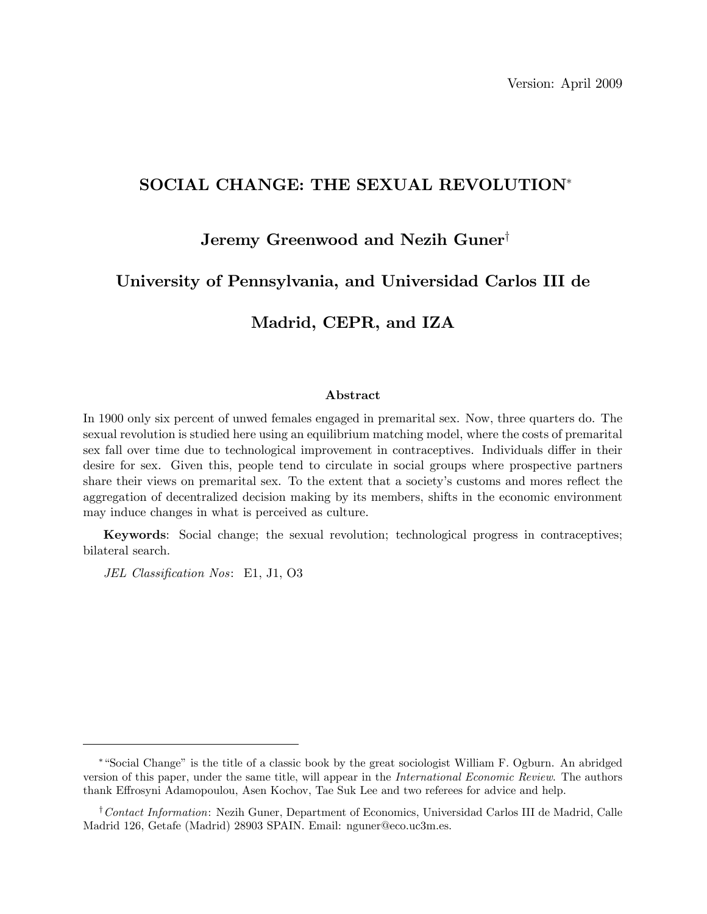### SOCIAL CHANGE: THE SEXUAL REVOLUTION

### Jeremy Greenwood and Nezih Guner<sup>†</sup>

### University of Pennsylvania, and Universidad Carlos III de

### Madrid, CEPR, and IZA

#### Abstract

In 1900 only six percent of unwed females engaged in premarital sex. Now, three quarters do. The sexual revolution is studied here using an equilibrium matching model, where the costs of premarital sex fall over time due to technological improvement in contraceptives. Individuals differ in their desire for sex. Given this, people tend to circulate in social groups where prospective partners share their views on premarital sex. To the extent that a society's customs and mores reflect the aggregation of decentralized decision making by its members, shifts in the economic environment may induce changes in what is perceived as culture.

Keywords: Social change; the sexual revolution; technological progress in contraceptives; bilateral search.

JEL Classification Nos: E1, J1, O3

ìSocial Changeîis the title of a classic book by the great sociologist William F. Ogburn. An abridged version of this paper, under the same title, will appear in the International Economic Review. The authors thank Effrosyni Adamopoulou, Asen Kochov, Tae Suk Lee and two referees for advice and help.

<sup>&</sup>lt;sup>†</sup> Contact Information: Nezih Guner, Department of Economics, Universidad Carlos III de Madrid, Calle Madrid 126, Getafe (Madrid) 28903 SPAIN. Email: nguner@eco.uc3m.es.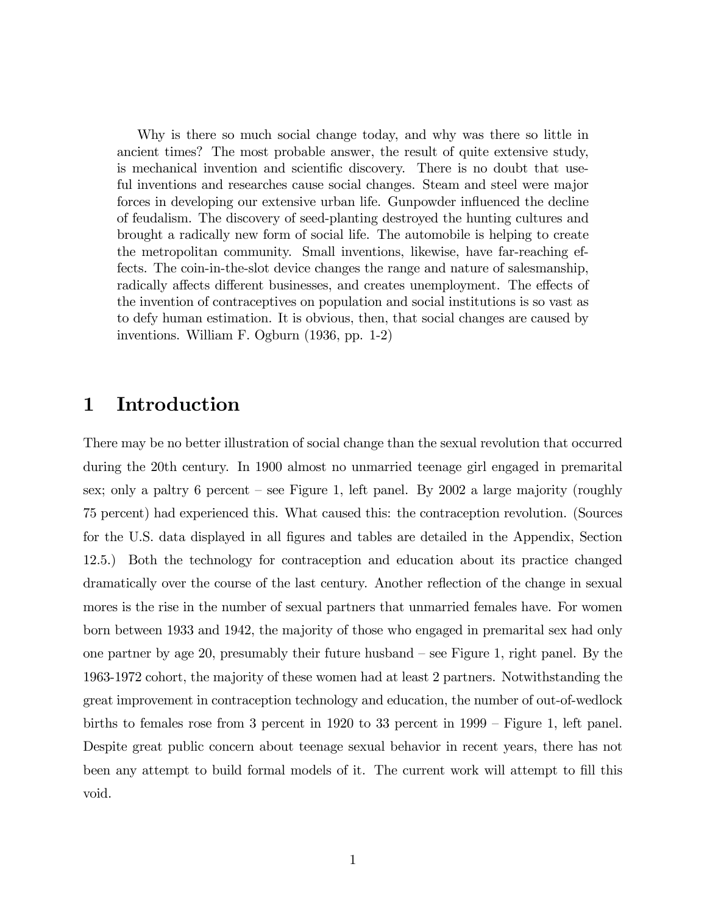Why is there so much social change today, and why was there so little in ancient times? The most probable answer, the result of quite extensive study, is mechanical invention and scientific discovery. There is no doubt that useful inventions and researches cause social changes. Steam and steel were major forces in developing our extensive urban life. Gunpowder influenced the decline of feudalism. The discovery of seed-planting destroyed the hunting cultures and brought a radically new form of social life. The automobile is helping to create the metropolitan community. Small inventions, likewise, have far-reaching effects. The coin-in-the-slot device changes the range and nature of salesmanship, radically affects different businesses, and creates unemployment. The effects of the invention of contraceptives on population and social institutions is so vast as to defy human estimation. It is obvious, then, that social changes are caused by inventions. William F. Ogburn (1936, pp. 1-2)

# 1 Introduction

There may be no better illustration of social change than the sexual revolution that occurred during the 20th century. In 1900 almost no unmarried teenage girl engaged in premarital sex; only a paltry 6 percent – see Figure 1, left panel. By 2002 a large majority (roughly 75 percent) had experienced this. What caused this: the contraception revolution. (Sources for the U.S. data displayed in all figures and tables are detailed in the Appendix, Section 12.5.) Both the technology for contraception and education about its practice changed dramatically over the course of the last century. Another reflection of the change in sexual mores is the rise in the number of sexual partners that unmarried females have. For women born between 1933 and 1942, the majority of those who engaged in premarital sex had only one partner by age 20, presumably their future husband  $\sim$  see Figure 1, right panel. By the 1963-1972 cohort, the majority of these women had at least 2 partners. Notwithstanding the great improvement in contraception technology and education, the number of out-of-wedlock births to females rose from 3 percent in  $1920$  to 33 percent in  $1999 -$  Figure 1, left panel. Despite great public concern about teenage sexual behavior in recent years, there has not been any attempt to build formal models of it. The current work will attempt to fill this void.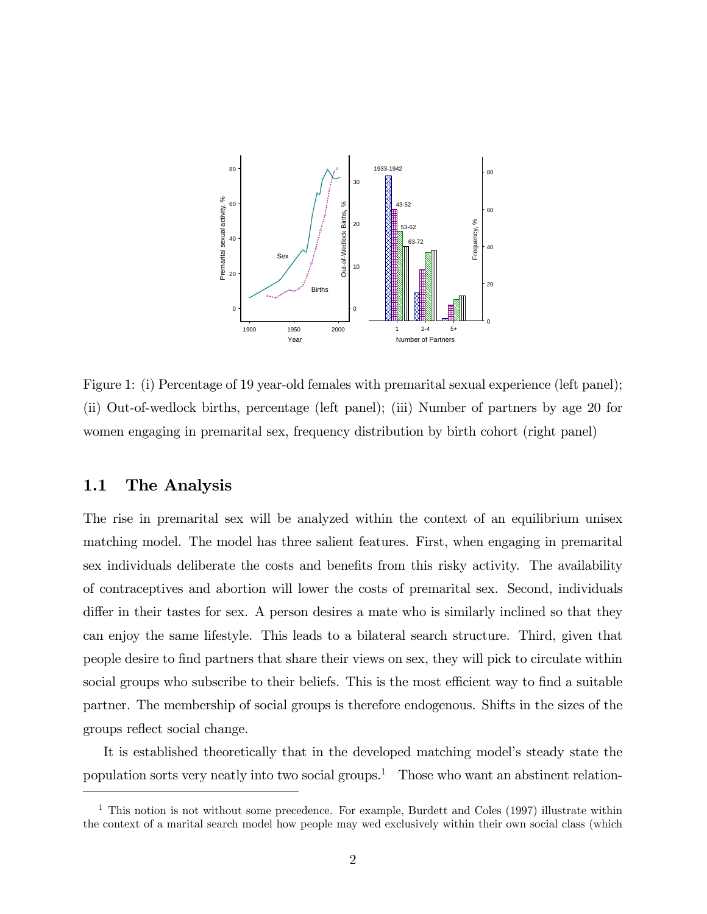

Figure 1: (i) Percentage of 19 year-old females with premarital sexual experience (left panel); (ii) Out-of-wedlock births, percentage (left panel); (iii) Number of partners by age 20 for women engaging in premarital sex, frequency distribution by birth cohort (right panel)

#### 1.1 The Analysis

The rise in premarital sex will be analyzed within the context of an equilibrium unisex matching model. The model has three salient features. First, when engaging in premarital sex individuals deliberate the costs and benefits from this risky activity. The availability of contraceptives and abortion will lower the costs of premarital sex. Second, individuals differ in their tastes for sex. A person desires a mate who is similarly inclined so that they can enjoy the same lifestyle. This leads to a bilateral search structure. Third, given that people desire to Önd partners that share their views on sex, they will pick to circulate within social groups who subscribe to their beliefs. This is the most efficient way to find a suitable partner. The membership of social groups is therefore endogenous. Shifts in the sizes of the groups reflect social change.

It is established theoretically that in the developed matching model's steady state the population sorts very neatly into two social groups.<sup>1</sup> Those who want an abstinent relation-

 $<sup>1</sup>$  This notion is not without some precedence. For example, Burdett and Coles (1997) illustrate within</sup> the context of a marital search model how people may wed exclusively within their own social class (which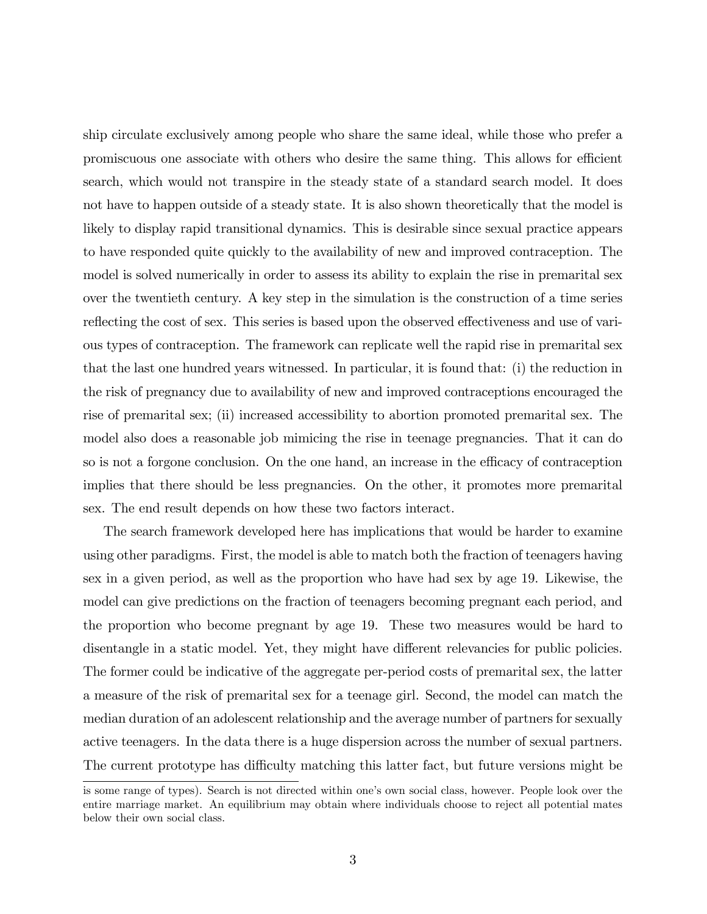ship circulate exclusively among people who share the same ideal, while those who prefer a promiscuous one associate with others who desire the same thing. This allows for efficient search, which would not transpire in the steady state of a standard search model. It does not have to happen outside of a steady state. It is also shown theoretically that the model is likely to display rapid transitional dynamics. This is desirable since sexual practice appears to have responded quite quickly to the availability of new and improved contraception. The model is solved numerically in order to assess its ability to explain the rise in premarital sex over the twentieth century. A key step in the simulation is the construction of a time series reflecting the cost of sex. This series is based upon the observed effectiveness and use of various types of contraception. The framework can replicate well the rapid rise in premarital sex that the last one hundred years witnessed. In particular, it is found that: (i) the reduction in the risk of pregnancy due to availability of new and improved contraceptions encouraged the rise of premarital sex; (ii) increased accessibility to abortion promoted premarital sex. The model also does a reasonable job mimicing the rise in teenage pregnancies. That it can do so is not a forgone conclusion. On the one hand, an increase in the efficacy of contraception implies that there should be less pregnancies. On the other, it promotes more premarital sex. The end result depends on how these two factors interact.

The search framework developed here has implications that would be harder to examine using other paradigms. First, the model is able to match both the fraction of teenagers having sex in a given period, as well as the proportion who have had sex by age 19. Likewise, the model can give predictions on the fraction of teenagers becoming pregnant each period, and the proportion who become pregnant by age 19. These two measures would be hard to disentangle in a static model. Yet, they might have different relevancies for public policies. The former could be indicative of the aggregate per-period costs of premarital sex, the latter a measure of the risk of premarital sex for a teenage girl. Second, the model can match the median duration of an adolescent relationship and the average number of partners for sexually active teenagers. In the data there is a huge dispersion across the number of sexual partners. The current prototype has difficulty matching this latter fact, but future versions might be

is some range of types). Search is not directed within one's own social class, however. People look over the entire marriage market. An equilibrium may obtain where individuals choose to reject all potential mates below their own social class.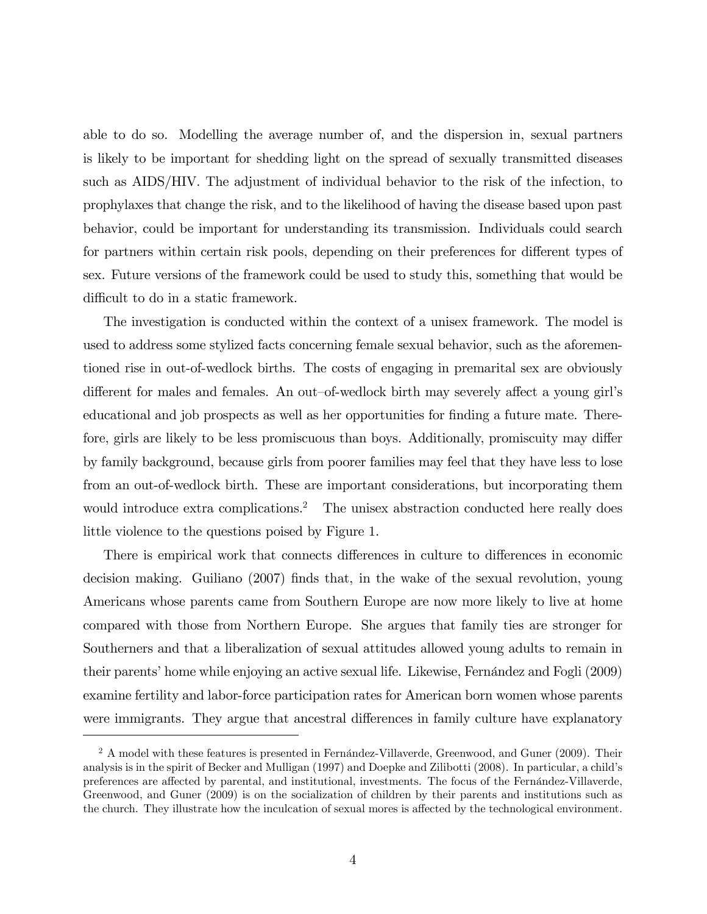able to do so. Modelling the average number of, and the dispersion in, sexual partners is likely to be important for shedding light on the spread of sexually transmitted diseases such as AIDS/HIV. The adjustment of individual behavior to the risk of the infection, to prophylaxes that change the risk, and to the likelihood of having the disease based upon past behavior, could be important for understanding its transmission. Individuals could search for partners within certain risk pools, depending on their preferences for different types of sex. Future versions of the framework could be used to study this, something that would be difficult to do in a static framework.

The investigation is conducted within the context of a unisex framework. The model is used to address some stylized facts concerning female sexual behavior, such as the aforementioned rise in out-of-wedlock births. The costs of engaging in premarital sex are obviously different for males and females. An out-of-wedlock birth may severely affect a young girl's educational and job prospects as well as her opportunities for finding a future mate. Therefore, girls are likely to be less promiscuous than boys. Additionally, promiscuity may differ by family background, because girls from poorer families may feel that they have less to lose from an out-of-wedlock birth. These are important considerations, but incorporating them would introduce extra complications.<sup>2</sup> The unisex abstraction conducted here really does little violence to the questions poised by Figure 1.

There is empirical work that connects differences in culture to differences in economic decision making. Guiliano (2007) Önds that, in the wake of the sexual revolution, young Americans whose parents came from Southern Europe are now more likely to live at home compared with those from Northern Europe. She argues that family ties are stronger for Southerners and that a liberalization of sexual attitudes allowed young adults to remain in their parents' home while enjoying an active sexual life. Likewise, Fernandez and Fogli (2009) examine fertility and labor-force participation rates for American born women whose parents were immigrants. They argue that ancestral differences in family culture have explanatory

 $2$  A model with these features is presented in Fernández-Villaverde, Greenwood, and Guner (2009). Their analysis is in the spirit of Becker and Mulligan (1997) and Doepke and Zilibotti (2008). In particular, a childís preferences are affected by parental, and institutional, investments. The focus of the Fernández-Villaverde, Greenwood, and Guner (2009) is on the socialization of children by their parents and institutions such as the church. They illustrate how the inculcation of sexual mores is affected by the technological environment.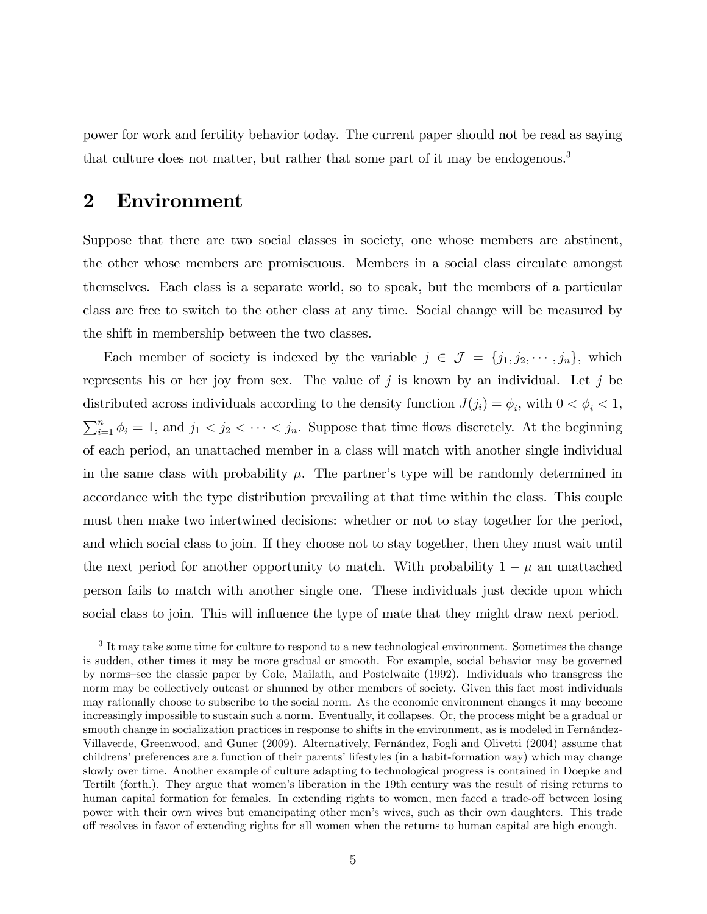power for work and fertility behavior today. The current paper should not be read as saying that culture does not matter, but rather that some part of it may be endogenous.<sup>3</sup>

### 2 Environment

Suppose that there are two social classes in society, one whose members are abstinent, the other whose members are promiscuous. Members in a social class circulate amongst themselves. Each class is a separate world, so to speak, but the members of a particular class are free to switch to the other class at any time. Social change will be measured by the shift in membership between the two classes.

Each member of society is indexed by the variable  $j \in \mathcal{J} = \{j_1, j_2, \dots, j_n\}$ , which represents his or her joy from sex. The value of j is known by an individual. Let j be distributed across individuals according to the density function  $J(j_i) = \phi_i$ , with  $0 < \phi_i < 1$ ,  $\sum_{i=1}^{n} \phi_i = 1$ , and  $j_1 < j_2 < \cdots < j_n$ . Suppose that time flows discretely. At the beginning of each period, an unattached member in a class will match with another single individual in the same class with probability  $\mu$ . The partner's type will be randomly determined in accordance with the type distribution prevailing at that time within the class. This couple must then make two intertwined decisions: whether or not to stay together for the period, and which social class to join. If they choose not to stay together, then they must wait until the next period for another opportunity to match. With probability  $1 - \mu$  an unattached person fails to match with another single one. These individuals just decide upon which social class to join. This will influence the type of mate that they might draw next period.

<sup>&</sup>lt;sup>3</sup> It may take some time for culture to respond to a new technological environment. Sometimes the change is sudden, other times it may be more gradual or smooth. For example, social behavior may be governed by norms-see the classic paper by Cole, Mailath, and Postelwaite (1992). Individuals who transgress the norm may be collectively outcast or shunned by other members of society. Given this fact most individuals may rationally choose to subscribe to the social norm. As the economic environment changes it may become increasingly impossible to sustain such a norm. Eventually, it collapses. Or, the process might be a gradual or smooth change in socialization practices in response to shifts in the environment, as is modeled in Fernandez-Villaverde, Greenwood, and Guner (2009). Alternatively, Fernández, Fogli and Olivetti (2004) assume that childrens' preferences are a function of their parents' lifestyles (in a habit-formation way) which may change slowly over time. Another example of culture adapting to technological progress is contained in Doepke and Tertilt (forth.). They argue that women's liberation in the 19th century was the result of rising returns to human capital formation for females. In extending rights to women, men faced a trade-off between losing power with their own wives but emancipating other menís wives, such as their own daughters. This trade off resolves in favor of extending rights for all women when the returns to human capital are high enough.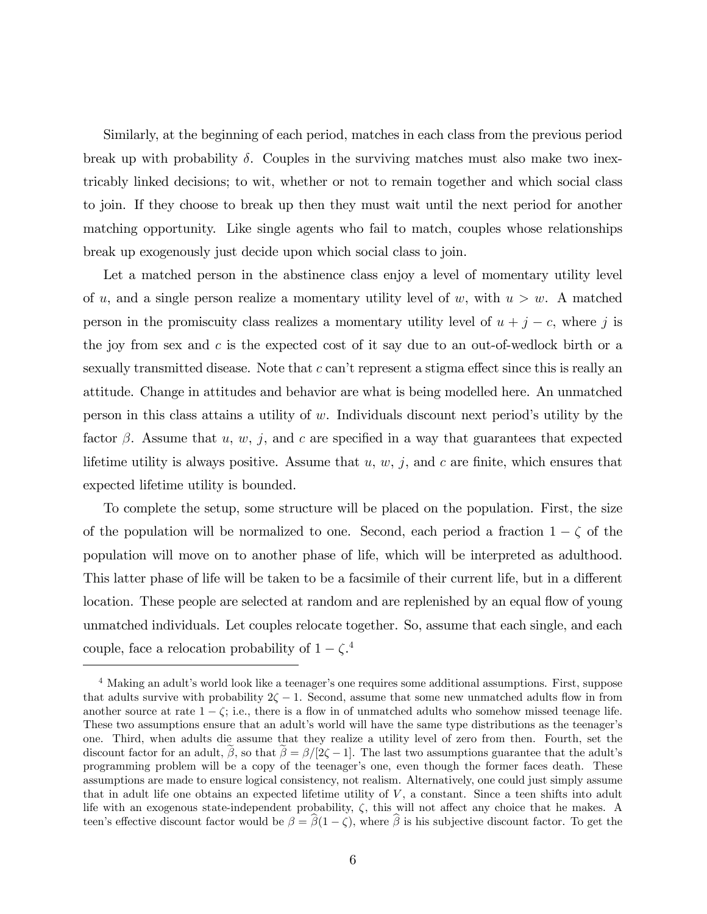Similarly, at the beginning of each period, matches in each class from the previous period break up with probability  $\delta$ . Couples in the surviving matches must also make two inextricably linked decisions; to wit, whether or not to remain together and which social class to join. If they choose to break up then they must wait until the next period for another matching opportunity. Like single agents who fail to match, couples whose relationships break up exogenously just decide upon which social class to join.

Let a matched person in the abstinence class enjoy a level of momentary utility level of u, and a single person realize a momentary utility level of w, with  $u > w$ . A matched person in the promiscuity class realizes a momentary utility level of  $u + j - c$ , where j is the joy from sex and  $c$  is the expected cost of it say due to an out-of-wedlock birth or a sexually transmitted disease. Note that  $c$  can't represent a stigma effect since this is really an attitude. Change in attitudes and behavior are what is being modelled here. An unmatched person in this class attains a utility of  $w$ . Individuals discount next period's utility by the factor  $\beta$ . Assume that u, w, j, and c are specified in a way that guarantees that expected lifetime utility is always positive. Assume that  $u, w, j$ , and  $c$  are finite, which ensures that expected lifetime utility is bounded.

To complete the setup, some structure will be placed on the population. First, the size of the population will be normalized to one. Second, each period a fraction  $1 - \zeta$  of the population will move on to another phase of life, which will be interpreted as adulthood. This latter phase of life will be taken to be a facsimile of their current life, but in a different location. These people are selected at random and are replenished by an equal flow of young unmatched individuals. Let couples relocate together. So, assume that each single, and each couple, face a relocation probability of  $1 - \zeta$ <sup>4</sup>

 $4$  Making an adult's world look like a teenager's one requires some additional assumptions. First, suppose that adults survive with probability  $2\zeta - 1$ . Second, assume that some new unmatched adults flow in from another source at rate  $1 - \zeta$ ; i.e., there is a flow in of unmatched adults who somehow missed teenage life. These two assumptions ensure that an adult's world will have the same type distributions as the teenager's one. Third, when adults die assume that they realize a utility level of zero from then. Fourth, set the discount factor for an adult,  $\beta$ , so that  $\beta = \beta/[2\zeta - 1]$ . The last two assumptions guarantee that the adult's programming problem will be a copy of the teenager's one, even though the former faces death. These assumptions are made to ensure logical consistency, not realism. Alternatively, one could just simply assume that in adult life one obtains an expected lifetime utility of  $V$ , a constant. Since a teen shifts into adult life with an exogenous state-independent probability,  $\zeta$ , this will not affect any choice that he makes. A teen's effective discount factor would be  $\beta = \hat{\beta}(1-\zeta)$ , where  $\hat{\beta}$  is his subjective discount factor. To get the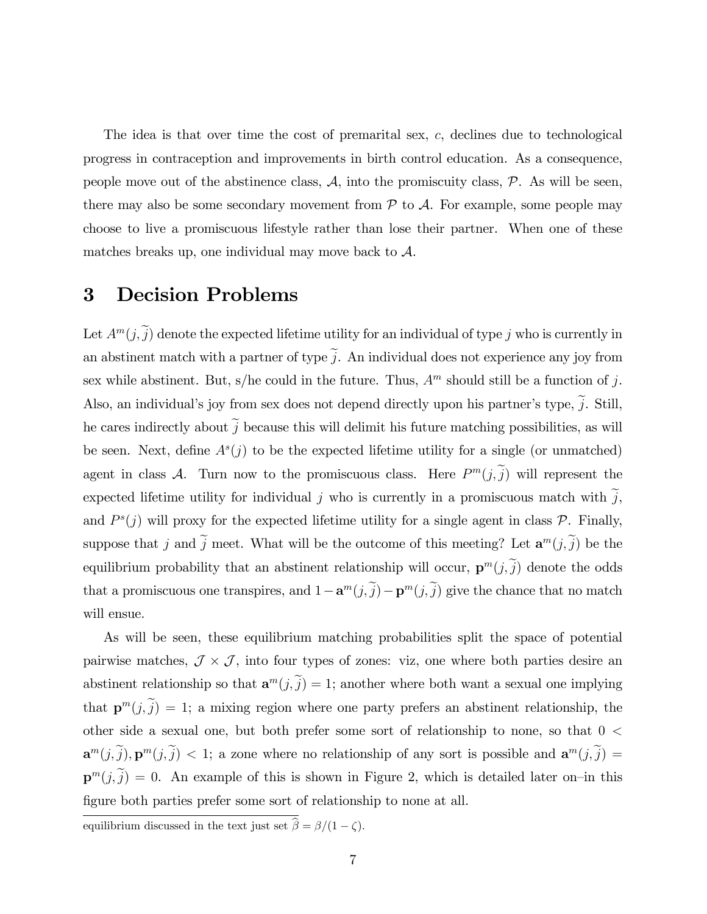The idea is that over time the cost of premarital sex, c, declines due to technological progress in contraception and improvements in birth control education. As a consequence, people move out of the abstinence class,  $A$ , into the promiscuity class,  $P$ . As will be seen, there may also be some secondary movement from  $P$  to  $A$ . For example, some people may choose to live a promiscuous lifestyle rather than lose their partner. When one of these matches breaks up, one individual may move back to  $A$ .

# 3 Decision Problems

Let  $A^m(j, \tilde{j})$  denote the expected lifetime utility for an individual of type j who is currently in an abstinent match with a partner of type  $\tilde{j}$ . An individual does not experience any joy from sex while abstinent. But, s/he could in the future. Thus,  $A<sup>m</sup>$  should still be a function of j. Also, an individual's joy from sex does not depend directly upon his partner's type,  $\tilde{j}$ . Still, he cares indirectly about  $\tilde{j}$  because this will delimit his future matching possibilities, as will be seen. Next, define  $A<sup>s</sup>(j)$  to be the expected lifetime utility for a single (or unmatched) agent in class A. Turn now to the promiscuous class. Here  $P^m(j, j)$  will represent the expected lifetime utility for individual j who is currently in a promiscuous match with  $\tilde{j}$ , and  $P^{s}(j)$  will proxy for the expected lifetime utility for a single agent in class  $P$ . Finally, suppose that j and j meet. What will be the outcome of this meeting? Let  $\mathbf{a}^m(j, \tilde{j})$  be the equilibrium probability that an abstinent relationship will occur,  $\mathbf{p}^{m}(j,\tilde{j})$  denote the odds that a promiscuous one transpires, and  $1 - \mathbf{a}^m(j, \tilde{j}) - \mathbf{p}^m(j, \tilde{j})$  give the chance that no match will ensue.

As will be seen, these equilibrium matching probabilities split the space of potential pairwise matches,  $\mathcal{J} \times \mathcal{J}$ , into four types of zones: viz, one where both parties desire an abstinent relationship so that  $\mathbf{a}^m(j, \tilde{j}) = 1$ ; another where both want a sexual one implying that  $\mathbf{p}^m(j,j) = 1$ ; a mixing region where one party prefers an abstinent relationship, the other side a sexual one, but both prefer some sort of relationship to none, so that  $0 \le$  $\mathbf{a}^m(j, \tilde{j}), \mathbf{p}^m(j, \tilde{j}) < 1$ ; a zone where no relationship of any sort is possible and  $\mathbf{a}^m(j, \tilde{j}) =$  $p^{m}(j,\tilde{j}) = 0$ . An example of this is shown in Figure 2, which is detailed later on-in this figure both parties prefer some sort of relationship to none at all.

equilibrium discussed in the text just set  $\widehat{\beta} = \beta/(1-\zeta)$ .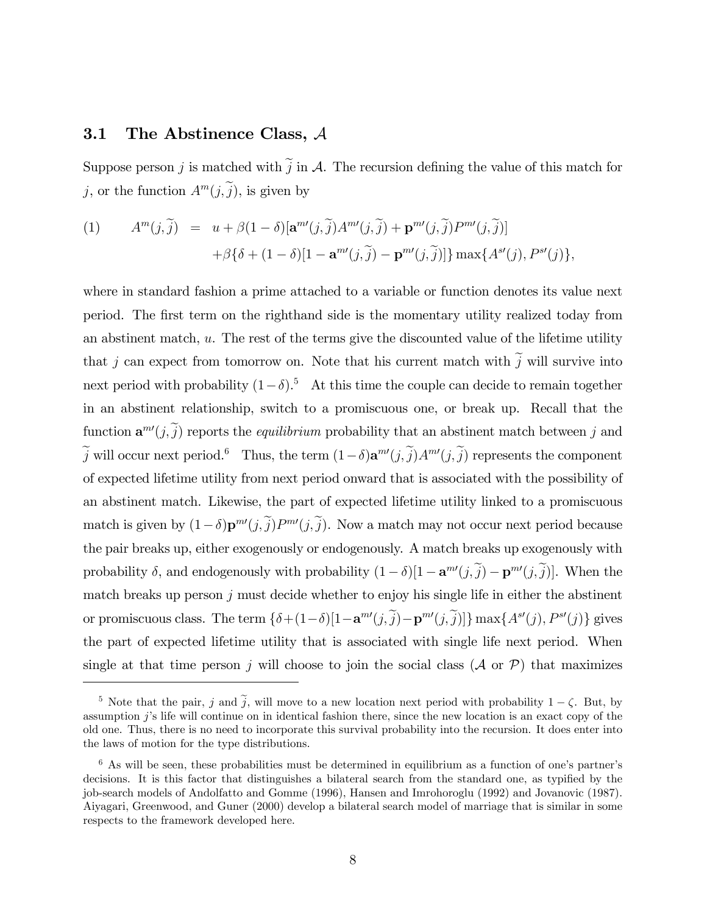### 3.1 The Abstinence Class, A

Suppose person j is matched with  $\tilde{j}$  in A. The recursion defining the value of this match for j, or the function  $A^m(j, j)$ , is given by

(1) 
$$
A^{m}(j, \tilde{j}) = u + \beta(1 - \delta)[\mathbf{a}^{m}(j, \tilde{j})A^{m}(j, \tilde{j}) + \mathbf{p}^{m}(j, \tilde{j})P^{m}(j, \tilde{j})] + \beta\{\delta + (1 - \delta)[1 - \mathbf{a}^{m}(j, \tilde{j}) - \mathbf{p}^{m}(j, \tilde{j})]\}\max\{A^{s}(j), P^{s}(j)\},
$$

where in standard fashion a prime attached to a variable or function denotes its value next period. The Örst term on the righthand side is the momentary utility realized today from an abstinent match,  $u$ . The rest of the terms give the discounted value of the lifetime utility that j can expect from tomorrow on. Note that his current match with  $\tilde{j}$  will survive into next period with probability  $(1-\delta)$ .<sup>5</sup> At this time the couple can decide to remain together in an abstinent relationship, switch to a promiscuous one, or break up. Recall that the function  $\mathbf{a}^{m'}(j,\tilde{j})$  reports the *equilibrium* probability that an abstinent match between j and j will occur next period.<sup>6</sup> Thus, the term  $(1-\delta)\mathbf{a}^{m'}(j,\tilde{j})A^{m'}(j,\tilde{j})$  represents the component of expected lifetime utility from next period onward that is associated with the possibility of an abstinent match. Likewise, the part of expected lifetime utility linked to a promiscuous match is given by  $(1-\delta)\mathbf{p}^{m'}(j,\tilde{j})P^{m'}(j,\tilde{j})$ . Now a match may not occur next period because the pair breaks up, either exogenously or endogenously. A match breaks up exogenously with probability  $\delta$ , and endogenously with probability  $(1 - \delta)[1 - \mathbf{a}^{m'}(j, j) - \mathbf{p}^{m'}(j, j)]$ . When the match breaks up person  $j$  must decide whether to enjoy his single life in either the abstinent or promiscuous class. The term  $\{\delta+(1-\delta)[1-\mathbf{a}^{m'}(j,j)-\mathbf{p}^{m'}(j,j)]\}$  max $\{A^{s'}(j), P^{s'}(j)\}$  gives the part of expected lifetime utility that is associated with single life next period. When single at that time person j will choose to join the social class  $(\mathcal{A}$  or  $\mathcal{P})$  that maximizes

<sup>&</sup>lt;sup>5</sup> Note that the pair, j and  $\tilde{j}$ , will move to a new location next period with probability  $1 - \zeta$ . But, by assumption  $j$ 's life will continue on in identical fashion there, since the new location is an exact copy of the old one. Thus, there is no need to incorporate this survival probability into the recursion. It does enter into the laws of motion for the type distributions.

 $6$  As will be seen, these probabilities must be determined in equilibrium as a function of one's partner's decisions. It is this factor that distinguishes a bilateral search from the standard one, as typified by the job-search models of Andolfatto and Gomme (1996), Hansen and Imrohoroglu (1992) and Jovanovic (1987). Aiyagari, Greenwood, and Guner (2000) develop a bilateral search model of marriage that is similar in some respects to the framework developed here.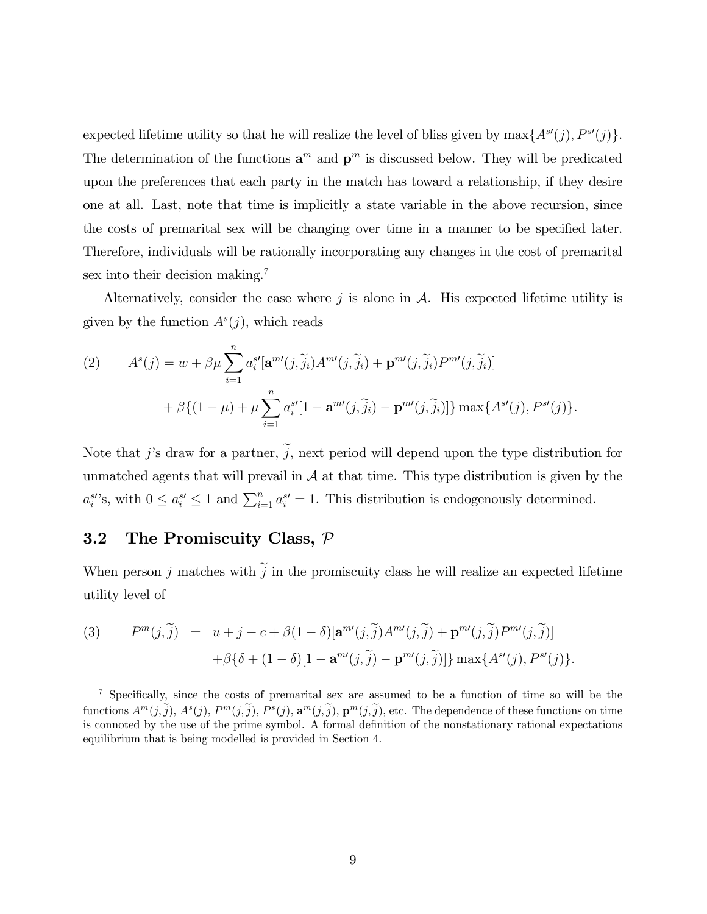expected lifetime utility so that he will realize the level of bliss given by  $\max\{A^{s\prime}(j), P^{s\prime}(j)\}.$ The determination of the functions  $\mathbf{a}^m$  and  $\mathbf{p}^m$  is discussed below. They will be predicated upon the preferences that each party in the match has toward a relationship, if they desire one at all. Last, note that time is implicitly a state variable in the above recursion, since the costs of premarital sex will be changing over time in a manner to be specified later. Therefore, individuals will be rationally incorporating any changes in the cost of premarital sex into their decision making.<sup>7</sup>

Alternatively, consider the case where  $j$  is alone in  $A$ . His expected lifetime utility is given by the function  $A<sup>s</sup>(j)$ , which reads

(2) 
$$
A^{s}(j) = w + \beta \mu \sum_{i=1}^{n} a_{i}^{s'} [\mathbf{a}^{m'}(j, \widetilde{j}_{i}) A^{m'}(j, \widetilde{j}_{i}) + \mathbf{p}^{m'}(j, \widetilde{j}_{i}) P^{m'}(j, \widetilde{j}_{i})]
$$

$$
+ \beta \{ (1 - \mu) + \mu \sum_{i=1}^{n} a_{i}^{s'} [1 - \mathbf{a}^{m'}(j, \widetilde{j}_{i}) - \mathbf{p}^{m'}(j, \widetilde{j}_{i})] \} \max \{ A^{s'}(j), P^{s'}(j) \}.
$$

Note that j's draw for a partner,  $\tilde{j}$ , next period will depend upon the type distribution for unmatched agents that will prevail in  $A$  at that time. This type distribution is given by the  $a_i^{s'}$ 's, with  $0 \le a_i^{s'} \le 1$  and  $\sum_{i=1}^n a_i^{s'} = 1$ . This distribution is endogenously determined.

#### 3.2 The Promiscuity Class, P

When person j matches with  $\tilde{j}$  in the promiscuity class he will realize an expected lifetime utility level of

(3) 
$$
P^{m}(j, \tilde{j}) = u + j - c + \beta(1 - \delta)[\mathbf{a}^{m}(j, \tilde{j})A^{m}(j, \tilde{j}) + \mathbf{p}^{m}(j, \tilde{j})P^{m}(j, \tilde{j})] + \beta\{\delta + (1 - \delta)[1 - \mathbf{a}^{m}(j, \tilde{j}) - \mathbf{p}^{m}(j, \tilde{j})]\}\max\{A^{s}(j), P^{s}(j)\}.
$$

 $7$  Specifically, since the costs of premarital sex are assumed to be a function of time so will be the functions  $A^m(j, \tilde{j}), A^s(j), P^m(j, \tilde{j}), P^s(j), \mathbf{a}^m(j, \tilde{j}), \mathbf{p}^m(j, \tilde{j}),$  etc. The dependence of these functions on time is connoted by the use of the prime symbol. A formal definition of the nonstationary rational expectations equilibrium that is being modelled is provided in Section 4.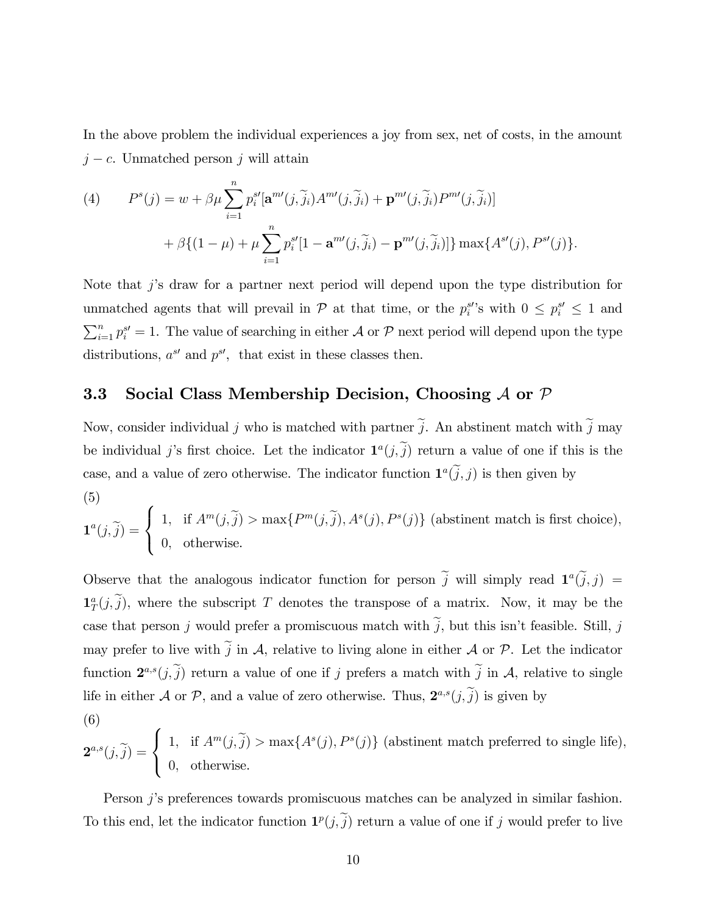In the above problem the individual experiences a joy from sex, net of costs, in the amount  $j - c$ . Unmatched person j will attain

(4) 
$$
P^{s}(j) = w + \beta \mu \sum_{i=1}^{n} p_{i}^{s'} [\mathbf{a}^{m'}(j, \widetilde{j}_{i}) A^{m'}(j, \widetilde{j}_{i}) + \mathbf{p}^{m'}(j, \widetilde{j}_{i}) P^{m'}(j, \widetilde{j}_{i})]
$$

$$
+ \beta \{ (1 - \mu) + \mu \sum_{i=1}^{n} p_{i}^{s'} [1 - \mathbf{a}^{m'}(j, \widetilde{j}_{i}) - \mathbf{p}^{m'}(j, \widetilde{j}_{i})] \} \max \{ A^{s'}(j), P^{s'}(j) \}.
$$

Note that  $j$ 's draw for a partner next period will depend upon the type distribution for unmatched agents that will prevail in  $P$  at that time, or the  $p_i^{s'}$ 's with  $0 \leq p_i^{s'} \leq 1$  and  $\sum_{i=1}^{n} p_i^{s'} = 1$ . The value of searching in either  $\mathcal A$  or  $\mathcal P$  next period will depend upon the type distributions,  $a^{s'}$  and  $p^{s'}$ , that exist in these classes then.

### 3.3 Social Class Membership Decision, Choosing  $A$  or  $P$

Now, consider individual j who is matched with partner  $\tilde{j}$ . An abstinent match with  $\tilde{j}$  may be individual j's first choice. Let the indicator  $\mathbf{1}^a(j, \tilde{j})$  return a value of one if this is the case, and a value of zero otherwise. The indicator function  $\mathbf{1}^a(j, j)$  is then given by (5)

$$
\mathbf{1}^{a}(j,\tilde{j}) = \begin{cases} 1, & \text{if } A^{m}(j,\tilde{j}) > \max\{P^{m}(j,\tilde{j}), A^{s}(j), P^{s}(j)\} \text{ (abstinent match is first choice)}, \\ 0, & \text{otherwise.} \end{cases}
$$

Observe that the analogous indicator function for person  $\tilde{j}$  will simply read  $\mathbf{1}^a(\tilde{j},j)$  =  $\mathbf{1}_T^a(j, \tilde{j})$ , where the subscript T denotes the transpose of a matrix. Now, it may be the case that person j would prefer a promiscuous match with  $\tilde{j}$ , but this isn't feasible. Still, j may prefer to live with  $\tilde{j}$  in A, relative to living alone in either A or P. Let the indicator function  $2^{a,s}(j,\tilde{j})$  return a value of one if j prefers a match with  $\tilde{j}$  in A, relative to single life in either  $\mathcal A$  or  $\mathcal P$ , and a value of zero otherwise. Thus,  $2^{a,s}(j,\tilde{j})$  is given by (6)

$$
\mathbf{2}^{a,s}(j,\widetilde{j}) = \begin{cases} 1, & \text{if } A^m(j,\widetilde{j}) > \max\{A^s(j), P^s(j)\} \text{ (abstract match preferred to single life)}, \\ 0, & \text{otherwise.} \end{cases}
$$

Person j's preferences towards promiscuous matches can be analyzed in similar fashion. To this end, let the indicator function  $\mathbf{1}^p(j, \tilde{j})$  return a value of one if j would prefer to live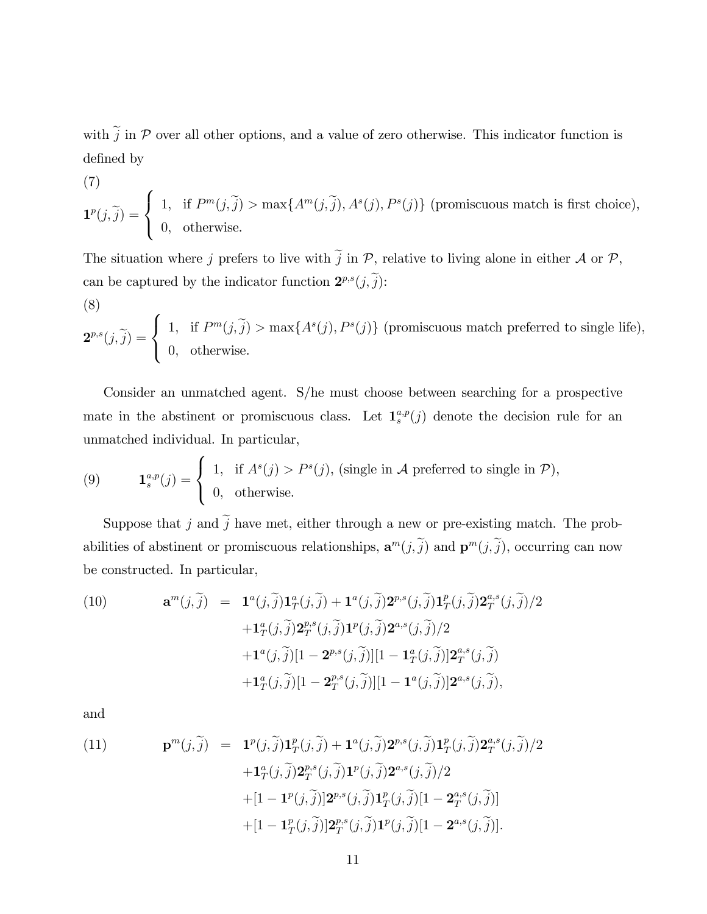with  $\tilde{j}$  in P over all other options, and a value of zero otherwise. This indicator function is defined by

(7)  
\n
$$
\mathbf{1}^{p}(j,\tilde{j}) = \begin{cases}\n1, & \text{if } P^{m}(j,\tilde{j}) > \max\{A^{m}(j,\tilde{j}), A^{s}(j), P^{s}(j)\} \text{ (promiscuous match is first choice)},\\ \n0, & \text{otherwise.}\n\end{cases}
$$

The situation where j prefers to live with  $\tilde{j}$  in  $P$ , relative to living alone in either  $\mathcal A$  or  $\mathcal P$ , can be captured by the indicator function  $\mathbf{2}^{p,s}(j,\tilde{j})$ :

(8)  
\n
$$
\mathbf{2}^{p,s}(j,\tilde{j}) = \begin{cases}\n1, & \text{if } P^m(j,\tilde{j}) > \max\{A^s(j), P^s(j)\} \text{ (promiscuous match preferred to single life)},\\ \n0, & \text{otherwise.}\n\end{cases}
$$

Consider an unmatched agent. S/he must choose between searching for a prospective mate in the abstinent or promiscuous class. Let  $\mathbf{1}_{s}^{a,p}(j)$  denote the decision rule for an unmatched individual. In particular,

(9) 
$$
\mathbf{1}_{s}^{a,p}(j) = \begin{cases} 1, & \text{if } A^{s}(j) > P^{s}(j), \text{ (single in } \mathcal{A} \text{ preferred to single in } \mathcal{P}\text{)},\\ 0, & \text{otherwise.} \end{cases}
$$

Suppose that j and  $\tilde{j}$  have met, either through a new or pre-existing match. The probabilities of abstinent or promiscuous relationships,  $\mathbf{a}^m(j,\tilde{j})$  and  $\mathbf{p}^m(j,\tilde{j})$ , occurring can now be constructed. In particular,

(10) 
$$
\mathbf{a}^{m}(j,\tilde{j}) = \mathbf{1}^{a}(j,\tilde{j})\mathbf{1}^{a}_{T}(j,\tilde{j}) + \mathbf{1}^{a}(j,\tilde{j})\mathbf{2}^{p,s}(j,\tilde{j})\mathbf{1}^{p}_{T}(j,\tilde{j})\mathbf{2}^{a,s}_{T}(j,\tilde{j})/2 + \mathbf{1}^{a}_{T}(j,\tilde{j})\mathbf{2}^{p,s}_{T}(j,\tilde{j})\mathbf{1}^{p}(j,\tilde{j})\mathbf{2}^{a,s}(j,\tilde{j})/2 + \mathbf{1}^{a}(j,\tilde{j})[1 - \mathbf{2}^{p,s}(j,\tilde{j})][1 - \mathbf{1}^{a}_{T}(j,\tilde{j})]\mathbf{2}^{a,s}_{T}(j,\tilde{j}) + \mathbf{1}^{a}_{T}(j,\tilde{j})[1 - \mathbf{2}^{p,s}_{T}(j,\tilde{j})][1 - \mathbf{1}^{a}(j,\tilde{j})]\mathbf{2}^{a,s}(j,\tilde{j}),
$$

and

(11) 
$$
\mathbf{p}^{m}(j,\tilde{j}) = \mathbf{1}^{p}(j,\tilde{j})\mathbf{1}^{p}_{T}(j,\tilde{j}) + \mathbf{1}^{a}(j,\tilde{j})\mathbf{2}^{p,s}(j,\tilde{j})\mathbf{1}^{p}_{T}(j,\tilde{j})\mathbf{2}^{a,s}_{T}(j,\tilde{j})/2 + \mathbf{1}^{a}_{T}(j,\tilde{j})\mathbf{2}^{p,s}_{T}(j,\tilde{j})\mathbf{1}^{p}(j,\tilde{j})\mathbf{2}^{a,s}(j,\tilde{j})/2 + [1 - \mathbf{1}^{p}(j,\tilde{j})]\mathbf{2}^{p,s}(j,\tilde{j})\mathbf{1}^{p}_{T}(j,\tilde{j})[1 - \mathbf{2}^{a,s}_{T}(j,\tilde{j})] + [1 - \mathbf{1}^{p}_{T}(j,\tilde{j})]\mathbf{2}^{p,s}_{T}(j,\tilde{j})\mathbf{1}^{p}(j,\tilde{j})[1 - \mathbf{2}^{a,s}(j,\tilde{j})].
$$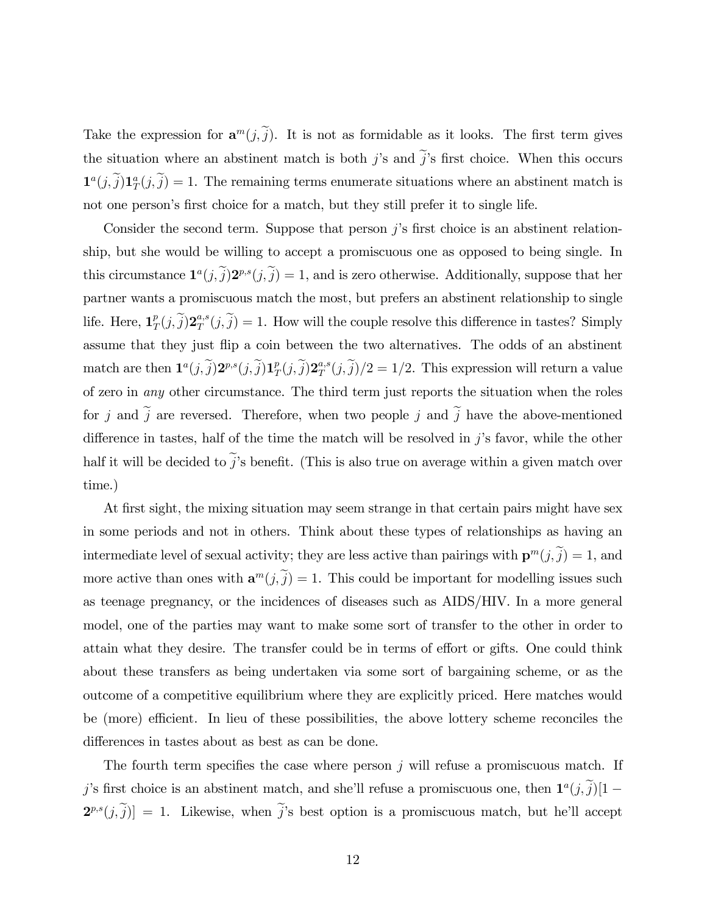Take the expression for  $\mathbf{a}^m(j, \tilde{j})$ . It is not as formidable as it looks. The first term gives the situation where an abstinent match is both j's and  $\tilde{j}$ 's first choice. When this occurs  $\mathbf{1}^{a}(j,\tilde{j})\mathbf{1}_{T}^{a}(j,\tilde{j})=1$ . The remaining terms enumerate situations where an abstinent match is not one person's first choice for a match, but they still prefer it to single life.

Consider the second term. Suppose that person  $j$ 's first choice is an abstinent relationship, but she would be willing to accept a promiscuous one as opposed to being single. In this circumstance  $\mathbf{1}^a(j,\tilde{j})\mathbf{2}^{p,s}(j,\tilde{j})=1$ , and is zero otherwise. Additionally, suppose that her partner wants a promiscuous match the most, but prefers an abstinent relationship to single life. Here,  $\mathbf{1}_7^p$  $_{T}^{p}(j,\widetilde{j})\mathbf{2}_{T}^{a,s}$  $T^{a,s}(j,j) = 1$ . How will the couple resolve this difference in tastes? Simply assume that they just áip a coin between the two alternatives. The odds of an abstinent match are then  $\mathbf{1}^{a}(j,\widetilde{j})\mathbf{2}^{p,s}(j,\widetilde{j})\mathbf{1}_{T}^{p}$  $_{T}^{p}(j,\widetilde{j})\mathbf{2}_{T}^{a,s}$  $T^{a,s}(j,j)/2 = 1/2$ . This expression will return a value of zero in any other circumstance. The third term just reports the situation when the roles for j and  $\tilde{j}$  are reversed. Therefore, when two people j and  $\tilde{j}$  have the above-mentioned difference in tastes, half of the time the match will be resolved in  $j$ 's favor, while the other half it will be decided to  $\tilde{j}$ 's benefit. (This is also true on average within a given match over time.)

At first sight, the mixing situation may seem strange in that certain pairs might have sex in some periods and not in others. Think about these types of relationships as having an intermediate level of sexual activity; they are less active than pairings with  $\mathbf{p}^m(j, \tilde{j}) = 1$ , and more active than ones with  $\mathbf{a}^m(j,\tilde{j}) = 1$ . This could be important for modelling issues such as teenage pregnancy, or the incidences of diseases such as AIDS/HIV. In a more general model, one of the parties may want to make some sort of transfer to the other in order to attain what they desire. The transfer could be in terms of effort or gifts. One could think about these transfers as being undertaken via some sort of bargaining scheme, or as the outcome of a competitive equilibrium where they are explicitly priced. Here matches would be (more) efficient. In lieu of these possibilities, the above lottery scheme reconciles the differences in tastes about as best as can be done.

The fourth term specifies the case where person  $j$  will refuse a promiscuous match. If j's first choice is an abstinent match, and she'll refuse a promiscuous one, then  $\mathbf{1}^a(j,\tilde{j})[1-\tilde{j}]$  $2^{p,s}(j,\tilde{j})$  = 1. Likewise, when  $\tilde{j}$ 's best option is a promiscuous match, but he'll accept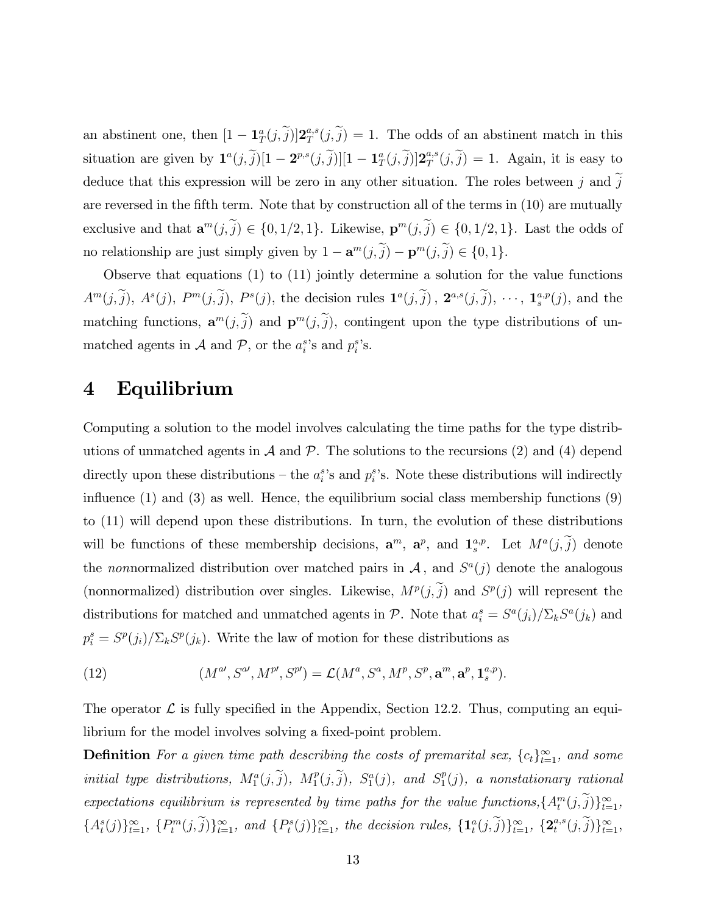an abstinent one, then  $[1 - \mathbf{1}_T^a(j, \tilde{j})] \mathbf{2}_T^{a,s}$  $T^{a,s}(j,j) = 1$ . The odds of an abstinent match in this situation are given by  $\mathbf{1}^a(j,\tilde{j})[1-\mathbf{2}^{p,s}(j,\tilde{j})][1-\mathbf{1}^a_T(j,\tilde{j})]\mathbf{2}^{a,s}_T$  $T^{a,s}(j,j) = 1$ . Again, it is easy to deduce that this expression will be zero in any other situation. The roles between j and  $\tilde{j}$ are reversed in the fifth term. Note that by construction all of the terms in  $(10)$  are mutually exclusive and that  $\mathbf{a}^m(j, \tilde{j}) \in \{0, 1/2, 1\}$ . Likewise,  $\mathbf{p}^m(j, \tilde{j}) \in \{0, 1/2, 1\}$ . Last the odds of no relationship are just simply given by  $1 - \mathbf{a}^m(j, \tilde{j}) - \mathbf{p}^m(j, \tilde{j}) \in \{0, 1\}.$ 

Observe that equations (1) to (11) jointly determine a solution for the value functions  $A^m(j,\tilde{j}), A^s(j), P^m(j,\tilde{j}), P^s(j),$  the decision rules  $\mathbf{1}^a(j,\tilde{j}), \mathbf{2}^{a,s}(j,\tilde{j}), \cdots, \mathbf{1}_s^{a,p}(j),$  and the matching functions,  $\mathbf{a}^m(j, j)$  and  $\mathbf{p}^m(j, j)$ , contingent upon the type distributions of unmatched agents in  $\mathcal A$  and  $\mathcal P$ , or the  $a_i^s$ 's and  $p_i^s$ 's.

## 4 Equilibrium

Computing a solution to the model involves calculating the time paths for the type distributions of unmatched agents in  $\mathcal A$  and  $\mathcal P$ . The solutions to the recursions (2) and (4) depend directly upon these distributions – the  $a_i^s$ 's and  $p_i^s$ 's. Note these distributions will indirectly influence  $(1)$  and  $(3)$  as well. Hence, the equilibrium social class membership functions  $(9)$ to (11) will depend upon these distributions. In turn, the evolution of these distributions will be functions of these membership decisions,  $\mathbf{a}^m$ ,  $\mathbf{a}^p$ , and  $\mathbf{1}_s^{a,p}$ . Let  $M^a(j, j)$  denote the nonnormalized distribution over matched pairs in  $A$ , and  $S^a(j)$  denote the analogous (nonnormalized) distribution over singles. Likewise,  $M^p(j, \tilde{j})$  and  $S^p(j)$  will represent the distributions for matched and unmatched agents in  $P$ . Note that  $a_i^s = S^a(j_i)/\sum_k S^a(j_k)$  and  $p_i^s = S^p(j_i)/\sum_k S^p(j_k)$ . Write the law of motion for these distributions as

(12) 
$$
(M^{a'}, S^{a'}, M^{p'}, S^{p'}) = \mathcal{L}(M^{a}, S^{a}, M^{p}, S^{p}, \mathbf{a}^{m}, \mathbf{a}^{p}, \mathbf{1}_{s}^{a,p}).
$$

The operator  $\mathcal L$  is fully specified in the Appendix, Section 12.2. Thus, computing an equilibrium for the model involves solving a fixed-point problem.

**Definition** For a given time path describing the costs of premarital sex,  ${c_t}_{t=1}^{\infty}$ , and some initial type distributions,  $M_1^a(j, \tilde{j})$ ,  $M_1^p$  $S_1^p(j, \widetilde{j}), S_1^a(j), \text{ and } S_1^p$  $_{1}^{p}(j)$ , a nonstationary rational expectations equilibrium is represented by time paths for the value functions,  $\{A_t^m(j, j)\}_{t=1}^{\infty}$ ,  $\{A_t^s(j)\}_{t=1}^{\infty}, \{P_t^m(j, \tilde{j})\}_{t=1}^{\infty}, \text{ and } \{P_t^s(j)\}_{t=1}^{\infty}, \text{ the decision rules, } \{\mathbf{1}_t^a(j, \tilde{j})\}_{t=1}^{\infty}, \{\mathbf{2}_t^{a,s}\}_{t=1}^{\infty}$  $_{t}^{a,s}(j,j)\}_{t=1}^{\infty},$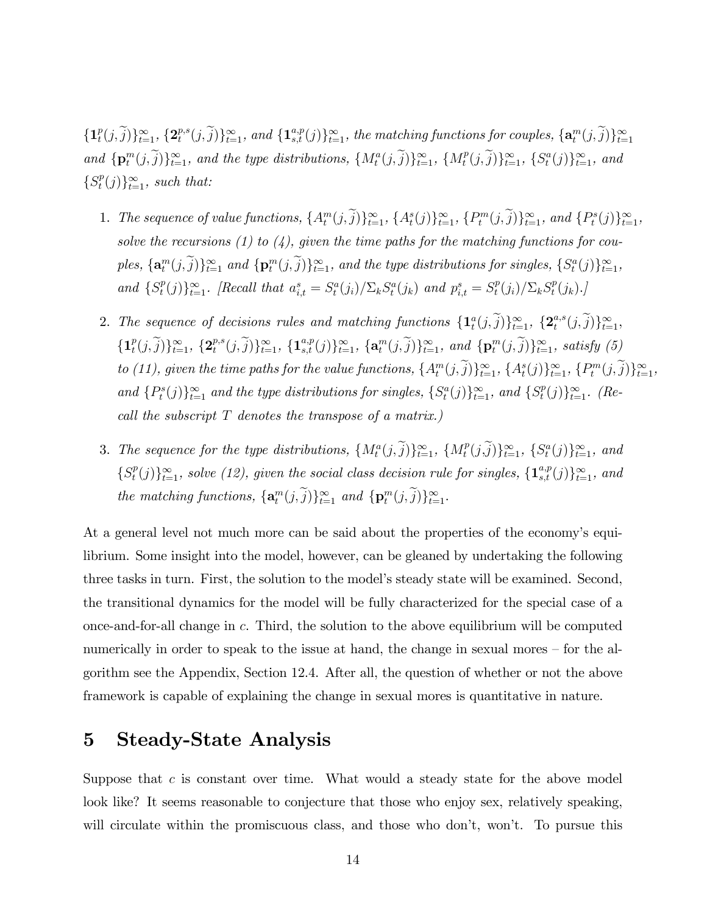$\{\boldsymbol{1}_t^p$  $_{t}^{p}(j,\widetilde{j})\}_{t=1}^{\infty},\,\{\mathbf{2}_{t}^{p,s}% (j,\widetilde{j})\}_{t=1}^{\infty},\,\{\widetilde{\mathbf{3}}_{t}^{p}(j,\widetilde{j})\}_{t=1}^{\infty}% \mbox{, }t\in\mathbb{C}^{3},\,\label{eq:constr}%$  $\{p,s(j,\widetilde{j})\}_{t=1}^\infty$ , and  $\{\mathbf{1}_{s,t}^{a,p}(j)\}_{t=1}^\infty$ , the matching functions for couples,  $\{\mathbf{a}_t^m(j,\widetilde{j})\}_{t=1}^\infty$ and  $\{ \mathbf{p}_t^m(j, \tilde{j}) \}_{t=1}^{\infty}$ , and the type distributions,  $\{ M_t^a(j, \tilde{j}) \}_{t=1}^{\infty}$ ,  $\{ M_t^p(j, \tilde{j}) \}_{t=1}^{\infty}$  $\{f^p(j, \tilde{j})\}_{t=1}^{\infty}, \{S^a_t(j)\}_{t=1}^{\infty}, \text{ and}$  $\{S^p_t$  $_t^p(j)$ <sub> $_{t=1}^{\infty}$ </sub>, such that:

- 1. The sequence of value functions,  $\{A_t^m(j, \tilde{j})\}_{t=1}^{\infty}$ ,  $\{A_t^s(j)\}_{t=1}^{\infty}$ ,  $\{P_t^m(j, \tilde{j})\}_{t=1}^{\infty}$ , and  $\{P_t^s(j)\}_{t=1}^{\infty}$ , solve the recursions (1) to (4), given the time paths for the matching functions for couples,  $\{a_t^m(j, \tilde{j})\}_{t=1}^{\infty}$  and  $\{p_t^m(j, \tilde{j})\}_{t=1}^{\infty}$ , and the type distributions for singles,  $\{S_t^a(j)\}_{t=1}^{\infty}$ , and  $\{S_t^p\}$  $\{f(t)\}_{t=1}^{\infty}$ . [Recall that  $a_{i,t}^{s} = S_t^a(j_i)/\Sigma_k S_t^a(j_k)$  and  $p_{i,t}^{s} = S_t^p$  $t^{p}(j_i)/\sum_{k} S_t^{p}$  $_t^p(j_k)$ .]
- 2. The sequence of decisions rules and matching functions  $\{\mathbf{1}_t^a(j,\widetilde{j})\}_{t=1}^\infty$ ,  $\{\mathbf{2}_t^{a,s}$  $_{t}^{a,s}(j,j)\}_{t=1}^{\infty},$  $\{\boldsymbol{1}_t^p$  $_{t}^{p}(j,\widetilde{j})\}_{t=1}^{\infty},\;\{\mathbf{2}_{t}^{p,s}% =\mathbf{1}_{t}^{p}(j,\widetilde{j})\}_{t=1}^{\infty},\;\mathbf{2}_{t}^{p,s}$  $\{f_t^{p,s}(j,\widetilde{j})\}_{t=1}^{\infty}$ ,  $\{\mathbf{1}_{s,t}^{a,p}(j)\}_{t=1}^{\infty}$ ,  $\{\mathbf{a}_t^m(j,\widetilde{j})\}_{t=1}^{\infty}$ , and  $\{\mathbf{p}_t^m(j,\widetilde{j})\}_{t=1}^{\infty}$ , satisfy (5) to (11), given the time paths for the value functions,  $\{A_t^m(j, \tilde{j})\}_{t=1}^{\infty}$ ,  $\{A_t^s(j)\}_{t=1}^{\infty}$ ,  $\{P_t^m(j, \tilde{j})\}_{t=1}^{\infty}$ , and  $\{P_t^s(j)\}_{t=1}^{\infty}$  and the type distributions for singles,  $\{S_t^a(j)\}_{t=1}^{\infty}$ , and  $\{S_t^p$  $_{t}^{p}(j)\}_{t=1}^{\infty}$ . (Recall the subscript  $T$  denotes the transpose of a matrix.)
- 3. The sequence for the type distributions,  $\{M_t^a(j, \tilde{j})\}_{t=1}^{\infty}$ ,  $\{M_t^p(j, \tilde{j})\}_{t=1}^{\infty}$  $\{f_t^p(j,\tilde{j})\}_{t=1}^{\infty}, \{S_t^a(j)\}_{t=1}^{\infty}, \text{ and}$  $\{S^p_t$  $t^p(j)\}_{t=1}^{\infty}$ , solve (12), given the social class decision rule for singles,  $\{\mathbf{1}_{s,t}^{a,p}(j)\}_{t=1}^{\infty}$ , and the matching functions,  $\{\mathbf a_t^m(j, \tilde{j})\}_{t=1}^\infty$  and  $\{\mathbf p_t^m(j, \tilde{j})\}_{t=1}^\infty$ .

At a general level not much more can be said about the properties of the economy's equilibrium. Some insight into the model, however, can be gleaned by undertaking the following three tasks in turn. First, the solution to the modelís steady state will be examined. Second, the transitional dynamics for the model will be fully characterized for the special case of a once-and-for-all change in  $c$ . Third, the solution to the above equilibrium will be computed numerically in order to speak to the issue at hand, the change in sexual mores  $-$  for the algorithm see the Appendix, Section 12.4. After all, the question of whether or not the above framework is capable of explaining the change in sexual mores is quantitative in nature.

## 5 Steady-State Analysis

Suppose that  $c$  is constant over time. What would a steady state for the above model look like? It seems reasonable to conjecture that those who enjoy sex, relatively speaking, will circulate within the promiscuous class, and those who don't, won't. To pursue this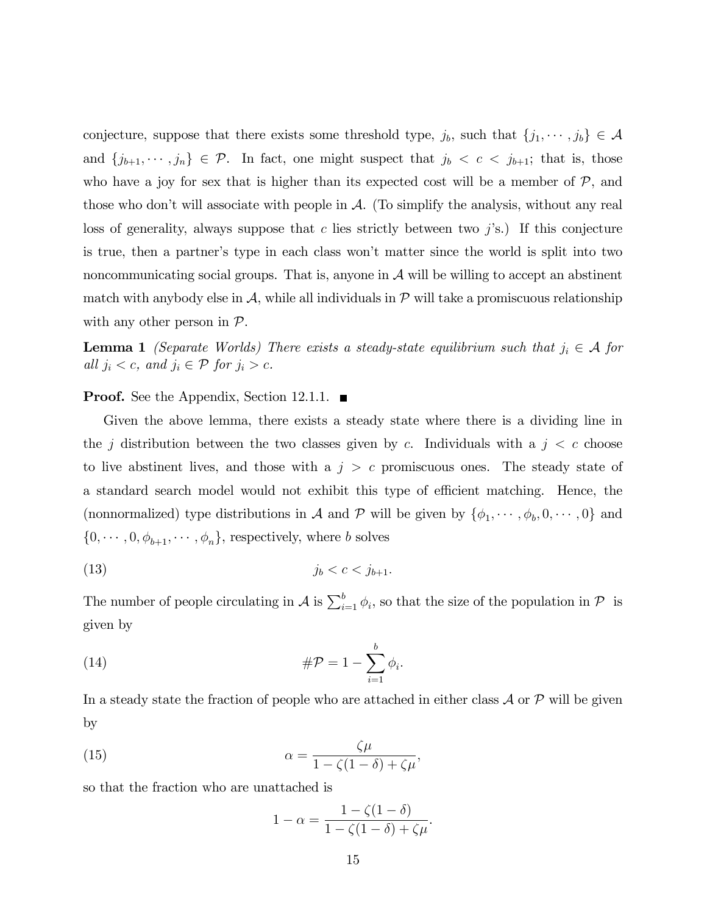conjecture, suppose that there exists some threshold type,  $j_b$ , such that  $\{j_1, \dots, j_b\} \in \mathcal{A}$ and  $\{j_{b+1}, \dots, j_n\} \in \mathcal{P}$ . In fact, one might suspect that  $j_b < c < j_{b+1}$ ; that is, those who have a joy for sex that is higher than its expected cost will be a member of  $P$ , and those who don't will associate with people in  $\mathcal{A}$ . (To simplify the analysis, without any real loss of generality, always suppose that c lies strictly between two  $j$ 's.) If this conjecture is true, then a partner's type in each class won't matter since the world is split into two noncommunicating social groups. That is, anyone in  $A$  will be willing to accept an abstinent match with anybody else in  $\mathcal{A}$ , while all individuals in  $\mathcal{P}$  will take a promiscuous relationship with any other person in  $\mathcal{P}$ .

**Lemma 1** (Separate Worlds) There exists a steady-state equilibrium such that  $j_i \in A$  for all  $j_i < c$ , and  $j_i \in \mathcal{P}$  for  $j_i > c$ .

**Proof.** See the Appendix, Section 12.1.1.  $\blacksquare$ 

Given the above lemma, there exists a steady state where there is a dividing line in the j distribution between the two classes given by c. Individuals with a  $j < c$  choose to live abstinent lives, and those with a  $j > c$  promiscuous ones. The steady state of a standard search model would not exhibit this type of efficient matching. Hence, the (nonnormalized) type distributions in A and P will be given by  $\{\phi_1, \dots, \phi_b, 0, \dots, 0\}$  and  $\{0,\cdots,0,\phi_{b+1},\cdots,\phi_n\},$  respectively, where  $b$  solves

$$
(13) \qquad \qquad j_b < c < j_{b+1}.
$$

The number of people circulating in  $\mathcal A$  is  $\sum_{i=1}^b \phi_i$ , so that the size of the population in  $\mathcal P$  is given by

(14) 
$$
\# \mathcal{P} = 1 - \sum_{i=1}^{b} \phi_i.
$$

In a steady state the fraction of people who are attached in either class  $\mathcal A$  or  $\mathcal P$  will be given by

(15) 
$$
\alpha = \frac{\zeta \mu}{1 - \zeta (1 - \delta) + \zeta \mu},
$$

so that the fraction who are unattached is

$$
1 - \alpha = \frac{1 - \zeta(1 - \delta)}{1 - \zeta(1 - \delta) + \zeta\mu}.
$$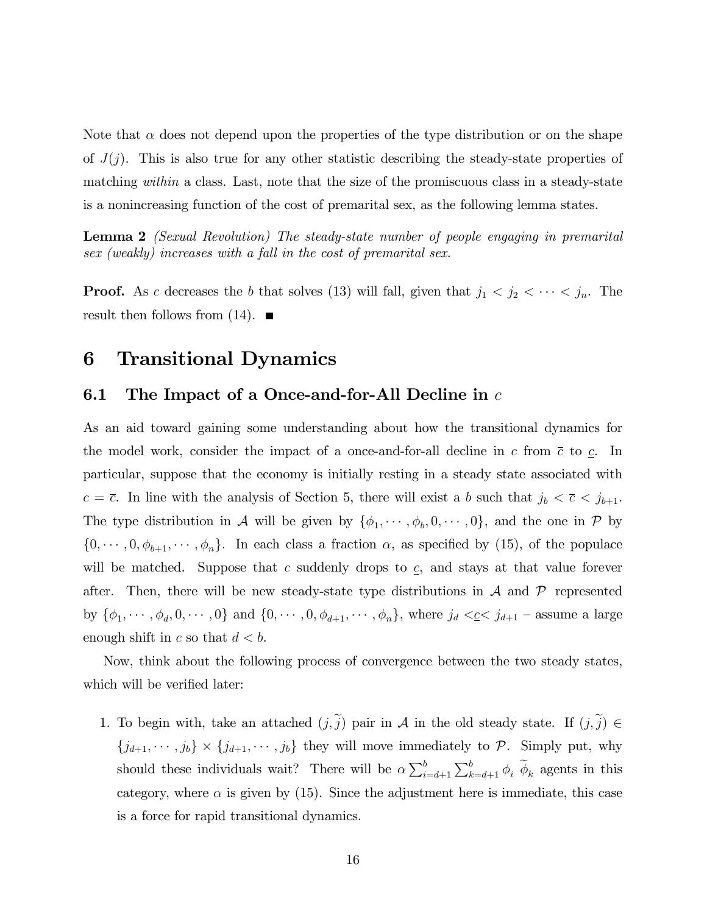Note that  $\alpha$  does not depend upon the properties of the type distribution or on the shape of  $J(j)$ . This is also true for any other statistic describing the steady-state properties of matching within a class. Last, note that the size of the promiscuous class in a steady-state is a nonincreasing function of the cost of premarital sex, as the following lemma states.

Lemma 2 (Sexual Revolution) The steady-state number of people engaging in premarital sex (weakly) increases with a fall in the cost of premarital sex.

**Proof.** As c decreases the b that solves (13) will fall, given that  $j_1 < j_2 < \cdots < j_n$ . The result then follows from  $(14)$ .

## 6 Transitional Dynamics

#### 6.1 The Impact of a Once-and-for-All Decline in  $c$

As an aid toward gaining some understanding about how the transitional dynamics for the model work, consider the impact of a once-and-for-all decline in c from  $\bar{c}$  to c. In particular, suppose that the economy is initially resting in a steady state associated with  $c = \overline{c}$ . In line with the analysis of Section 5, there will exist a b such that  $j_b < \overline{c} < j_{b+1}$ . The type distribution in A will be given by  $\{\phi_1, \dots, \phi_b, 0, \dots, 0\}$ , and the one in P by  $\{0,\dots, 0,\phi_{b+1},\dots,\phi_n\}$ . In each class a fraction  $\alpha$ , as specified by (15), of the populace will be matched. Suppose that  $c$  suddenly drops to  $c$ , and stays at that value forever after. Then, there will be new steady-state type distributions in  $A$  and  $\mathcal P$  represented by  $\{\phi_1, \cdots, \phi_d, 0, \cdots, 0\}$  and  $\{0, \cdots, 0, \phi_{d+1}, \cdots, \phi_n\}$ , where  $j_d \leq c \leq j_{d+1}$  – assume a large enough shift in c so that  $d < b$ .

Now, think about the following process of convergence between the two steady states, which will be verified later:

1. To begin with, take an attached  $(j, \tilde{j})$  pair in A in the old steady state. If  $(j, \tilde{j}) \in$  ${j_{d+1}, \dots, j_b} \times {j_{d+1}, \dots, j_b}$  they will move immediately to  $P$ . Simply put, why should these individuals wait? There will be  $\alpha \sum_{i=d+1}^{b} \sum_{k=d+1}^{b} \phi_i \widetilde{\phi}_k$  agents in this category, where  $\alpha$  is given by (15). Since the adjustment here is immediate, this case is a force for rapid transitional dynamics.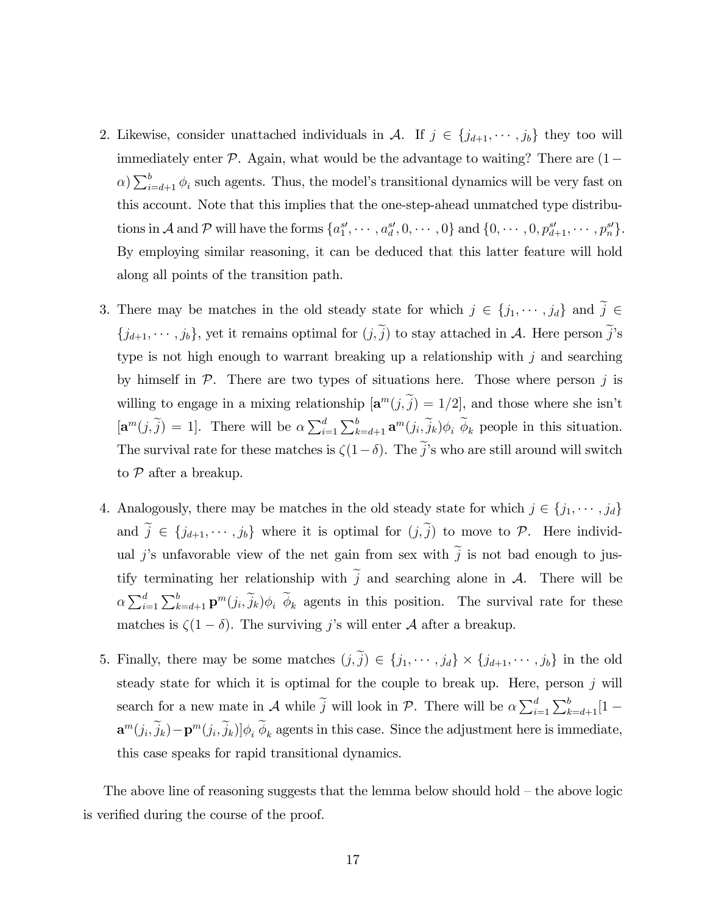- 2. Likewise, consider unattached individuals in A. If  $j \in \{j_{d+1}, \dots, j_b\}$  they too will immediately enter  $P$ . Again, what would be the advantage to waiting? There are  $(1 \alpha$ )  $\sum_{i=d+1}^{b} \phi_i$  such agents. Thus, the model's transitional dynamics will be very fast on this account. Note that this implies that the one-step-ahead unmatched type distributions in A and P will have the forms  $\{a_1^{s'}, \cdots, a_d^{s'}, 0, \cdots, 0\}$  and  $\{0, \cdots, 0, p_{d+1}^{s'}, \cdots, p_n^{s'}\}.$ By employing similar reasoning, it can be deduced that this latter feature will hold along all points of the transition path.
- 3. There may be matches in the old steady state for which  $j \in \{j_1, \dots, j_d\}$  and  $\tilde{j} \in$  $\{j_{d+1}, \cdots, j_b\}$ , yet it remains optimal for  $(j, \tilde{j})$  to stay attached in A. Here person  $\tilde{j}$ 's type is not high enough to warrant breaking up a relationship with  $j$  and searching by himself in  $P$ . There are two types of situations here. Those where person j is willing to engage in a mixing relationship  $[\mathbf{a}^m(j, \tilde{j}) = 1/2]$ , and those where she isn't  $[\mathbf{a}^m(j,\tilde{j})]=1$ . There will be  $\alpha\sum_{i=1}^d\sum_{k=d+1}^b \mathbf{a}^m(j_i,\tilde{j}_k)\phi_i \tilde{\phi}_k$  people in this situation. The survival rate for these matches is  $\zeta(1-\delta)$ . The  $\tilde{j}$ 's who are still around will switch to  $P$  after a breakup.
- 4. Analogously, there may be matches in the old steady state for which  $j \in \{j_1, \dots, j_d\}$ and  $\tilde{j} \in \{j_{d+1}, \dots, j_b\}$  where it is optimal for  $(j, \tilde{j})$  to move to P. Here individual j's unfavorable view of the net gain from sex with  $\tilde{j}$  is not bad enough to justify terminating her relationship with  $\tilde{j}$  and searching alone in A. There will be  $\alpha \sum_{i=1}^d \sum_{k=d+1}^b \mathbf{p}^m(j_i, \tilde{j}_k)\phi_i \,\widetilde{\phi}_k$  agents in this position. The survival rate for these matches is  $\zeta(1-\delta)$ . The surviving j's will enter A after a breakup.
- 5. Finally, there may be some matches  $(j, j) \in \{j_1, \dots, j_d\} \times \{j_{d+1}, \dots, j_b\}$  in the old steady state for which it is optimal for the couple to break up. Here, person  $j$  will search for a new mate in A while  $\tilde{j}$  will look in P. There will be  $\alpha \sum_{i=1}^{d} \sum_{k=d+1}^{b} [1 \mathbf{a}^m(j_i, j_k) - \mathbf{p}^m(j_i, j_k) \phi_i \phi_k$  agents in this case. Since the adjustment here is immediate, this case speaks for rapid transitional dynamics.

The above line of reasoning suggests that the lemma below should hold  $-$  the above logic is verified during the course of the proof.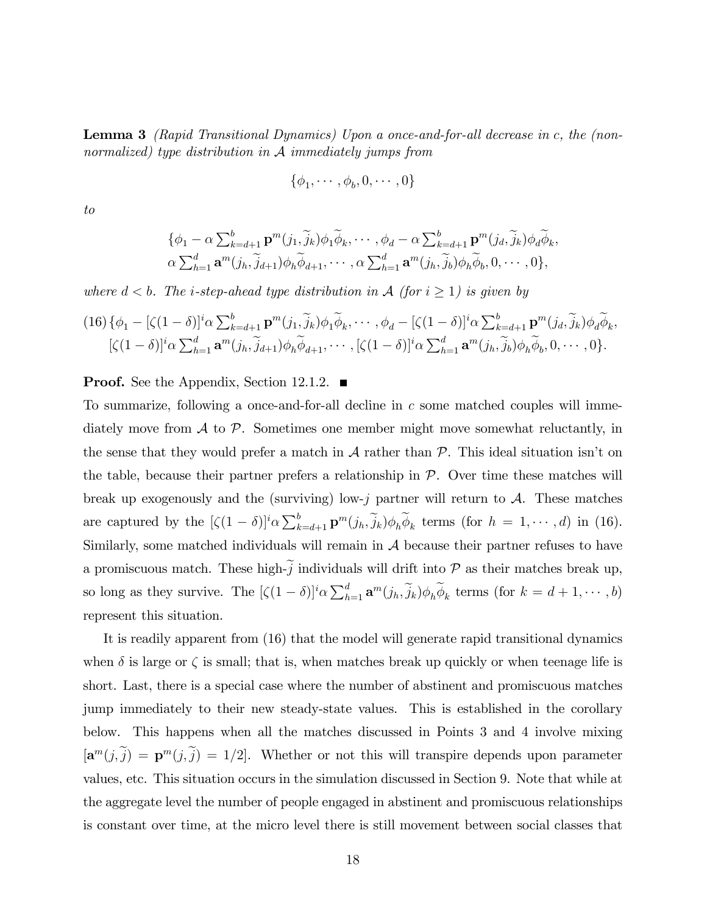Lemma 3 (Rapid Transitional Dynamics) Upon a once-and-for-all decrease in c, the (nonnormalized) type distribution in  $A$  immediately jumps from

$$
\{\phi_1, \cdots, \phi_b, 0, \cdots, 0\}
$$

to

$$
\{\phi_1 - \alpha \sum_{k=d+1}^{b} \mathbf{p}^m(j_1, \widetilde{j}_k) \phi_1 \widetilde{\phi}_k, \cdots, \phi_d - \alpha \sum_{k=d+1}^{b} \mathbf{p}^m(j_d, \widetilde{j}_k) \phi_d \widetilde{\phi}_k, \alpha \sum_{h=1}^{d} \mathbf{a}^m(j_h, \widetilde{j}_{d+1}) \phi_h \widetilde{\phi}_{d+1}, \cdots, \alpha \sum_{h=1}^{d} \mathbf{a}^m(j_h, \widetilde{j}_b) \phi_h \widetilde{\phi}_b, 0, \cdots, 0\},
$$

where  $d < b$ . The *i*-step-ahead type distribution in A (for  $i \geq 1$ ) is given by

$$
(16) \{\phi_1 - [\zeta(1-\delta)]^i \alpha \sum_{k=d+1}^b \mathbf{p}^m(j_1, \tilde{j}_k) \phi_1 \tilde{\phi}_k, \cdots, \phi_d - [\zeta(1-\delta)]^i \alpha \sum_{k=d+1}^b \mathbf{p}^m(j_d, \tilde{j}_k) \phi_d \tilde{\phi}_k, [\zeta(1-\delta)]^i \alpha \sum_{h=1}^d \mathbf{a}^m(j_h, \tilde{j}_{d+1}) \phi_h \tilde{\phi}_{d+1}, \cdots, [\zeta(1-\delta)]^i \alpha \sum_{h=1}^d \mathbf{a}^m(j_h, \tilde{j}_b) \phi_h \tilde{\phi}_b, 0, \cdots, 0 \}.
$$

**Proof.** See the Appendix, Section 12.1.2.  $\blacksquare$ 

To summarize, following a once-and-for-all decline in  $c$  some matched couples will immediately move from  $\mathcal A$  to  $\mathcal P$ . Sometimes one member might move somewhat reluctantly, in the sense that they would prefer a match in  $\mathcal A$  rather than  $\mathcal P$ . This ideal situation isn't on the table, because their partner prefers a relationship in  $P$ . Over time these matches will break up exogenously and the (surviving) low-j partner will return to  $A$ . These matches are captured by the  $[\zeta(1-\delta)]^i \alpha \sum_{k=d+1}^b \mathbf{p}^m(j_h, \tilde{j}_k) \phi_h \tilde{\phi}_k$  terms (for  $h = 1, \dots, d$ ) in (16). Similarly, some matched individuals will remain in  $A$  because their partner refuses to have a promiscuous match. These high- $j$  individuals will drift into  $P$  as their matches break up, so long as they survive. The  $[\zeta(1-\delta)]^i \alpha \sum_{h=1}^d \mathbf{a}^m(j_h, \tilde{j}_k) \phi_h \tilde{\phi}_k$  terms (for  $k = d+1, \dots, b$ ) represent this situation.

It is readily apparent from (16) that the model will generate rapid transitional dynamics when  $\delta$  is large or  $\zeta$  is small; that is, when matches break up quickly or when teenage life is short. Last, there is a special case where the number of abstinent and promiscuous matches jump immediately to their new steady-state values. This is established in the corollary below. This happens when all the matches discussed in Points 3 and 4 involve mixing  $[\mathbf{a}^m(j,\tilde{j}) = \mathbf{p}^m(j,\tilde{j}) = 1/2].$  Whether or not this will transpire depends upon parameter values, etc. This situation occurs in the simulation discussed in Section 9. Note that while at the aggregate level the number of people engaged in abstinent and promiscuous relationships is constant over time, at the micro level there is still movement between social classes that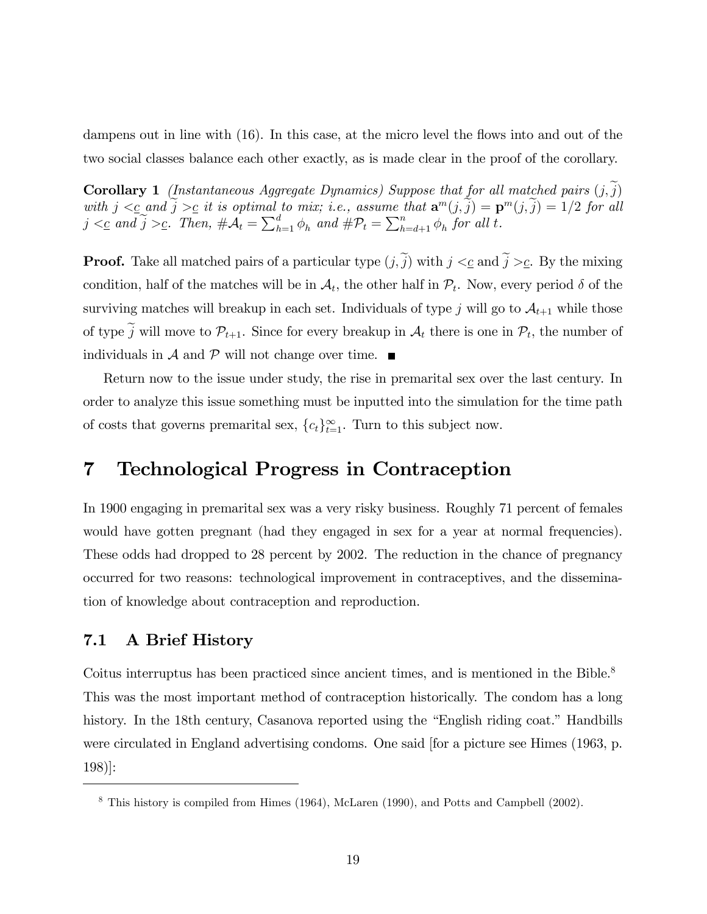dampens out in line with  $(16)$ . In this case, at the micro level the flows into and out of the two social classes balance each other exactly, as is made clear in the proof of the corollary.

**Corollary 1** (Instantaneous Aggregate Dynamics) Suppose that for all matched pairs  $(j, j)$ with  $j \leq \epsilon$  and  $\widetilde{j} \geq \epsilon$  it is optimal to mix; i.e., assume that  $\mathbf{a}^m(j, \widetilde{j}) = \mathbf{p}^m(j, \widetilde{j}) = 1/2$  for all  $j \lt c$  and  $\widetilde{j} \gt c$ . Then,  $\#\mathcal{A}_t = \sum_{h=1}^d \phi_h$  and  $\#\mathcal{P}_t = \sum_{h=d+1}^n \phi_h$  for all t.

**Proof.** Take all matched pairs of a particular type  $(j, \tilde{j})$  with  $j <_{\mathcal{C}}$  and  $\tilde{j} >_{\mathcal{C}}$ . By the mixing condition, half of the matches will be in  $\mathcal{A}_t$ , the other half in  $\mathcal{P}_t$ . Now, every period  $\delta$  of the surviving matches will breakup in each set. Individuals of type j will go to  $\mathcal{A}_{t+1}$  while those of type j will move to  $\mathcal{P}_{t+1}$ . Since for every breakup in  $\mathcal{A}_t$  there is one in  $\mathcal{P}_t$ , the number of individuals in  $\mathcal A$  and  $\mathcal P$  will not change over time.

Return now to the issue under study, the rise in premarital sex over the last century. In order to analyze this issue something must be inputted into the simulation for the time path of costs that governs premarital sex,  ${c_t}_{t=1}^{\infty}$ . Turn to this subject now.

### 7 Technological Progress in Contraception

In 1900 engaging in premarital sex was a very risky business. Roughly 71 percent of females would have gotten pregnant (had they engaged in sex for a year at normal frequencies). These odds had dropped to 28 percent by 2002. The reduction in the chance of pregnancy occurred for two reasons: technological improvement in contraceptives, and the dissemination of knowledge about contraception and reproduction.

### 7.1 A Brief History

Coitus interruptus has been practiced since ancient times, and is mentioned in the Bible.<sup>8</sup> This was the most important method of contraception historically. The condom has a long history. In the 18th century, Casanova reported using the "English riding coat." Handbills were circulated in England advertising condoms. One said [for a picture see Himes (1963, p. 198)]:

<sup>8</sup> This history is compiled from Himes (1964), McLaren (1990), and Potts and Campbell (2002).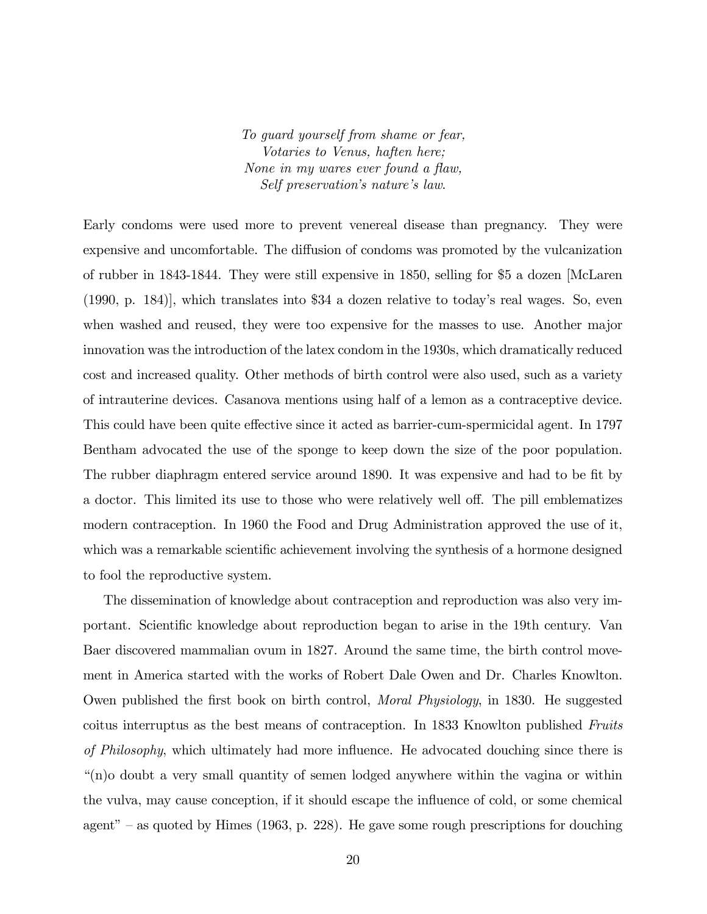To guard yourself from shame or fear, Votaries to Venus, haften here; None in my wares ever found a flaw, Self preservation's nature's law.

Early condoms were used more to prevent venereal disease than pregnancy. They were expensive and uncomfortable. The diffusion of condoms was promoted by the vulcanization of rubber in 1843-1844. They were still expensive in 1850, selling for \$5 a dozen [McLaren  $(1990, p. 184)$ , which translates into \$34 a dozen relative to today's real wages. So, even when washed and reused, they were too expensive for the masses to use. Another major innovation was the introduction of the latex condom in the 1930s, which dramatically reduced cost and increased quality. Other methods of birth control were also used, such as a variety of intrauterine devices. Casanova mentions using half of a lemon as a contraceptive device. This could have been quite effective since it acted as barrier-cum-spermicidal agent. In 1797 Bentham advocated the use of the sponge to keep down the size of the poor population. The rubber diaphragm entered service around 1890. It was expensive and had to be fit by a doctor. This limited its use to those who were relatively well off. The pill emblematizes modern contraception. In 1960 the Food and Drug Administration approved the use of it, which was a remarkable scientific achievement involving the synthesis of a hormone designed to fool the reproductive system.

The dissemination of knowledge about contraception and reproduction was also very important. Scientific knowledge about reproduction began to arise in the 19th century. Van Baer discovered mammalian ovum in 1827. Around the same time, the birth control movement in America started with the works of Robert Dale Owen and Dr. Charles Knowlton. Owen published the first book on birth control, *Moral Physiology*, in 1830. He suggested coitus interruptus as the best means of contraception. In 1833 Knowlton published Fruits of Philosophy, which ultimately had more influence. He advocated douching since there is ì(n)o doubt a very small quantity of semen lodged anywhere within the vagina or within the vulva, may cause conception, if it should escape the influence of cold, or some chemical agent" – as quoted by Himes (1963, p. 228). He gave some rough prescriptions for douching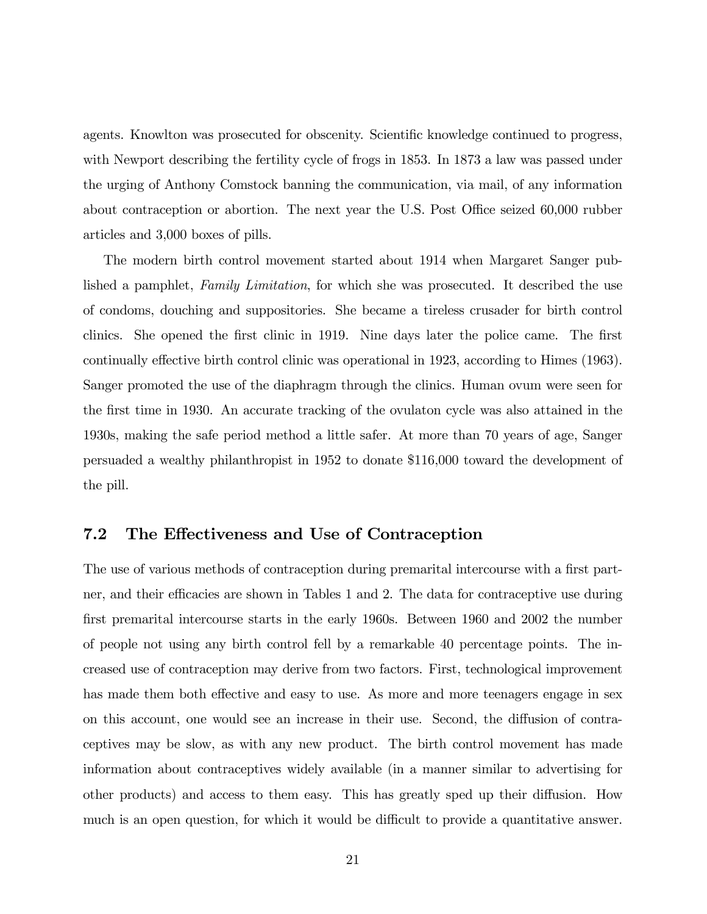agents. Knowlton was prosecuted for obscenity. Scientific knowledge continued to progress, with Newport describing the fertility cycle of frogs in 1853. In 1873 a law was passed under the urging of Anthony Comstock banning the communication, via mail, of any information about contraception or abortion. The next year the U.S. Post Office seized 60,000 rubber articles and 3,000 boxes of pills.

The modern birth control movement started about 1914 when Margaret Sanger published a pamphlet, Family Limitation, for which she was prosecuted. It described the use of condoms, douching and suppositories. She became a tireless crusader for birth control clinics. She opened the first clinic in 1919. Nine days later the police came. The first continually effective birth control clinic was operational in 1923, according to Himes (1963). Sanger promoted the use of the diaphragm through the clinics. Human ovum were seen for the first time in 1930. An accurate tracking of the ovulaton cycle was also attained in the 1930s, making the safe period method a little safer. At more than 70 years of age, Sanger persuaded a wealthy philanthropist in 1952 to donate \$116,000 toward the development of the pill.

#### 7.2 The Effectiveness and Use of Contraception

The use of various methods of contraception during premarital intercourse with a first partner, and their efficacies are shown in Tables 1 and 2. The data for contraceptive use during first premarital intercourse starts in the early 1960s. Between 1960 and 2002 the number of people not using any birth control fell by a remarkable 40 percentage points. The increased use of contraception may derive from two factors. First, technological improvement has made them both effective and easy to use. As more and more teenagers engage in sex on this account, one would see an increase in their use. Second, the diffusion of contraceptives may be slow, as with any new product. The birth control movement has made information about contraceptives widely available (in a manner similar to advertising for other products) and access to them easy. This has greatly sped up their diffusion. How much is an open question, for which it would be difficult to provide a quantitative answer.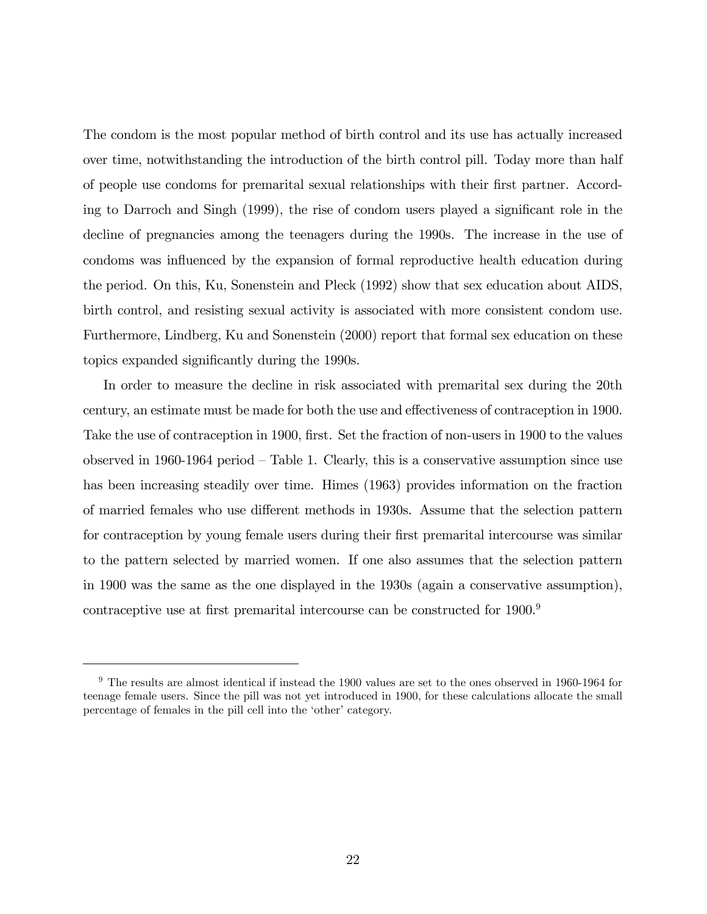The condom is the most popular method of birth control and its use has actually increased over time, notwithstanding the introduction of the birth control pill. Today more than half of people use condoms for premarital sexual relationships with their Örst partner. According to Darroch and Singh  $(1999)$ , the rise of condom users played a significant role in the decline of pregnancies among the teenagers during the 1990s. The increase in the use of condoms was influenced by the expansion of formal reproductive health education during the period. On this, Ku, Sonenstein and Pleck (1992) show that sex education about AIDS, birth control, and resisting sexual activity is associated with more consistent condom use. Furthermore, Lindberg, Ku and Sonenstein (2000) report that formal sex education on these topics expanded significantly during the 1990s.

In order to measure the decline in risk associated with premarital sex during the 20th century, an estimate must be made for both the use and effectiveness of contraception in 1900. Take the use of contraception in 1900, first. Set the fraction of non-users in 1900 to the values observed in 1960-1964 period  $-$  Table 1. Clearly, this is a conservative assumption since use has been increasing steadily over time. Himes (1963) provides information on the fraction of married females who use different methods in 1930s. Assume that the selection pattern for contraception by young female users during their first premarital intercourse was similar to the pattern selected by married women. If one also assumes that the selection pattern in 1900 was the same as the one displayed in the 1930s (again a conservative assumption), contraceptive use at first premarital intercourse can be constructed for  $1900<sup>9</sup>$ 

 $9$  The results are almost identical if instead the 1900 values are set to the ones observed in 1960-1964 for teenage female users. Since the pill was not yet introduced in 1900, for these calculations allocate the small percentage of females in the pill cell into the 'other' category.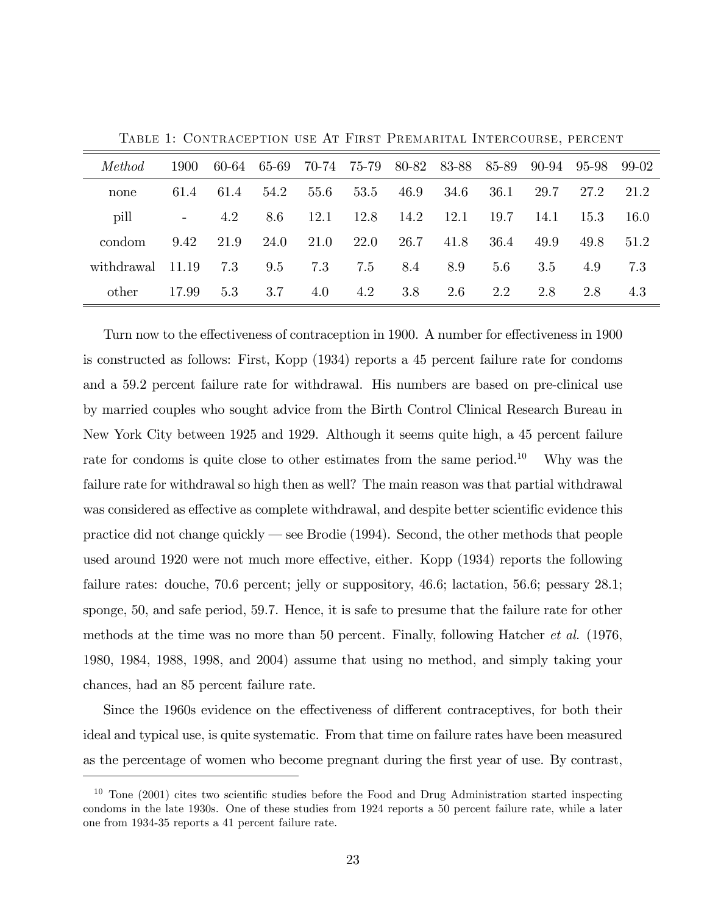| <i>Method</i> | 1900   | 60-64 | 65-69 | 70-74 | 75-79 | 80-82 | 83-88 | 85-89 | 90-94 | 95-98 | 99-02 |
|---------------|--------|-------|-------|-------|-------|-------|-------|-------|-------|-------|-------|
| none          | 61.4   | 61.4  | 54.2  | 55.6  | 53.5  | 46.9  | 34.6  | 36.1  | 29.7  | 27.2  | 21.2  |
| pill          | $\sim$ | 4.2   | 8.6   | 12.1  | 12.8  | 14.2  | 12.1  | 19.7  | 14.1  | 15.3  | 16.0  |
| condom        | 9.42   | 21.9  | 24.0  | 21.0  | 22.0  | 26.7  | 41.8  | 36.4  | 49.9  | 49.8  | 51.2  |
| withdrawal    | 11.19  | 7.3   | 9.5   | 7.3   | 7.5   | 8.4   | 8.9   | 5.6   | 3.5   | 4.9   | 7.3   |
| other         | 17.99  | 5.3   | 3.7   | 4.0   | 4.2   | 3.8   | 2.6   | 2.2   | 2.8   | 2.8   | 4.3   |

Table 1: Contraception use At First Premarital Intercourse, percent

Turn now to the effectiveness of contraception in 1900. A number for effectiveness in 1900 is constructed as follows: First, Kopp (1934) reports a 45 percent failure rate for condoms and a 59.2 percent failure rate for withdrawal. His numbers are based on pre-clinical use by married couples who sought advice from the Birth Control Clinical Research Bureau in New York City between 1925 and 1929. Although it seems quite high, a 45 percent failure rate for condoms is quite close to other estimates from the same period.<sup>10</sup> Why was the failure rate for withdrawal so high then as well? The main reason was that partial withdrawal was considered as effective as complete withdrawal, and despite better scientific evidence this practice did not change quickly  $\sim$  see Brodie (1994). Second, the other methods that people used around 1920 were not much more effective, either. Kopp (1934) reports the following failure rates: douche, 70.6 percent; jelly or suppository, 46.6; lactation, 56.6; pessary 28.1; sponge, 50, and safe period, 59.7. Hence, it is safe to presume that the failure rate for other methods at the time was no more than 50 percent. Finally, following Hatcher et al. (1976, 1980, 1984, 1988, 1998, and 2004) assume that using no method, and simply taking your chances, had an 85 percent failure rate.

Since the 1960s evidence on the effectiveness of different contraceptives, for both their ideal and typical use, is quite systematic. From that time on failure rates have been measured as the percentage of women who become pregnant during the Örst year of use. By contrast,

 $10$  Tone (2001) cites two scientific studies before the Food and Drug Administration started inspecting condoms in the late 1930s. One of these studies from 1924 reports a 50 percent failure rate, while a later one from 1934-35 reports a 41 percent failure rate.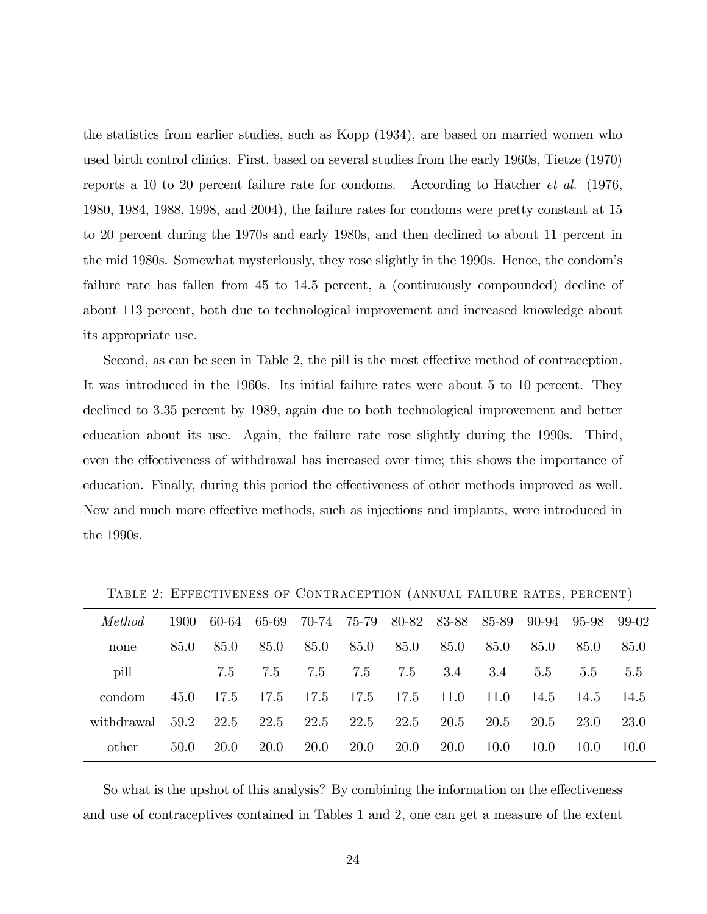the statistics from earlier studies, such as Kopp (1934), are based on married women who used birth control clinics. First, based on several studies from the early 1960s, Tietze (1970) reports a 10 to 20 percent failure rate for condoms. According to Hatcher et al. (1976, 1980, 1984, 1988, 1998, and 2004), the failure rates for condoms were pretty constant at 15 to 20 percent during the 1970s and early 1980s, and then declined to about 11 percent in the mid 1980s. Somewhat mysteriously, they rose slightly in the 1990s. Hence, the condomís failure rate has fallen from 45 to 14.5 percent, a (continuously compounded) decline of about 113 percent, both due to technological improvement and increased knowledge about its appropriate use.

Second, as can be seen in Table 2, the pill is the most effective method of contraception. It was introduced in the 1960s. Its initial failure rates were about 5 to 10 percent. They declined to 3.35 percent by 1989, again due to both technological improvement and better education about its use. Again, the failure rate rose slightly during the 1990s. Third, even the effectiveness of withdrawal has increased over time; this shows the importance of education. Finally, during this period the effectiveness of other methods improved as well. New and much more effective methods, such as injections and implants, were introduced in the 1990s.

| Method     | 1900 | 60-64       | 65-69       | 70-74       | 75-79       | 80-82       | 83-88       | 85-89 | 90-94         | 95-98 | 99-02 |
|------------|------|-------------|-------------|-------------|-------------|-------------|-------------|-------|---------------|-------|-------|
| none       | 85.0 | 85.0        | 85.0        | 85.0        | 85.0        | 85.0        | 85.0        | 85.0  | 85.0          | 85.0  | 85.0  |
| pill       |      | 7.5         | 7.5         | 7.5         | 7.5         | 7.5         | 3.4         | 3.4   | $5.5^{\circ}$ | 5.5   | 5.5   |
| condom     | 45.0 | 17.5        | 17.5        | 17.5        | 17.5        | 17.5        | 11.0        | 11.0  | 14.5          | 14.5  | 14.5  |
| withdrawal | 59.2 | 22.5        | 22.5        | 22.5        | 22.5        | 22.5        | 20.5        | 20.5  | 20.5          | 23.0  | 23.0  |
| other      | 50.0 | <b>20.0</b> | <b>20.0</b> | <b>20.0</b> | <b>20.0</b> | <b>20.0</b> | <b>20.0</b> | 10.0  | 10.0          | 10.0  | 10.0  |

Table 2: Effectiveness of Contraception (annual failure rates, percent)

So what is the upshot of this analysis? By combining the information on the effectiveness and use of contraceptives contained in Tables 1 and 2, one can get a measure of the extent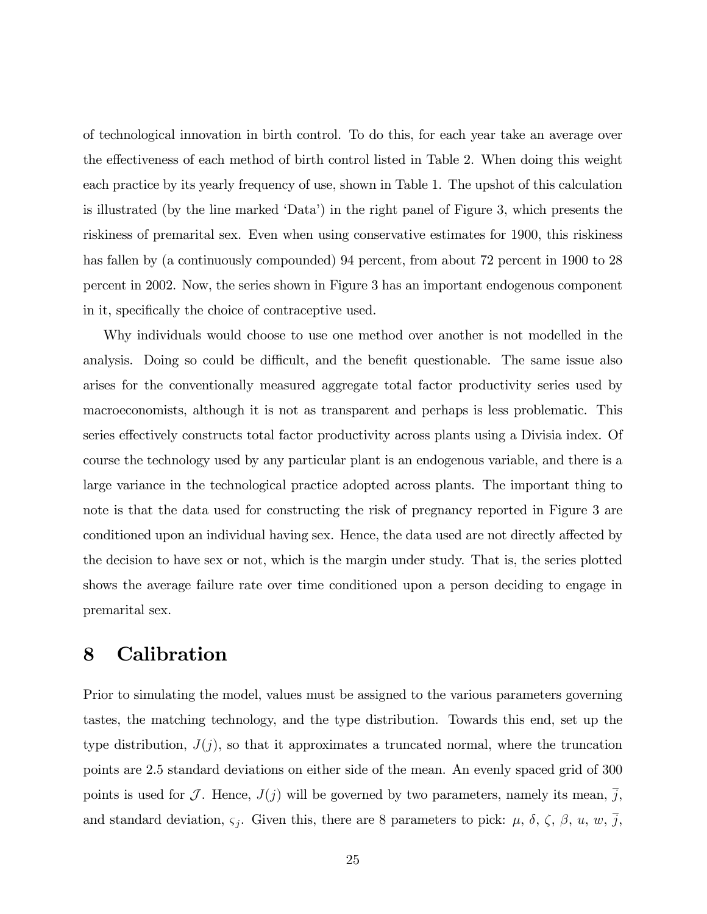of technological innovation in birth control. To do this, for each year take an average over the effectiveness of each method of birth control listed in Table 2. When doing this weight each practice by its yearly frequency of use, shown in Table 1. The upshot of this calculation is illustrated (by the line marked 'Data') in the right panel of Figure 3, which presents the riskiness of premarital sex. Even when using conservative estimates for 1900, this riskiness has fallen by (a continuously compounded) 94 percent, from about 72 percent in 1900 to 28 percent in 2002. Now, the series shown in Figure 3 has an important endogenous component in it, specifically the choice of contraceptive used.

Why individuals would choose to use one method over another is not modelled in the analysis. Doing so could be difficult, and the benefit questionable. The same issue also arises for the conventionally measured aggregate total factor productivity series used by macroeconomists, although it is not as transparent and perhaps is less problematic. This series effectively constructs total factor productivity across plants using a Divisia index. Of course the technology used by any particular plant is an endogenous variable, and there is a large variance in the technological practice adopted across plants. The important thing to note is that the data used for constructing the risk of pregnancy reported in Figure 3 are conditioned upon an individual having sex. Hence, the data used are not directly affected by the decision to have sex or not, which is the margin under study. That is, the series plotted shows the average failure rate over time conditioned upon a person deciding to engage in premarital sex.

### 8 Calibration

Prior to simulating the model, values must be assigned to the various parameters governing tastes, the matching technology, and the type distribution. Towards this end, set up the type distribution,  $J(j)$ , so that it approximates a truncated normal, where the truncation points are 2.5 standard deviations on either side of the mean. An evenly spaced grid of 300 points is used for J. Hence,  $J(j)$  will be governed by two parameters, namely its mean, j, and standard deviation,  $\zeta_i$ . Given this, there are 8 parameters to pick:  $\mu$ ,  $\delta$ ,  $\zeta$ ,  $\beta$ ,  $u$ ,  $w$ ,  $\overline{j}$ ,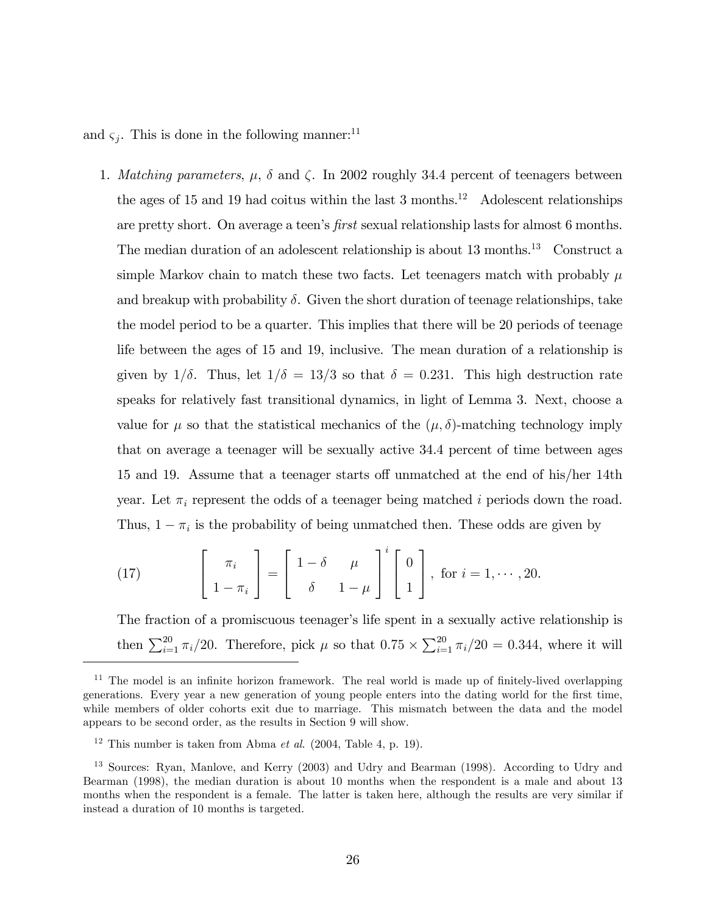and  $\zeta_j$ . This is done in the following manner:<sup>11</sup>

1. Matching parameters,  $\mu$ ,  $\delta$  and  $\zeta$ . In 2002 roughly 34.4 percent of teenagers between the ages of 15 and 19 had coitus within the last 3 months.<sup>12</sup> Adolescent relationships are pretty short. On average a teen's *first* sexual relationship lasts for almost 6 months. The median duration of an adolescent relationship is about  $13$  months.<sup>13</sup> Construct a simple Markov chain to match these two facts. Let teenagers match with probably  $\mu$ and breakup with probability  $\delta$ . Given the short duration of teenage relationships, take the model period to be a quarter. This implies that there will be 20 periods of teenage life between the ages of 15 and 19, inclusive. The mean duration of a relationship is given by  $1/\delta$ . Thus, let  $1/\delta = 13/3$  so that  $\delta = 0.231$ . This high destruction rate speaks for relatively fast transitional dynamics, in light of Lemma 3. Next, choose a value for  $\mu$  so that the statistical mechanics of the  $(\mu, \delta)$ -matching technology imply that on average a teenager will be sexually active 34.4 percent of time between ages 15 and 19. Assume that a teenager starts off unmatched at the end of his/her 14th year. Let  $\pi_i$  represent the odds of a teenager being matched i periods down the road. Thus,  $1 - \pi_i$  is the probability of being unmatched then. These odds are given by

(17) 
$$
\begin{bmatrix} \pi_i \\ 1 - \pi_i \end{bmatrix} = \begin{bmatrix} 1 - \delta & \mu \\ \delta & 1 - \mu \end{bmatrix}^i \begin{bmatrix} 0 \\ 1 \end{bmatrix}, \text{ for } i = 1, \cdots, 20.
$$

The fraction of a promiscuous teenager's life spent in a sexually active relationship is then  $\sum_{i=1}^{20} \pi_i/20$ . Therefore, pick  $\mu$  so that  $0.75 \times \sum_{i=1}^{20} \pi_i/20 = 0.344$ , where it will

 $11$  The model is an infinite horizon framework. The real world is made up of finitely-lived overlapping generations. Every year a new generation of young people enters into the dating world for the first time, while members of older cohorts exit due to marriage. This mismatch between the data and the model appears to be second order, as the results in Section 9 will show.

<sup>&</sup>lt;sup>12</sup> This number is taken from Abma *et al.* (2004, Table 4, p. 19).

<sup>&</sup>lt;sup>13</sup> Sources: Ryan, Manlove, and Kerry (2003) and Udry and Bearman (1998). According to Udry and Bearman (1998), the median duration is about 10 months when the respondent is a male and about 13 months when the respondent is a female. The latter is taken here, although the results are very similar if instead a duration of 10 months is targeted.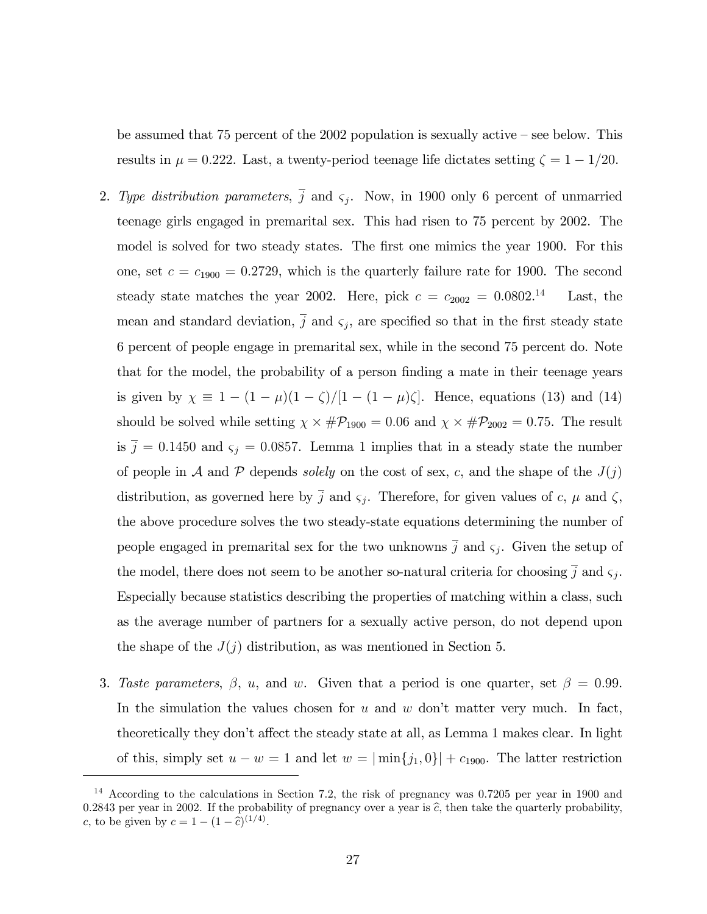be assumed that  $75$  percent of the  $2002$  population is sexually active  $\sim$  see below. This results in  $\mu = 0.222$ . Last, a twenty-period teenage life dictates setting  $\zeta = 1 - 1/20$ .

- 2. Type distribution parameters,  $\overline{j}$  and  $\varsigma_j$ . Now, in 1900 only 6 percent of unmarried teenage girls engaged in premarital sex. This had risen to 75 percent by 2002. The model is solved for two steady states. The first one mimics the year 1900. For this one, set  $c = c_{1900} = 0.2729$ , which is the quarterly failure rate for 1900. The second steady state matches the year 2002. Here, pick  $c = c_{2002} = 0.0802^{14}$ Last, the mean and standard deviation,  $\overline{j}$  and  $\varsigma_j$ , are specified so that in the first steady state 6 percent of people engage in premarital sex, while in the second 75 percent do. Note that for the model, the probability of a person finding a mate in their teenage years is given by  $\chi \equiv 1 - (1 - \mu)(1 - \zeta)/[1 - (1 - \mu)\zeta]$ . Hence, equations (13) and (14) should be solved while setting  $\chi \times \#\mathcal{P}_{1900} = 0.06$  and  $\chi \times \#\mathcal{P}_{2002} = 0.75$ . The result is  $\bar{j} = 0.1450$  and  $\varsigma_j = 0.0857$ . Lemma 1 implies that in a steady state the number of people in A and P depends solely on the cost of sex, c, and the shape of the  $J(j)$ distribution, as governed here by j and  $\zeta_j$ . Therefore, for given values of c,  $\mu$  and  $\zeta$ , the above procedure solves the two steady-state equations determining the number of people engaged in premarital sex for the two unknowns  $\overline{j}$  and  $\varsigma_j$ . Given the setup of the model, there does not seem to be another so-natural criteria for choosing  $\overline{j}$  and  $\varsigma_j$ . Especially because statistics describing the properties of matching within a class, such as the average number of partners for a sexually active person, do not depend upon the shape of the  $J(j)$  distribution, as was mentioned in Section 5.
- 3. Taste parameters,  $\beta$ , u, and w. Given that a period is one quarter, set  $\beta = 0.99$ . In the simulation the values chosen for  $u$  and  $w$  don't matter very much. In fact, theoretically they don't affect the steady state at all, as Lemma 1 makes clear. In light of this, simply set  $u - w = 1$  and let  $w = |\min\{j_1, 0\}| + c_{1900}$ . The latter restriction

<sup>&</sup>lt;sup>14</sup> According to the calculations in Section 7.2, the risk of pregnancy was 0.7205 per year in 1900 and 0.2843 per year in 2002. If the probability of pregnancy over a year is  $\hat{c}$ , then take the quarterly probability, c, to be given by  $c = 1 - (1 - \hat{c})^{(1/4)}$ .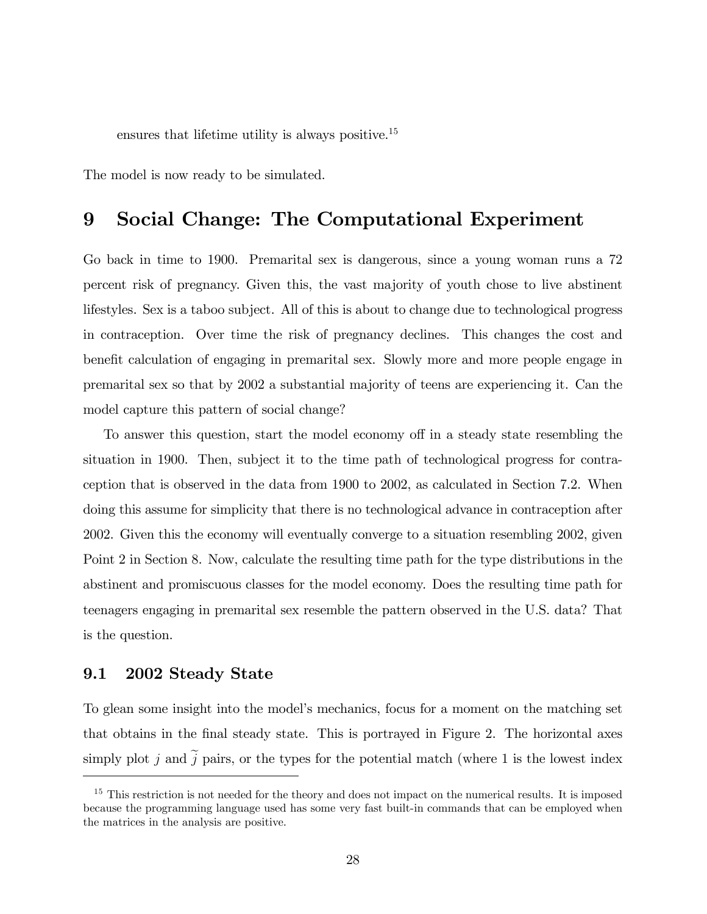ensures that lifetime utility is always positive.<sup>15</sup>

The model is now ready to be simulated.

### 9 Social Change: The Computational Experiment

Go back in time to 1900. Premarital sex is dangerous, since a young woman runs a 72 percent risk of pregnancy. Given this, the vast majority of youth chose to live abstinent lifestyles. Sex is a taboo subject. All of this is about to change due to technological progress in contraception. Over time the risk of pregnancy declines. This changes the cost and benefit calculation of engaging in premarital sex. Slowly more and more people engage in premarital sex so that by 2002 a substantial majority of teens are experiencing it. Can the model capture this pattern of social change?

To answer this question, start the model economy off in a steady state resembling the situation in 1900. Then, subject it to the time path of technological progress for contraception that is observed in the data from 1900 to 2002, as calculated in Section 7.2. When doing this assume for simplicity that there is no technological advance in contraception after 2002. Given this the economy will eventually converge to a situation resembling 2002, given Point 2 in Section 8. Now, calculate the resulting time path for the type distributions in the abstinent and promiscuous classes for the model economy. Does the resulting time path for teenagers engaging in premarital sex resemble the pattern observed in the U.S. data? That is the question.

### 9.1 2002 Steady State

To glean some insight into the model's mechanics, focus for a moment on the matching set that obtains in the final steady state. This is portrayed in Figure 2. The horizontal axes simply plot j and  $\tilde{j}$  pairs, or the types for the potential match (where 1 is the lowest index

<sup>&</sup>lt;sup>15</sup> This restriction is not needed for the theory and does not impact on the numerical results. It is imposed because the programming language used has some very fast built-in commands that can be employed when the matrices in the analysis are positive.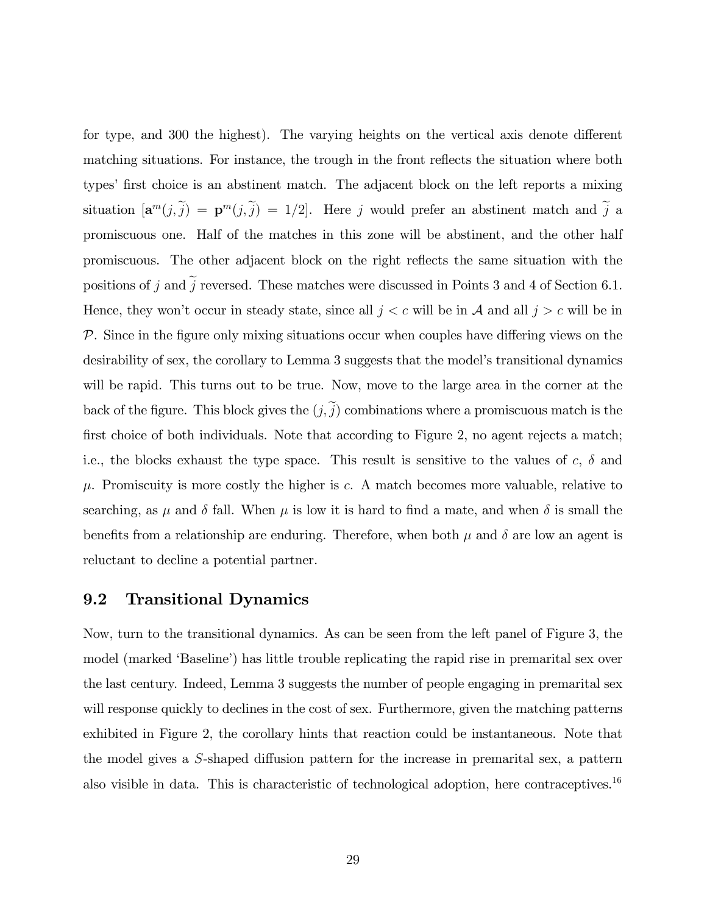for type, and 300 the highest). The varying heights on the vertical axis denote different matching situations. For instance, the trough in the front reflects the situation where both types' first choice is an abstinent match. The adjacent block on the left reports a mixing situation  $[\mathbf{a}^m(j, \tilde{j}) = \mathbf{p}^m(j, \tilde{j}) = 1/2]$ . Here j would prefer an abstinent match and j a promiscuous one. Half of the matches in this zone will be abstinent, and the other half promiscuous. The other adjacent block on the right reáects the same situation with the positions of j and  $\tilde{j}$  reversed. These matches were discussed in Points 3 and 4 of Section 6.1. Hence, they won't occur in steady state, since all  $j < c$  will be in A and all  $j > c$  will be in  $P$ . Since in the figure only mixing situations occur when couples have differing views on the desirability of sex, the corollary to Lemma 3 suggests that the model's transitional dynamics will be rapid. This turns out to be true. Now, move to the large area in the corner at the back of the figure. This block gives the  $(j, \tilde{j})$  combinations where a promiscuous match is the first choice of both individuals. Note that according to Figure 2, no agent rejects a match; i.e., the blocks exhaust the type space. This result is sensitive to the values of  $c, \delta$  and  $\mu$ . Promiscuity is more costly the higher is c. A match becomes more valuable, relative to searching, as  $\mu$  and  $\delta$  fall. When  $\mu$  is low it is hard to find a mate, and when  $\delta$  is small the benefits from a relationship are enduring. Therefore, when both  $\mu$  and  $\delta$  are low an agent is reluctant to decline a potential partner.

#### 9.2 Transitional Dynamics

Now, turn to the transitional dynamics. As can be seen from the left panel of Figure 3, the model (marked 'Baseline') has little trouble replicating the rapid rise in premarital sex over the last century. Indeed, Lemma 3 suggests the number of people engaging in premarital sex will response quickly to declines in the cost of sex. Furthermore, given the matching patterns exhibited in Figure 2, the corollary hints that reaction could be instantaneous. Note that the model gives a  $S$ -shaped diffusion pattern for the increase in premarital sex, a pattern also visible in data. This is characteristic of technological adoption, here contraceptives.<sup>16</sup>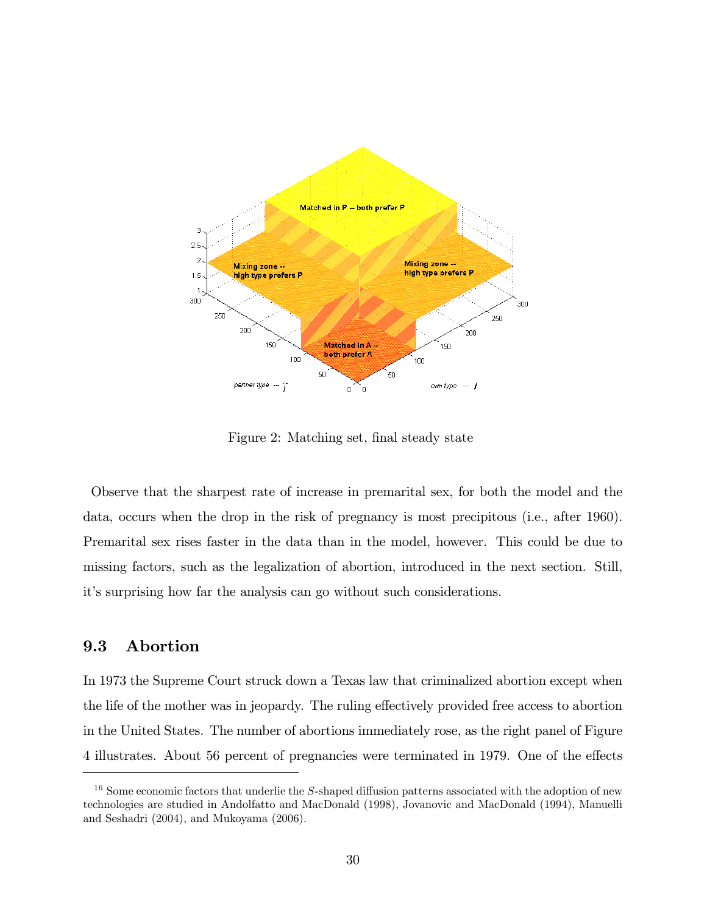

Figure 2: Matching set, final steady state

Observe that the sharpest rate of increase in premarital sex, for both the model and the data, occurs when the drop in the risk of pregnancy is most precipitous (i.e., after 1960). Premarital sex rises faster in the data than in the model, however. This could be due to missing factors, such as the legalization of abortion, introduced in the next section. Still, itís surprising how far the analysis can go without such considerations.

### 9.3 Abortion

In 1973 the Supreme Court struck down a Texas law that criminalized abortion except when the life of the mother was in jeopardy. The ruling effectively provided free access to abortion in the United States. The number of abortions immediately rose, as the right panel of Figure 4 illustrates. About 56 percent of pregnancies were terminated in 1979. One of the effects

 $16$  Some economic factors that underlie the S-shaped diffusion patterns associated with the adoption of new technologies are studied in Andolfatto and MacDonald (1998), Jovanovic and MacDonald (1994), Manuelli and Seshadri (2004), and Mukoyama (2006).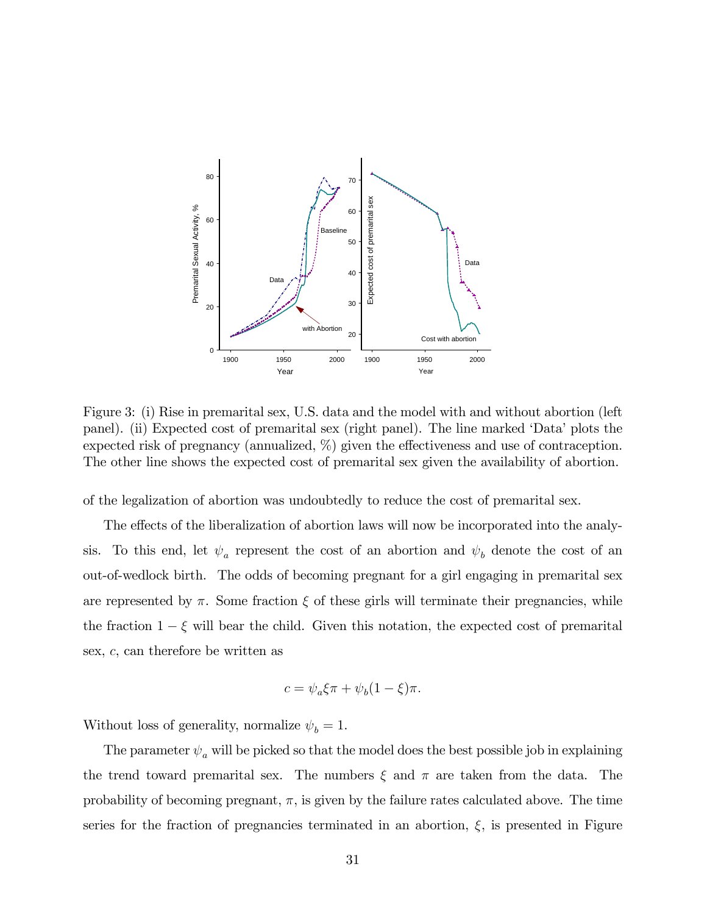

Figure 3: (i) Rise in premarital sex, U.S. data and the model with and without abortion (left panel). (ii) Expected cost of premarital sex (right panel). The line marked 'Data' plots the expected risk of pregnancy (annualized,  $\%$ ) given the effectiveness and use of contraception. The other line shows the expected cost of premarital sex given the availability of abortion.

of the legalization of abortion was undoubtedly to reduce the cost of premarital sex.

The effects of the liberalization of abortion laws will now be incorporated into the analysis. To this end, let  $\psi_a$  represent the cost of an abortion and  $\psi_b$  denote the cost of an out-of-wedlock birth. The odds of becoming pregnant for a girl engaging in premarital sex are represented by  $\pi$ . Some fraction  $\xi$  of these girls will terminate their pregnancies, while the fraction  $1 - \xi$  will bear the child. Given this notation, the expected cost of premarital sex, c, can therefore be written as

$$
c = \psi_a \xi \pi + \psi_b (1 - \xi) \pi.
$$

Without loss of generality, normalize  $\psi_b = 1$ .

The parameter  $\psi_a$  will be picked so that the model does the best possible job in explaining the trend toward premarital sex. The numbers  $\xi$  and  $\pi$  are taken from the data. The probability of becoming pregnant,  $\pi$ , is given by the failure rates calculated above. The time series for the fraction of pregnancies terminated in an abortion,  $\xi$ , is presented in Figure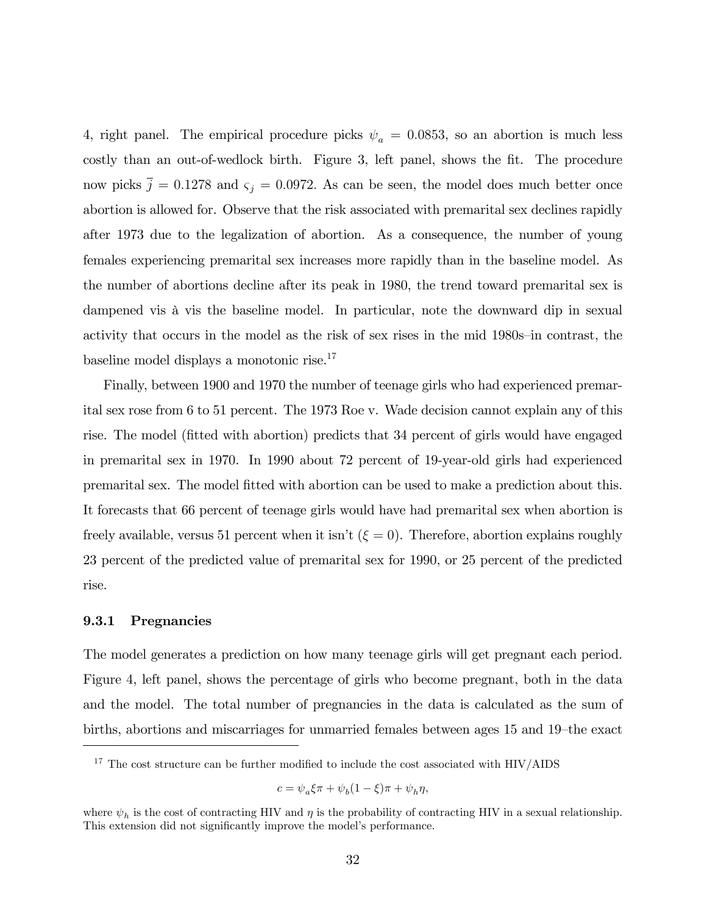4, right panel. The empirical procedure picks  $\psi_a = 0.0853$ , so an abortion is much less costly than an out-of-wedlock birth. Figure 3, left panel, shows the fit. The procedure now picks  $\bar{j} = 0.1278$  and  $\varsigma_j = 0.0972$ . As can be seen, the model does much better once abortion is allowed for. Observe that the risk associated with premarital sex declines rapidly after 1973 due to the legalization of abortion. As a consequence, the number of young females experiencing premarital sex increases more rapidly than in the baseline model. As the number of abortions decline after its peak in 1980, the trend toward premarital sex is dampened vis à vis the baseline model. In particular, note the downward dip in sexual activity that occurs in the model as the risk of sex rises in the mid 1980s-in contrast, the baseline model displays a monotonic rise.<sup>17</sup>

Finally, between 1900 and 1970 the number of teenage girls who had experienced premarital sex rose from 6 to 51 percent. The 1973 Roe v. Wade decision cannot explain any of this rise. The model (Ötted with abortion) predicts that 34 percent of girls would have engaged in premarital sex in 1970. In 1990 about 72 percent of 19-year-old girls had experienced premarital sex. The model Ötted with abortion can be used to make a prediction about this. It forecasts that 66 percent of teenage girls would have had premarital sex when abortion is freely available, versus 51 percent when it isn't ( $\xi = 0$ ). Therefore, abortion explains roughly 23 percent of the predicted value of premarital sex for 1990, or 25 percent of the predicted rise.

#### 9.3.1 Pregnancies

The model generates a prediction on how many teenage girls will get pregnant each period. Figure 4, left panel, shows the percentage of girls who become pregnant, both in the data and the model. The total number of pregnancies in the data is calculated as the sum of births, abortions and miscarriages for unmarried females between ages 15 and 19<sup>th</sup>he exact

$$
c=\psi_a\xi\pi+\psi_b(1-\xi)\pi+\psi_h\eta,
$$

 $17$  The cost structure can be further modified to include the cost associated with HIV/AIDS

where  $\psi_h$  is the cost of contracting HIV and  $\eta$  is the probability of contracting HIV in a sexual relationship. This extension did not significantly improve the model's performance.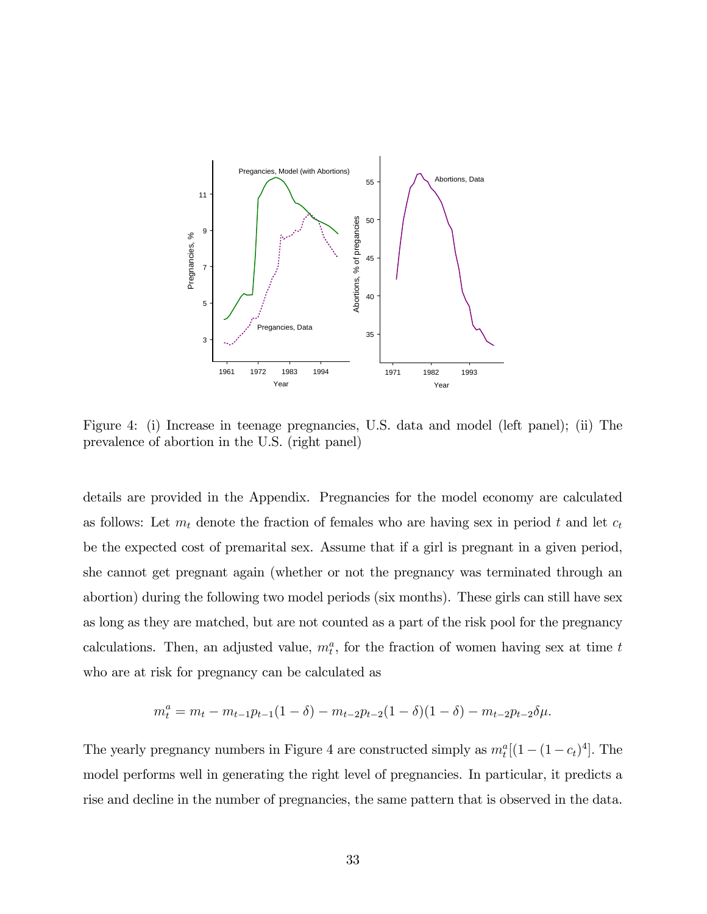

Figure 4: (i) Increase in teenage pregnancies, U.S. data and model (left panel); (ii) The prevalence of abortion in the U.S. (right panel)

details are provided in the Appendix. Pregnancies for the model economy are calculated as follows: Let  $m_t$  denote the fraction of females who are having sex in period t and let  $c_t$ be the expected cost of premarital sex. Assume that if a girl is pregnant in a given period, she cannot get pregnant again (whether or not the pregnancy was terminated through an abortion) during the following two model periods (six months). These girls can still have sex as long as they are matched, but are not counted as a part of the risk pool for the pregnancy calculations. Then, an adjusted value,  $m_t^a$ , for the fraction of women having sex at time t who are at risk for pregnancy can be calculated as

$$
m_t^a = m_t - m_{t-1}p_{t-1}(1-\delta) - m_{t-2}p_{t-2}(1-\delta)(1-\delta) - m_{t-2}p_{t-2}\delta\mu.
$$

The yearly pregnancy numbers in Figure 4 are constructed simply as  $m_t^a[(1-(1-c_t)^4]$ . The model performs well in generating the right level of pregnancies. In particular, it predicts a rise and decline in the number of pregnancies, the same pattern that is observed in the data.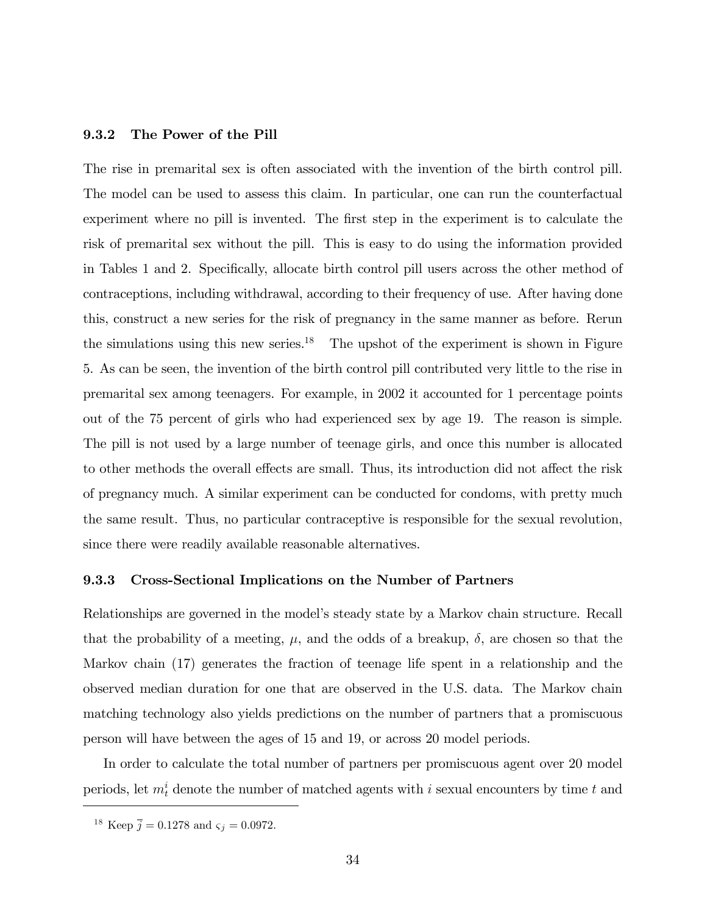#### 9.3.2 The Power of the Pill

The rise in premarital sex is often associated with the invention of the birth control pill. The model can be used to assess this claim. In particular, one can run the counterfactual experiment where no pill is invented. The first step in the experiment is to calculate the risk of premarital sex without the pill. This is easy to do using the information provided in Tables 1 and 2. Specifically, allocate birth control pill users across the other method of contraceptions, including withdrawal, according to their frequency of use. After having done this, construct a new series for the risk of pregnancy in the same manner as before. Rerun the simulations using this new series.<sup>18</sup> The upshot of the experiment is shown in Figure 5. As can be seen, the invention of the birth control pill contributed very little to the rise in premarital sex among teenagers. For example, in 2002 it accounted for 1 percentage points out of the 75 percent of girls who had experienced sex by age 19. The reason is simple. The pill is not used by a large number of teenage girls, and once this number is allocated to other methods the overall effects are small. Thus, its introduction did not affect the risk of pregnancy much. A similar experiment can be conducted for condoms, with pretty much the same result. Thus, no particular contraceptive is responsible for the sexual revolution, since there were readily available reasonable alternatives.

#### 9.3.3 Cross-Sectional Implications on the Number of Partners

Relationships are governed in the model's steady state by a Markov chain structure. Recall that the probability of a meeting,  $\mu$ , and the odds of a breakup,  $\delta$ , are chosen so that the Markov chain (17) generates the fraction of teenage life spent in a relationship and the observed median duration for one that are observed in the U.S. data. The Markov chain matching technology also yields predictions on the number of partners that a promiscuous person will have between the ages of 15 and 19, or across 20 model periods.

In order to calculate the total number of partners per promiscuous agent over 20 model periods, let  $m_t^i$  denote the number of matched agents with i sexual encounters by time t and

<sup>&</sup>lt;sup>18</sup> Keep  $\bar{j} = 0.1278$  and  $\varsigma_j = 0.0972$ .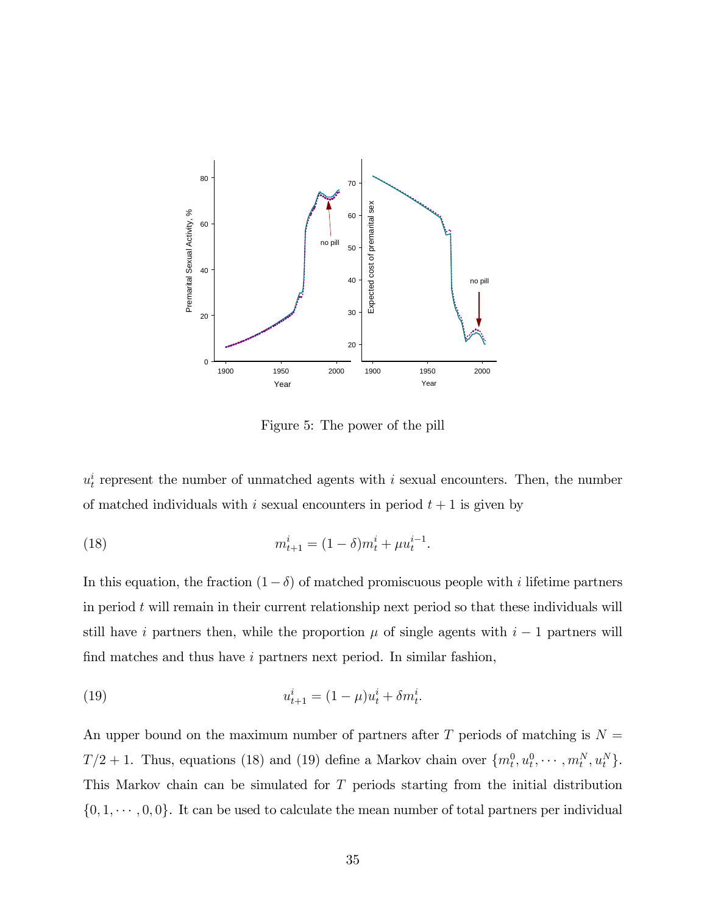

Figure 5: The power of the pill

 $u_t^i$  represent the number of unmatched agents with i sexual encounters. Then, the number of matched individuals with i sexual encounters in period  $t + 1$  is given by

(18) 
$$
m_{t+1}^i = (1 - \delta)m_t^i + \mu u_t^{i-1}.
$$

In this equation, the fraction  $(1-\delta)$  of matched promiscuous people with *i* lifetime partners in period  $t$  will remain in their current relationship next period so that these individuals will still have i partners then, while the proportion  $\mu$  of single agents with  $i-1$  partners will find matches and thus have  $i$  partners next period. In similar fashion,

(19) 
$$
u_{t+1}^i = (1 - \mu)u_t^i + \delta m_t^i.
$$

An upper bound on the maximum number of partners after T periods of matching is  $N =$  $T/2 + 1$ . Thus, equations (18) and (19) define a Markov chain over  $\{m_t^0, u_t^0, \cdots, m_t^N, u_t^N\}$ . This Markov chain can be simulated for T periods starting from the initial distribution  $\{0, 1, \dots, 0, 0\}$ . It can be used to calculate the mean number of total partners per individual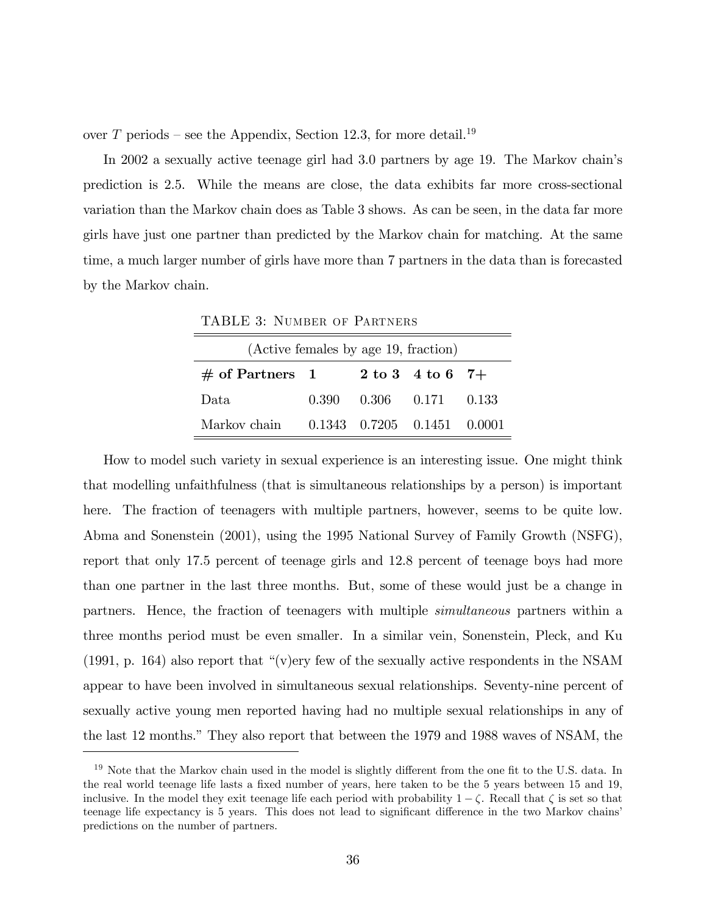over T periods – see the Appendix, Section 12.3, for more detail.<sup>19</sup>

In 2002 a sexually active teenage girl had 3.0 partners by age 19. The Markov chain's prediction is 2.5. While the means are close, the data exhibits far more cross-sectional variation than the Markov chain does as Table 3 shows. As can be seen, in the data far more girls have just one partner than predicted by the Markov chain for matching. At the same time, a much larger number of girls have more than 7 partners in the data than is forecasted by the Markov chain.

| (Active females by age 19, fraction) |       |                                     |                    |       |  |  |  |  |  |  |  |
|--------------------------------------|-------|-------------------------------------|--------------------|-------|--|--|--|--|--|--|--|
| $\#$ of Partners 1                   |       |                                     | 2 to 3 4 to 6 $7+$ |       |  |  |  |  |  |  |  |
| Data.                                | 0.390 | $0.306$ $0.171$                     |                    | 0.133 |  |  |  |  |  |  |  |
| Markov chain                         |       | $0.1343$ $0.7205$ $0.1451$ $0.0001$ |                    |       |  |  |  |  |  |  |  |

TABLE 3: NUMBER OF PARTNERS

How to model such variety in sexual experience is an interesting issue. One might think that modelling unfaithfulness (that is simultaneous relationships by a person) is important here. The fraction of teenagers with multiple partners, however, seems to be quite low. Abma and Sonenstein (2001), using the 1995 National Survey of Family Growth (NSFG), report that only 17.5 percent of teenage girls and 12.8 percent of teenage boys had more than one partner in the last three months. But, some of these would just be a change in partners. Hence, the fraction of teenagers with multiple simultaneous partners within a three months period must be even smaller. In a similar vein, Sonenstein, Pleck, and Ku  $(1991, p. 164)$  also report that "(v)ery few of the sexually active respondents in the NSAM appear to have been involved in simultaneous sexual relationships. Seventy-nine percent of sexually active young men reported having had no multiple sexual relationships in any of the last 12 months." They also report that between the 1979 and 1988 waves of NSAM, the

 $19$  Note that the Markov chain used in the model is slightly different from the one fit to the U.S. data. In the real world teenage life lasts a fixed number of years, here taken to be the 5 years between 15 and 19, inclusive. In the model they exit teenage life each period with probability  $1 - \zeta$ . Recall that  $\zeta$  is set so that teenage life expectancy is 5 years. This does not lead to significant difference in the two Markov chains' predictions on the number of partners.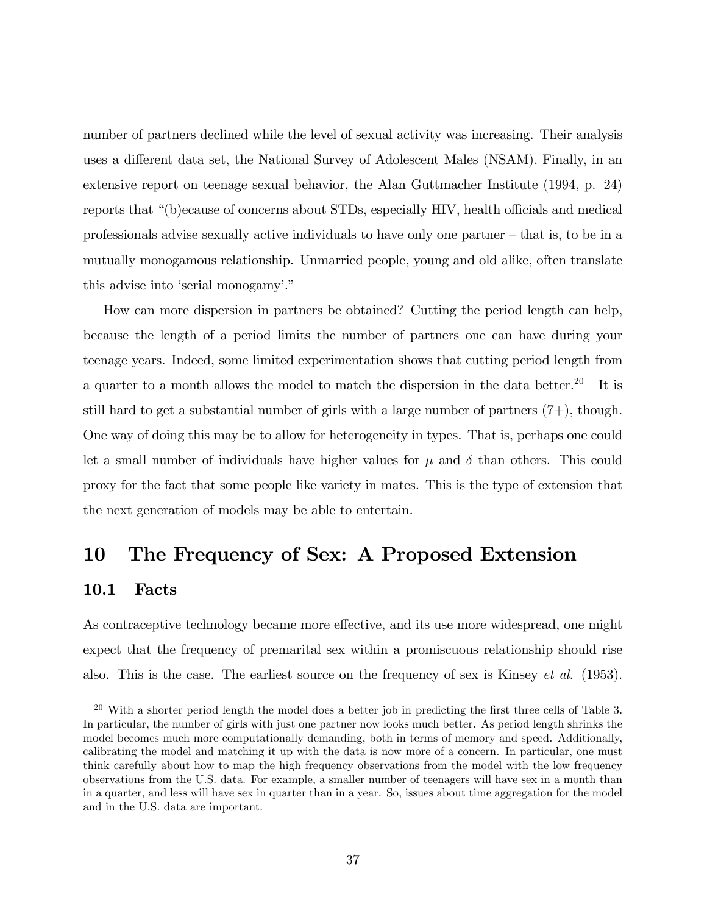number of partners declined while the level of sexual activity was increasing. Their analysis uses a different data set, the National Survey of Adolescent Males (NSAM). Finally, in an extensive report on teenage sexual behavior, the Alan Guttmacher Institute (1994, p. 24) reports that "(b)ecause of concerns about STDs, especially HIV, health officials and medical professionals advise sexually active individuals to have only one partner  $-\text{ that is, to be in a}$ mutually monogamous relationship. Unmarried people, young and old alike, often translate this advise into 'serial monogamy'."

How can more dispersion in partners be obtained? Cutting the period length can help, because the length of a period limits the number of partners one can have during your teenage years. Indeed, some limited experimentation shows that cutting period length from a quarter to a month allows the model to match the dispersion in the data better.<sup>20</sup> It is still hard to get a substantial number of girls with a large number of partners  $(7+)$ , though. One way of doing this may be to allow for heterogeneity in types. That is, perhaps one could let a small number of individuals have higher values for  $\mu$  and  $\delta$  than others. This could proxy for the fact that some people like variety in mates. This is the type of extension that the next generation of models may be able to entertain.

# 10 The Frequency of Sex: A Proposed Extension

#### 10.1 Facts

As contraceptive technology became more effective, and its use more widespread, one might expect that the frequency of premarital sex within a promiscuous relationship should rise also. This is the case. The earliest source on the frequency of sex is Kinsey et al. (1953).

 $20$  With a shorter period length the model does a better job in predicting the first three cells of Table 3. In particular, the number of girls with just one partner now looks much better. As period length shrinks the model becomes much more computationally demanding, both in terms of memory and speed. Additionally, calibrating the model and matching it up with the data is now more of a concern. In particular, one must think carefully about how to map the high frequency observations from the model with the low frequency observations from the U.S. data. For example, a smaller number of teenagers will have sex in a month than in a quarter, and less will have sex in quarter than in a year. So, issues about time aggregation for the model and in the U.S. data are important.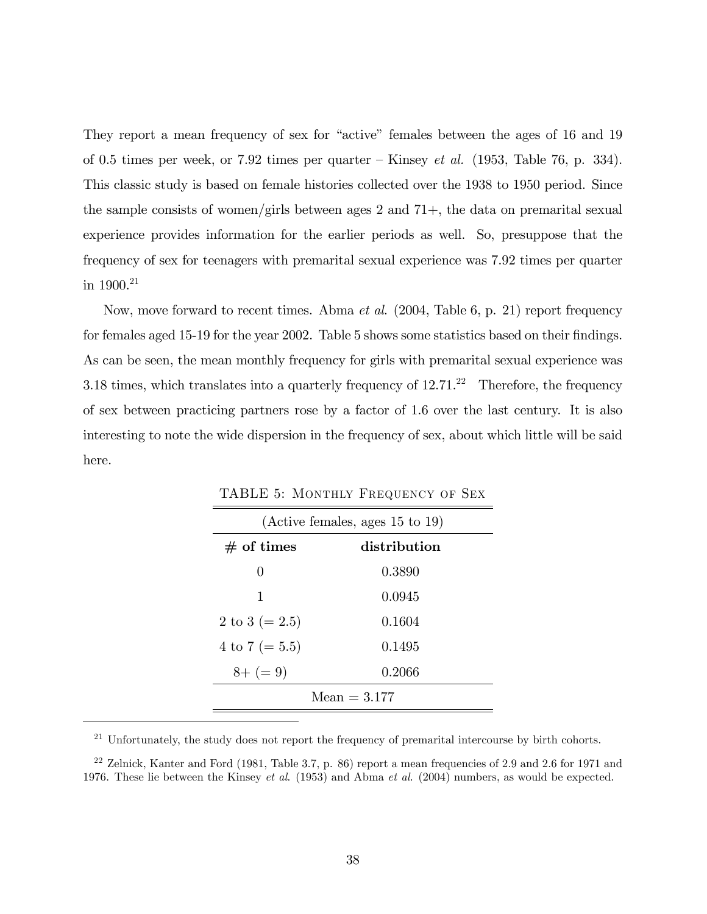They report a mean frequency of sex for "active" females between the ages of 16 and 19 of 0.5 times per week, or 7.92 times per quarter  $\overline{\phantom{a}}$ Kinsey *et al.* (1953, Table 76, p. 334). This classic study is based on female histories collected over the 1938 to 1950 period. Since the sample consists of women/girls between ages 2 and  $71+$ , the data on premarital sexual experience provides information for the earlier periods as well. So, presuppose that the frequency of sex for teenagers with premarital sexual experience was 7.92 times per quarter in  $1900.^{21}$ 

Now, move forward to recent times. Abma *et al.* (2004, Table 6, p. 21) report frequency for females aged 15-19 for the year 2002. Table 5 shows some statistics based on their findings. As can be seen, the mean monthly frequency for girls with premarital sexual experience was 3.18 times, which translates into a quarterly frequency of  $12.71<sup>22</sup>$  Therefore, the frequency of sex between practicing partners rose by a factor of 1.6 over the last century. It is also interesting to note the wide dispersion in the frequency of sex, about which little will be said here.

| (Active females, ages 15 to 19) |        |  |  |  |  |  |  |  |  |
|---------------------------------|--------|--|--|--|--|--|--|--|--|
| $#$ of times<br>distribution    |        |  |  |  |  |  |  |  |  |
| $\theta$                        | 0.3890 |  |  |  |  |  |  |  |  |
| 1                               | 0.0945 |  |  |  |  |  |  |  |  |
| 2 to 3 ( $= 2.5$ )              | 0.1604 |  |  |  |  |  |  |  |  |
| 4 to 7 ( $= 5.5$ )              | 0.1495 |  |  |  |  |  |  |  |  |
| $8+ (= 9)$                      | 0.2066 |  |  |  |  |  |  |  |  |
| $Mean = 3.177$                  |        |  |  |  |  |  |  |  |  |

TABLE 5: Monthly Frequency of Sex

<sup>21</sup> Unfortunately, the study does not report the frequency of premarital intercourse by birth cohorts.

 $22$  Zelnick, Kanter and Ford (1981, Table 3.7, p. 86) report a mean frequencies of 2.9 and 2.6 for 1971 and 1976. These lie between the Kinsey *et al.* (1953) and Abma *et al.* (2004) numbers, as would be expected.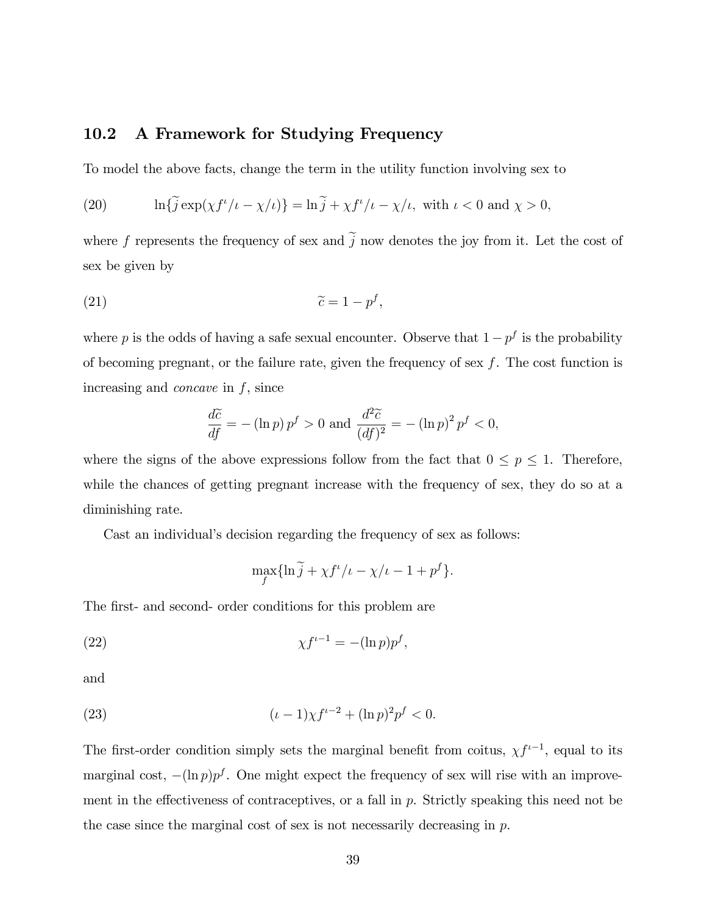#### 10.2 A Framework for Studying Frequency

To model the above facts, change the term in the utility function involving sex to

(20) 
$$
\ln\{\tilde{j}\exp(\chi f^{\iota}/\iota-\chi/\iota)\}=\ln\tilde{j}+\chi f^{\iota}/\iota-\chi/\iota,\text{ with }\iota<0\text{ and }\chi>0,
$$

where f represents the frequency of sex and  $\tilde{j}$  now denotes the joy from it. Let the cost of sex be given by

$$
\widetilde{c} = 1 - p^f,
$$

where p is the odds of having a safe sexual encounter. Observe that  $1 - p<sup>f</sup>$  is the probability of becoming pregnant, or the failure rate, given the frequency of sex  $f$ . The cost function is increasing and *concave* in  $f$ , since

$$
\frac{d\widetilde{c}}{df} = -(\ln p) p^f > 0 \text{ and } \frac{d^2 \widetilde{c}}{(df)^2} = -(\ln p)^2 p^f < 0,
$$

where the signs of the above expressions follow from the fact that  $0 \le p \le 1$ . Therefore, while the chances of getting pregnant increase with the frequency of sex, they do so at a diminishing rate.

Cast an individual's decision regarding the frequency of sex as follows:

$$
\max_{f} \{ \ln \widetilde{j} + \chi f^{\iota}/\iota - \chi/\iota - 1 + p^{f} \}.
$$

The first- and second- order conditions for this problem are

$$
\chi f^{\iota - 1} = -(\ln p)p^f,
$$

and

(23) 
$$
(\iota - 1)\chi f^{\iota - 2} + (\ln p)^2 p^f < 0.
$$

The first-order condition simply sets the marginal benefit from coitus,  $\chi f^{i-1}$ , equal to its marginal cost,  $-(\ln p)p^f$ . One might expect the frequency of sex will rise with an improvement in the effectiveness of contraceptives, or a fall in  $p$ . Strictly speaking this need not be the case since the marginal cost of sex is not necessarily decreasing in  $p$ .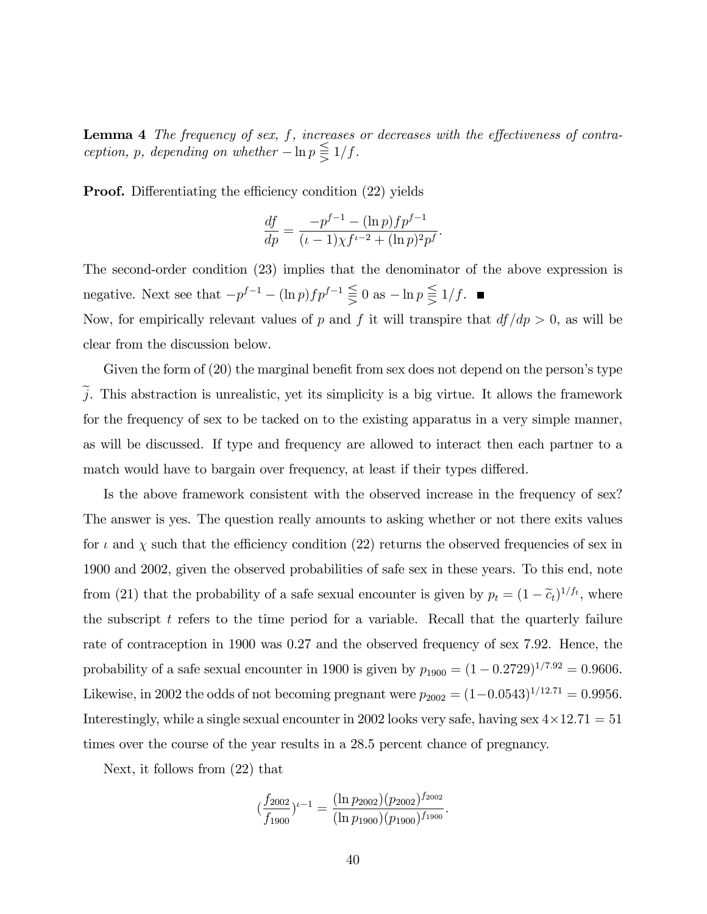Lemma  $4$  The frequency of sex,  $f$ , increases or decreases with the effectiveness of contraception, p, depending on whether  $-\ln p \leq \frac{1}{5} 1/f$ .

**Proof.** Differentiating the efficiency condition (22) yields

$$
\frac{df}{dp} = \frac{-p^{f-1} - (\ln p)fp^{f-1}}{(\iota - 1)\chi f^{\iota - 2} + (\ln p)^2 p^f}
$$

:

The second-order condition (23) implies that the denominator of the above expression is negative. Next see that  $-p^{f-1} - (\ln p)fp^{f-1} \leq 0$  as  $-\ln p \leq 1/f$ . Now, for empirically relevant values of p and f it will transpire that  $df/dp > 0$ , as will be

Given the form of  $(20)$  the marginal benefit from sex does not depend on the person's type  $\tilde{j}$ . This abstraction is unrealistic, yet its simplicity is a big virtue. It allows the framework for the frequency of sex to be tacked on to the existing apparatus in a very simple manner, as will be discussed. If type and frequency are allowed to interact then each partner to a match would have to bargain over frequency, at least if their types differed.

Is the above framework consistent with the observed increase in the frequency of sex? The answer is yes. The question really amounts to asking whether or not there exits values for  $\iota$  and  $\chi$  such that the efficiency condition (22) returns the observed frequencies of sex in 1900 and 2002, given the observed probabilities of safe sex in these years. To this end, note from (21) that the probability of a safe sexual encounter is given by  $p_t = (1 - \tilde{c}_t)^{1/f_t}$ , where the subscript  $t$  refers to the time period for a variable. Recall that the quarterly failure rate of contraception in 1900 was 0.27 and the observed frequency of sex 7.92. Hence, the probability of a safe sexual encounter in 1900 is given by  $p_{1900} = (1 - 0.2729)^{1/7.92} = 0.9606$ . Likewise, in 2002 the odds of not becoming pregnant were  $p_{2002} = (1-0.0543)^{1/12.71} = 0.9956$ . Interestingly, while a single sexual encounter in 2002 looks very safe, having sex  $4 \times 12.71 = 51$ times over the course of the year results in a 28.5 percent chance of pregnancy.

Next, it follows from (22) that

clear from the discussion below.

$$
\left(\frac{f_{2002}}{f_{1900}}\right)^{t-1} = \frac{(\ln p_{2002})(p_{2002})^{f_{2002}}}{(\ln p_{1900})(p_{1900})^{f_{1900}}}.
$$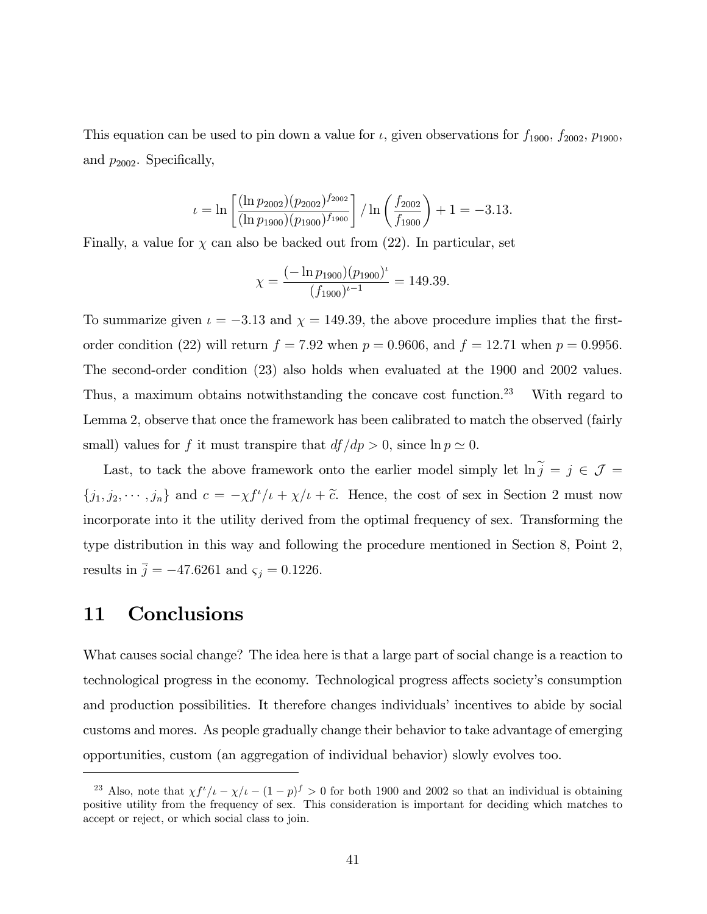This equation can be used to pin down a value for  $\iota$ , given observations for  $f_{1900}$ ,  $f_{2002}$ ,  $p_{1900}$ , and  $p_{2002}$ . Specifically,

$$
\iota = \ln \left[ \frac{(\ln p_{2002})(p_{2002})^{f_{2002}}}{(\ln p_{1900})(p_{1900})^{f_{1900}}} \right] / \ln \left( \frac{f_{2002}}{f_{1900}} \right) + 1 = -3.13.
$$

Finally, a value for  $\chi$  can also be backed out from (22). In particular, set

$$
\chi = \frac{(-\ln p_{1900})(p_{1900})^{\iota}}{(f_{1900})^{\iota - 1}} = 149.39.
$$

To summarize given  $\iota = -3.13$  and  $\chi = 149.39$ , the above procedure implies that the firstorder condition (22) will return  $f = 7.92$  when  $p = 0.9606$ , and  $f = 12.71$  when  $p = 0.9956$ . The second-order condition (23) also holds when evaluated at the 1900 and 2002 values. Thus, a maximum obtains notwithstanding the concave cost function.<sup>23</sup> With regard to Lemma 2, observe that once the framework has been calibrated to match the observed (fairly small) values for f it must transpire that  $df/dp > 0$ , since  $\ln p \simeq 0$ .

Last, to tack the above framework onto the earlier model simply let  $\ln \tilde{j} = j \in \mathcal{J}$  =  $\{j_1, j_2, \dots, j_n\}$  and  $c = -\chi f^t/\iota + \chi/\iota + \tilde{c}$ . Hence, the cost of sex in Section 2 must now incorporate into it the utility derived from the optimal frequency of sex. Transforming the type distribution in this way and following the procedure mentioned in Section 8, Point 2, results in  $\overline{j} = -47.6261$  and  $\varsigma_j = 0.1226$ .

# 11 Conclusions

What causes social change? The idea here is that a large part of social change is a reaction to technological progress in the economy. Technological progress affects society's consumption and production possibilities. It therefore changes individuals' incentives to abide by social customs and mores. As people gradually change their behavior to take advantage of emerging opportunities, custom (an aggregation of individual behavior) slowly evolves too.

<sup>&</sup>lt;sup>23</sup> Also, note that  $\chi f^{\mu}/\iota - \chi/\iota - (1 - p)f > 0$  for both 1900 and 2002 so that an individual is obtaining positive utility from the frequency of sex. This consideration is important for deciding which matches to accept or reject, or which social class to join.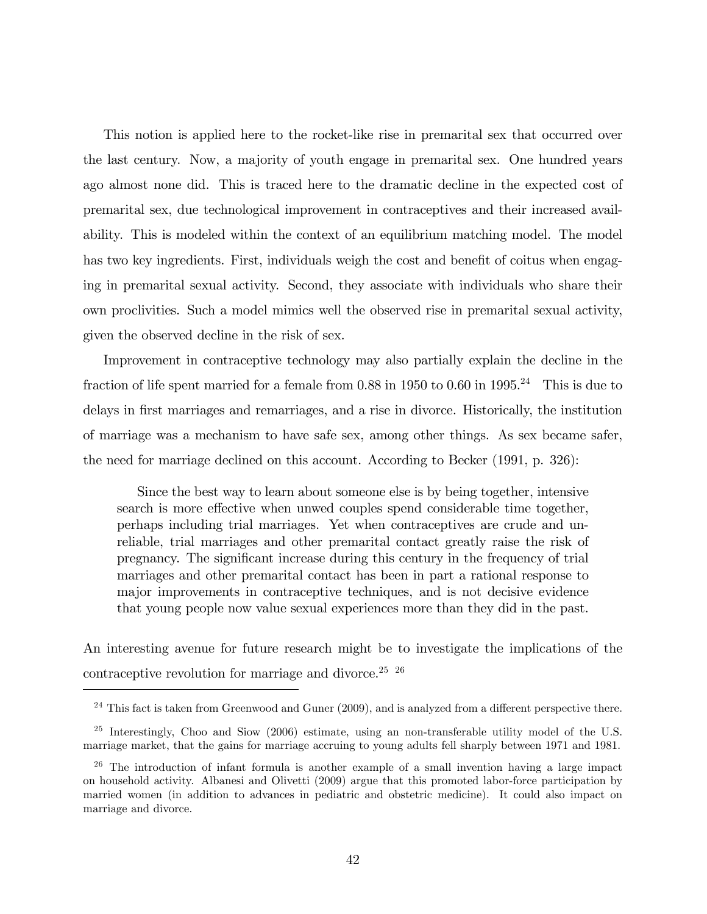This notion is applied here to the rocket-like rise in premarital sex that occurred over the last century. Now, a majority of youth engage in premarital sex. One hundred years ago almost none did. This is traced here to the dramatic decline in the expected cost of premarital sex, due technological improvement in contraceptives and their increased availability. This is modeled within the context of an equilibrium matching model. The model has two key ingredients. First, individuals weigh the cost and benefit of coitus when engaging in premarital sexual activity. Second, they associate with individuals who share their own proclivities. Such a model mimics well the observed rise in premarital sexual activity, given the observed decline in the risk of sex.

Improvement in contraceptive technology may also partially explain the decline in the fraction of life spent married for a female from  $0.88$  in  $1950$  to  $0.60$  in  $1995.<sup>24</sup>$  This is due to delays in first marriages and remarriages, and a rise in divorce. Historically, the institution of marriage was a mechanism to have safe sex, among other things. As sex became safer, the need for marriage declined on this account. According to Becker (1991, p. 326):

Since the best way to learn about someone else is by being together, intensive search is more effective when unwed couples spend considerable time together, perhaps including trial marriages. Yet when contraceptives are crude and unreliable, trial marriages and other premarital contact greatly raise the risk of pregnancy. The signiÖcant increase during this century in the frequency of trial marriages and other premarital contact has been in part a rational response to major improvements in contraceptive techniques, and is not decisive evidence that young people now value sexual experiences more than they did in the past.

An interesting avenue for future research might be to investigate the implications of the contraceptive revolution for marriage and divorce.<sup>25 26</sup>

 $24$  This fact is taken from Greenwood and Guner (2009), and is analyzed from a different perspective there.

<sup>&</sup>lt;sup>25</sup> Interestingly, Choo and Siow (2006) estimate, using an non-transferable utility model of the U.S. marriage market, that the gains for marriage accruing to young adults fell sharply between 1971 and 1981.

 $26$  The introduction of infant formula is another example of a small invention having a large impact on household activity. Albanesi and Olivetti (2009) argue that this promoted labor-force participation by married women (in addition to advances in pediatric and obstetric medicine). It could also impact on marriage and divorce.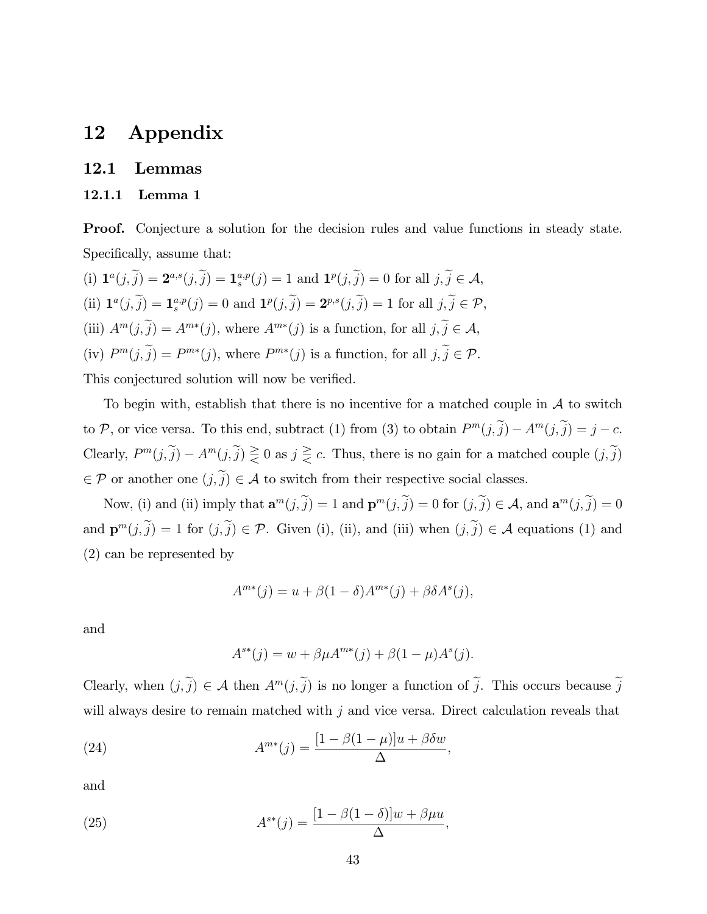# 12 Appendix

#### 12.1 Lemmas

#### 12.1.1 Lemma 1

Proof. Conjecture a solution for the decision rules and value functions in steady state. Specifically, assume that:

(i)  $\mathbf{1}^{a}(j, \tilde{j}) = \mathbf{2}^{a,s}(j, \tilde{j}) = \mathbf{1}^{a,p}(j) = 1$  and  $\mathbf{1}^{p}(j, \tilde{j}) = 0$  for all  $j, \tilde{j} \in \mathcal{A}$ , (ii)  $\mathbf{1}^a(j, \tilde{j}) = \mathbf{1}_s^{a,p}(j) = 0$  and  $\mathbf{1}^p(j, \tilde{j}) = \mathbf{2}^{p,s}(j, \tilde{j}) = 1$  for all  $j, \tilde{j} \in \mathcal{P}$ , (iii)  $A^m(j, \tilde{j}) = A^{m*}(j)$ , where  $A^{m*}(j)$  is a function, for all  $j, \tilde{j} \in \mathcal{A}$ , (iv)  $P^m(j, j) = P^{m*}(j)$ , where  $P^{m*}(j)$  is a function, for all  $j, j \in \mathcal{P}$ . This conjectured solution will now be verified.

To begin with, establish that there is no incentive for a matched couple in  $A$  to switch to P, or vice versa. To this end, subtract (1) from (3) to obtain  $P^m(j, \tilde{j}) - A^m(j, \tilde{j}) = j - c$ . Clearly,  $P^m(j, \tilde{j}) - A^m(j, \tilde{j}) \ge 0$  as  $j \ge c$ . Thus, there is no gain for a matched couple  $(j, \tilde{j})$  $\in \mathcal{P}$  or another one  $(j, \tilde{j}) \in \mathcal{A}$  to switch from their respective social classes.

Now, (i) and (ii) imply that  $\mathbf{a}^m(j, \tilde{j}) = 1$  and  $\mathbf{p}^m(j, \tilde{j}) = 0$  for  $(j, \tilde{j}) \in \mathcal{A}$ , and  $\mathbf{a}^m(j, \tilde{j}) = 0$ and  $\mathbf{p}^m(j, \tilde{j}) = 1$  for  $(j, \tilde{j}) \in \mathcal{P}$ . Given (i), (ii), and (iii) when  $(j, \tilde{j}) \in \mathcal{A}$  equations (1) and (2) can be represented by

$$
A^{m*}(j) = u + \beta(1 - \delta)A^{m*}(j) + \beta \delta A^{s}(j),
$$

and

$$
A^{**}(j) = w + \beta \mu A^{m*}(j) + \beta (1 - \mu) A^{s}(j).
$$

Clearly, when  $(j, \tilde{j}) \in \mathcal{A}$  then  $A^m(j, \tilde{j})$  is no longer a function of  $\tilde{j}$ . This occurs because  $\tilde{j}$ will always desire to remain matched with j and vice versa. Direct calculation reveals that

(24) 
$$
A^{m*}(j) = \frac{[1 - \beta(1 - \mu)]u + \beta\delta w}{\Delta},
$$

and

(25) 
$$
A^{s*}(j) = \frac{[1 - \beta(1 - \delta)]w + \beta\mu u}{\Delta},
$$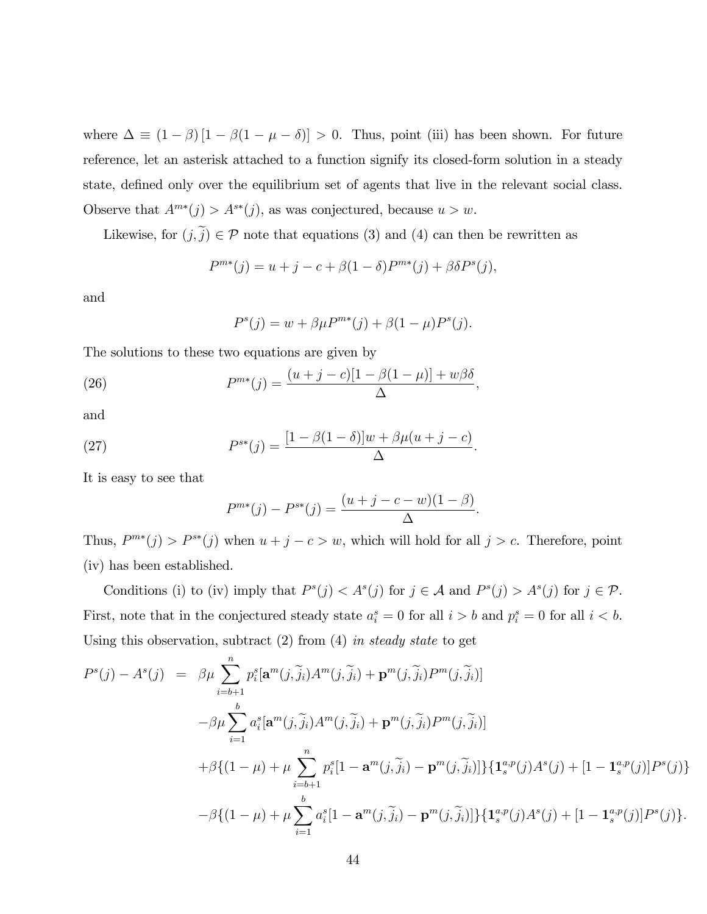where  $\Delta \equiv (1 - \beta) [1 - \beta (1 - \mu - \delta)] > 0$ . Thus, point (iii) has been shown. For future reference, let an asterisk attached to a function signify its closed-form solution in a steady state, defined only over the equilibrium set of agents that live in the relevant social class. Observe that  $A^{m*}(j) > A^{s*}(j)$ , as was conjectured, because  $u > w$ .

Likewise, for  $(j, \tilde{j}) \in \mathcal{P}$  note that equations (3) and (4) can then be rewritten as

$$
P^{m*}(j) = u + j - c + \beta(1 - \delta)P^{m*}(j) + \beta \delta P^{s}(j),
$$

and

$$
P^{s}(j) = w + \beta \mu P^{m*}(j) + \beta (1 - \mu) P^{s}(j).
$$

;

The solutions to these two equations are given by

(26) 
$$
P^{m*}(j) = \frac{(u+j-c)[1-\beta(1-\mu)] + w\beta\delta}{\Delta}
$$

and

(27) 
$$
P^{s*}(j) = \frac{[1-\beta(1-\delta)]w + \beta\mu(u+j-c)}{\Delta}.
$$

It is easy to see that

$$
P^{m*}(j) - P^{s*}(j) = \frac{(u+j-c-w)(1-\beta)}{\Delta}.
$$

Thus,  $P^{m*}(j) > P^{s*}(j)$  when  $u + j - c > w$ , which will hold for all  $j > c$ . Therefore, point (iv) has been established.

Conditions (i) to (iv) imply that  $P^{s}(j) < A^{s}(j)$  for  $j \in \mathcal{A}$  and  $P^{s}(j) > A^{s}(j)$  for  $j \in \mathcal{P}$ . First, note that in the conjectured steady state  $a_i^s = 0$  for all  $i > b$  and  $p_i^s = 0$  for all  $i < b$ . Using this observation, subtract  $(2)$  from  $(4)$  in steady state to get

$$
P^{s}(j) - A^{s}(j) = \beta \mu \sum_{i=b+1}^{n} p_{i}^{s} [\mathbf{a}^{m}(j, \tilde{j}_{i}) A^{m}(j, \tilde{j}_{i}) + \mathbf{p}^{m}(j, \tilde{j}_{i}) P^{m}(j, \tilde{j}_{i})]
$$
  

$$
-\beta \mu \sum_{i=1}^{b} a_{i}^{s} [\mathbf{a}^{m}(j, \tilde{j}_{i}) A^{m}(j, \tilde{j}_{i}) + \mathbf{p}^{m}(j, \tilde{j}_{i}) P^{m}(j, \tilde{j}_{i})]
$$
  

$$
+ \beta \{ (1 - \mu) + \mu \sum_{i=b+1}^{n} p_{i}^{s} [1 - \mathbf{a}^{m}(j, \tilde{j}_{i}) - \mathbf{p}^{m}(j, \tilde{j}_{i})] \} \{ \mathbf{1}_{s}^{a,p}(j) A^{s}(j) + [1 - \mathbf{1}_{s}^{a,p}(j)] P^{s}(j) \}
$$
  

$$
- \beta \{ (1 - \mu) + \mu \sum_{i=1}^{b} a_{i}^{s} [1 - \mathbf{a}^{m}(j, \tilde{j}_{i}) - \mathbf{p}^{m}(j, \tilde{j}_{i})] \} \{ \mathbf{1}_{s}^{a,p}(j) A^{s}(j) + [1 - \mathbf{1}_{s}^{a,p}(j)] P^{s}(j) \}.
$$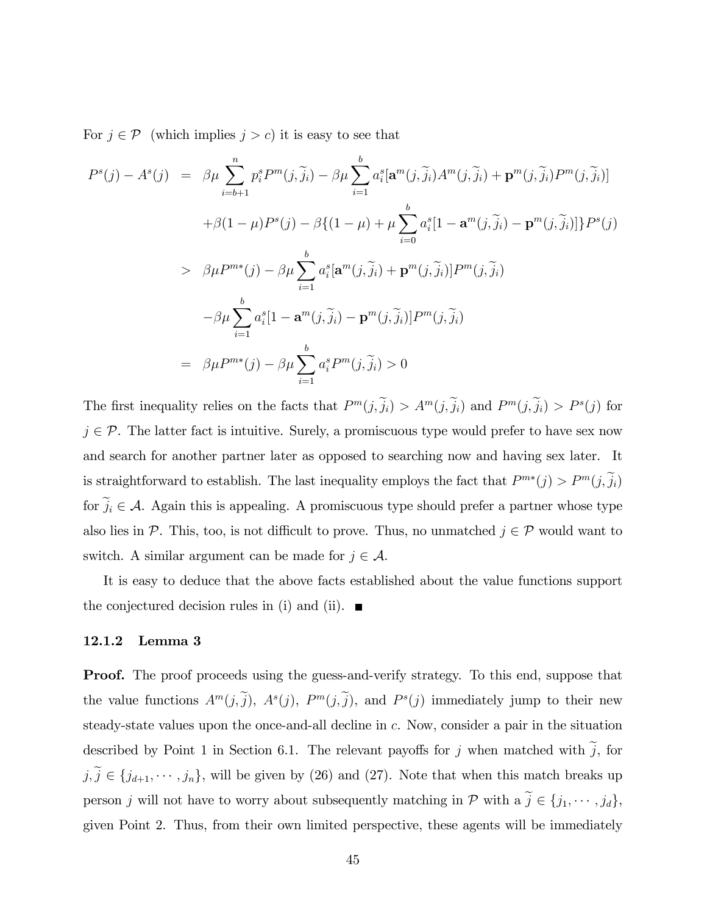For  $j \in \mathcal{P}$  (which implies  $j > c$ ) it is easy to see that

$$
P^{s}(j) - A^{s}(j) = \beta \mu \sum_{i=b+1}^{n} p_{i}^{s} P^{m}(j, \tilde{j}_{i}) - \beta \mu \sum_{i=1}^{b} a_{i}^{s} [\mathbf{a}^{m}(j, \tilde{j}_{i}) A^{m}(j, \tilde{j}_{i}) + \mathbf{p}^{m}(j, \tilde{j}_{i}) P^{m}(j, \tilde{j}_{i})]
$$
  
+  $\beta(1 - \mu) P^{s}(j) - \beta \{(1 - \mu) + \mu \sum_{i=0}^{b} a_{i}^{s}[1 - \mathbf{a}^{m}(j, \tilde{j}_{i}) - \mathbf{p}^{m}(j, \tilde{j}_{i})]\} P^{s}(j)$   
>  $\beta \mu P^{m*}(j) - \beta \mu \sum_{i=1}^{b} a_{i}^{s} [\mathbf{a}^{m}(j, \tilde{j}_{i}) + \mathbf{p}^{m}(j, \tilde{j}_{i})] P^{m}(j, \tilde{j}_{i})$   

$$
- \beta \mu \sum_{i=1}^{b} a_{i}^{s}[1 - \mathbf{a}^{m}(j, \tilde{j}_{i}) - \mathbf{p}^{m}(j, \tilde{j}_{i})] P^{m}(j, \tilde{j}_{i})
$$
  
=  $\beta \mu P^{m*}(j) - \beta \mu \sum_{i=1}^{b} a_{i}^{s} P^{m}(j, \tilde{j}_{i}) > 0$ 

The first inequality relies on the facts that  $P^m(j, j_i) > A^m(j, j_i)$  and  $P^m(j, j_i) > P^s(j)$  for  $j \in \mathcal{P}$ . The latter fact is intuitive. Surely, a promiscuous type would prefer to have sex now and search for another partner later as opposed to searching now and having sex later. It is straightforward to establish. The last inequality employs the fact that  $P^{m*}(j) > P^{m}(j, j_i)$ for  $\tilde{j}_i \in \mathcal{A}$ . Again this is appealing. A promiscuous type should prefer a partner whose type also lies in P. This, too, is not difficult to prove. Thus, no unmatched  $j \in \mathcal{P}$  would want to switch. A similar argument can be made for  $j \in \mathcal{A}$ .

It is easy to deduce that the above facts established about the value functions support the conjectured decision rules in (i) and (ii).  $\blacksquare$ 

#### 12.1.2 Lemma 3

**Proof.** The proof proceeds using the guess-and-verify strategy. To this end, suppose that the value functions  $A^m(j, j)$ ,  $A^s(j)$ ,  $P^m(j, j)$ , and  $P^s(j)$  immediately jump to their new steady-state values upon the once-and-all decline in c. Now, consider a pair in the situation described by Point 1 in Section 6.1. The relevant payoffs for j when matched with  $\tilde{j}$ , for  $j, \tilde{j} \in \{j_{d+1}, \dots, j_n\}$ , will be given by (26) and (27). Note that when this match breaks up person j will not have to worry about subsequently matching in  $P$  with  $a \tilde{j} \in \{j_1, \dots, j_d\}$ , given Point 2. Thus, from their own limited perspective, these agents will be immediately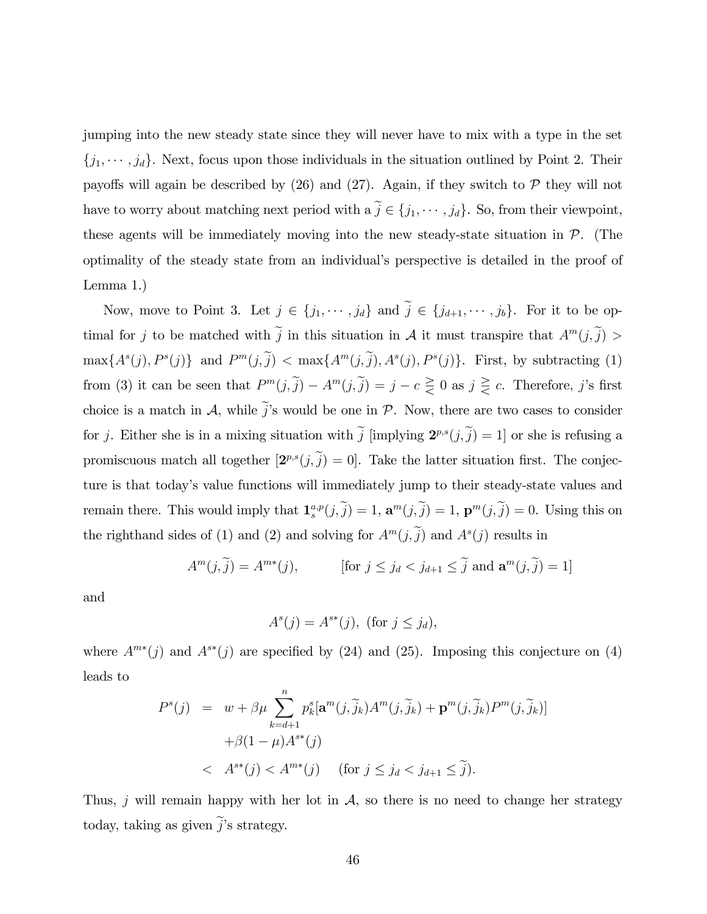jumping into the new steady state since they will never have to mix with a type in the set  $\{j_1, \dots, j_d\}$ . Next, focus upon those individuals in the situation outlined by Point 2. Their payoffs will again be described by  $(26)$  and  $(27)$ . Again, if they switch to  $P$  they will not have to worry about matching next period with  $a \tilde{j} \in \{j_1, \dots, j_d\}$ . So, from their viewpoint, these agents will be immediately moving into the new steady-state situation in  $\mathcal{P}$ . (The optimality of the steady state from an individualís perspective is detailed in the proof of Lemma 1.)

Now, move to Point 3. Let  $j \in \{j_1, \dots, j_d\}$  and  $\tilde{j} \in \{j_{d+1}, \dots, j_b\}$ . For it to be optimal for j to be matched with  $\tilde{j}$  in this situation in A it must transpire that  $A^m(j,\tilde{j})$  $\max\{A^s(j), P^s(j)\}\$ and  $P^m(j, \tilde{j}) < \max\{A^m(j, \tilde{j}), A^s(j), P^s(j)\}\$ . First, by subtracting (1) from (3) it can be seen that  $P^m(j, \tilde{j}) - A^m(j, \tilde{j}) = j - c \geq 0$  as  $j \geq c$ . Therefore, j's first choice is a match in  $\mathcal{A}$ , while  $\tilde{j}'s$  would be one in  $\mathcal{P}$ . Now, there are two cases to consider for j. Either she is in a mixing situation with  $\tilde{j}$  [implying  $2^{p,s}(j,\tilde{j}) = 1$ ] or she is refusing a promiscuous match all together  $[2^{p,s}(j,j) = 0]$ . Take the latter situation first. The conjecture is that today's value functions will immediately jump to their steady-state values and remain there. This would imply that  $\mathbf{1}_{s}^{a,p}(j,\tilde{j}) = 1$ ,  $\mathbf{a}^{m}(j,\tilde{j}) = 1$ ,  $\mathbf{p}^{m}(j,\tilde{j}) = 0$ . Using this on the righthand sides of (1) and (2) and solving for  $A^m(j, \tilde{j})$  and  $A^s(j)$  results in

$$
A^{m}(j,\tilde{j}) = A^{m*}(j), \qquad \text{[for } j \le j_d < j_{d+1} \le \tilde{j} \text{ and } \mathbf{a}^{m}(j,\tilde{j}) = 1]
$$

and

$$
A^s(j) = A^{s*}(j), \text{ (for } j \le j_d),
$$

where  $A^{m*}(j)$  and  $A^{s*}(j)$  are specified by (24) and (25). Imposing this conjecture on (4) leads to

$$
P^{s}(j) = w + \beta \mu \sum_{k=d+1}^{n} p_{k}^{s} [\mathbf{a}^{m}(j, \widetilde{j}_{k}) A^{m}(j, \widetilde{j}_{k}) + \mathbf{p}^{m}(j, \widetilde{j}_{k}) P^{m}(j, \widetilde{j}_{k})]
$$
  
+  $\beta(1 - \mu) A^{s*}(j)$   
<  $A^{s*}(j) < A^{m*}(j)$  (for  $j \leq j_{d} < j_{d+1} \leq \widetilde{j}$ ).

Thus, j will remain happy with her lot in  $A$ , so there is no need to change her strategy today, taking as given  $\tilde{j}$ 's strategy.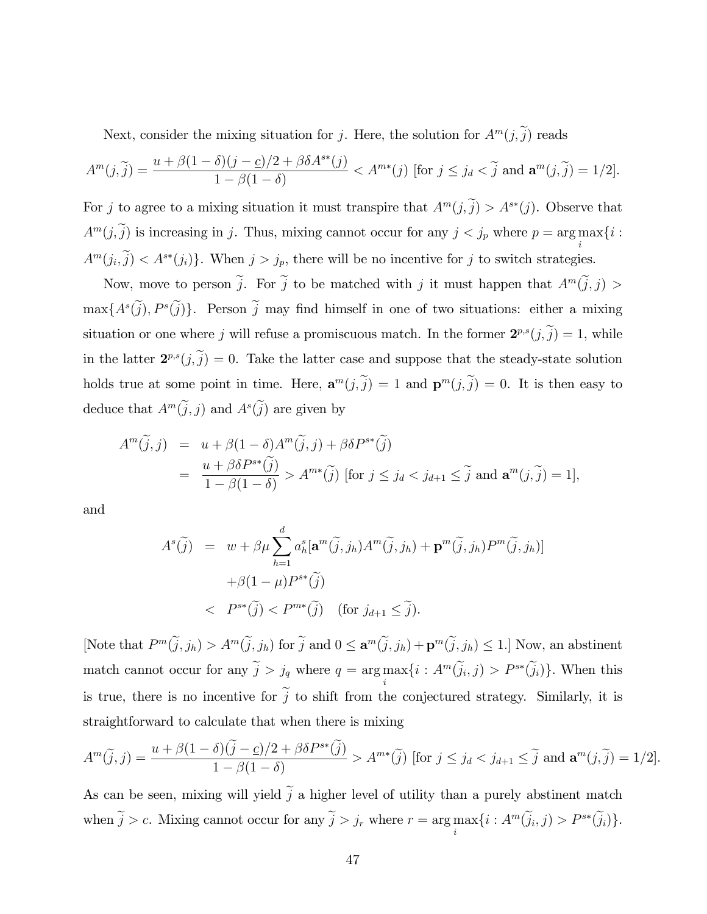Next, consider the mixing situation for j. Here, the solution for  $A^m(j, \tilde{j})$  reads

$$
A^m(j,\widetilde{j}) = \frac{u + \beta(1-\delta)(j-\underline{c})/2 + \beta\delta A^{s*}(j)}{1-\beta(1-\delta)} < A^{m*}(j) \text{ [for } j \le j_d < \widetilde{j} \text{ and } \mathbf{a}^m(j,\widetilde{j}) = 1/2].
$$

For j to agree to a mixing situation it must transpire that  $A^m(j, \tilde{j}) > A^{s*}(j)$ . Observe that  $A^m(j, \tilde{j})$  is increasing in j. Thus, mixing cannot occur for any  $j < j_p$  where  $p = \arg \max_{j} \{i :$ i  $A^m(j_i, j) < A^{s*}(j_i)$ . When  $j > j_p$ , there will be no incentive for j to switch strategies.

Now, move to person  $\tilde{j}$ . For  $\tilde{j}$  to be matched with j it must happen that  $A^m(\tilde{j},j)$  $\max\{A^s(j), P^s(j)\}\.$  Person j may find himself in one of two situations: either a mixing situation or one where j will refuse a promiscuous match. In the former  $2^{p,s}(j,\tilde{j}) = 1$ , while in the latter  $2^{p,s}(j,\tilde{j})=0$ . Take the latter case and suppose that the steady-state solution holds true at some point in time. Here,  $\mathbf{a}^m(j, j) = 1$  and  $\mathbf{p}^m(j, j) = 0$ . It is then easy to deduce that  $A^m(j, j)$  and  $A^s(j)$  are given by

$$
A^{m}(\tilde{j},j) = u + \beta(1-\delta)A^{m}(\tilde{j},j) + \beta\delta P^{s*}(\tilde{j})
$$
  
= 
$$
\frac{u + \beta\delta P^{s*}(\tilde{j})}{1 - \beta(1-\delta)} > A^{m*}(\tilde{j}) \text{ [for } j \leq j_d < j_{d+1} \leq \tilde{j} \text{ and } \mathbf{a}^{m}(j,\tilde{j}) = 1],
$$

and

$$
A^{s}(\widetilde{j}) = w + \beta \mu \sum_{h=1}^{d} a_{h}^{s} [\mathbf{a}^{m}(\widetilde{j}, j_{h}) A^{m}(\widetilde{j}, j_{h}) + \mathbf{p}^{m}(\widetilde{j}, j_{h}) P^{m}(\widetilde{j}, j_{h})]
$$

$$
+ \beta (1 - \mu) P^{s*}(\widetilde{j})
$$

$$
< P^{s*}(\widetilde{j}) < P^{m*}(\widetilde{j}) \quad \text{(for } j_{d+1} \le \widetilde{j}\text{)}.
$$

[Note that  $P^m(j, j_h) > A^m(j, j_h)$  for  $j$  and  $0 \leq \mathbf{a}^m(j, j_h) + \mathbf{p}^m(j, j_h) \leq 1$ .] Now, an abstinent match cannot occur for any  $\tilde{j} > j_q$  where  $q = \arg \max_i \{i : A^m(\tilde{j}_i, j) > P^{s*}(\tilde{j}_i)\}\.$  When this is true, there is no incentive for  $\tilde{j}$  to shift from the conjectured strategy. Similarly, it is straightforward to calculate that when there is mixing

$$
A^m(\widetilde{j},j) = \frac{u + \beta(1-\delta)(\widetilde{j}-\underline{c})/2 + \beta\delta P^{s*}(\widetilde{j})}{1-\beta(1-\delta)} > A^{m*}(\widetilde{j}) \text{ [for } j \le j_d < j_{d+1} \le \widetilde{j} \text{ and } \mathbf{a}^m(j,\widetilde{j}) = 1/2].
$$

As can be seen, mixing will yield  $\tilde{j}$  a higher level of utility than a purely abstinent match when  $\tilde{j} > c$ . Mixing cannot occur for any  $\tilde{j} > j_r$  where  $r = \arg \max_i \{i : A^m(\tilde{j}_i, j) > P^{s*}(\tilde{j}_i)\}.$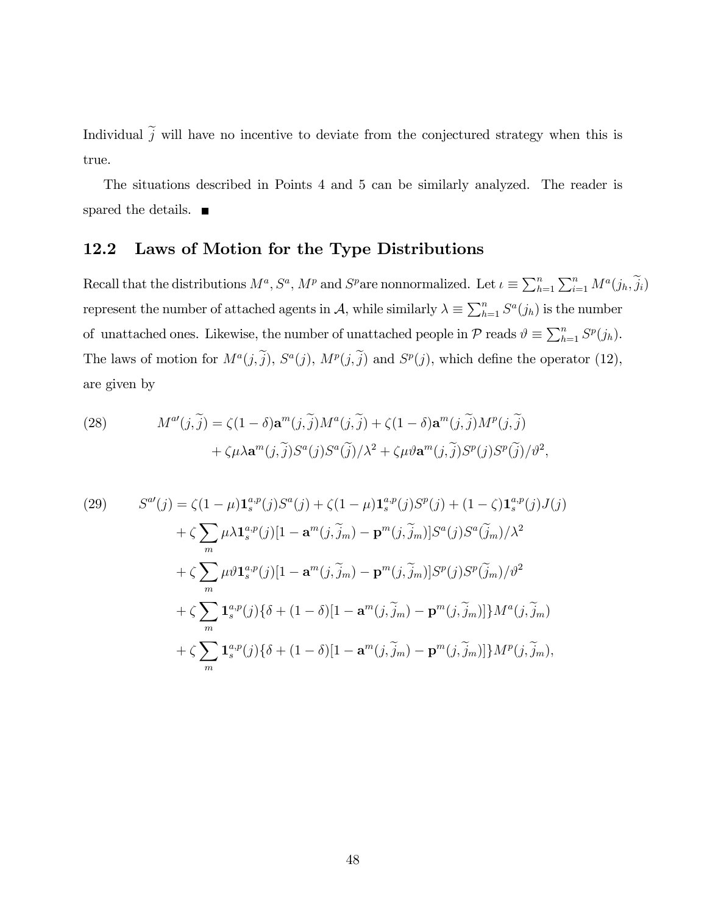Individual  $\tilde{j}$  will have no incentive to deviate from the conjectured strategy when this is true.

The situations described in Points 4 and 5 can be similarly analyzed. The reader is spared the details.  $\blacksquare$ 

# 12.2 Laws of Motion for the Type Distributions

Recall that the distributions  $M^a$ ,  $S^a$ ,  $M^p$  and  $S^p$  are nonnormalized. Let  $\iota \equiv \sum_{h=1}^n \sum_{i=1}^n M^a(j_h, \tilde{j}_i)$ represent the number of attached agents in A, while similarly  $\lambda \equiv \sum_{h=1}^{n} S^{a}(j_{h})$  is the number of unattached ones. Likewise, the number of unattached people in  $P$  reads  $\vartheta \equiv \sum_{h=1}^{n} S^{p}(j_{h}).$ The laws of motion for  $M^a(j, j)$ ,  $S^a(j)$ ,  $M^p(j, j)$  and  $S^p(j)$ , which define the operator (12), are given by

(28) 
$$
M^{a'}(j,\tilde{j}) = \zeta(1-\delta)\mathbf{a}^{m}(j,\tilde{j})M^{a}(j,\tilde{j}) + \zeta(1-\delta)\mathbf{a}^{m}(j,\tilde{j})M^{p}(j,\tilde{j}) + \zeta\mu\lambda\mathbf{a}^{m}(j,\tilde{j})S^{a}(j)S^{a}(\tilde{j})/\lambda^{2} + \zeta\mu\vartheta\mathbf{a}^{m}(j,\tilde{j})S^{p}(j)S^{p}(\tilde{j})/\vartheta^{2},
$$

(29) 
$$
S^{a'}(j) = \zeta(1-\mu)\mathbf{1}_{s}^{a,p}(j)S^{a}(j) + \zeta(1-\mu)\mathbf{1}_{s}^{a,p}(j)S^{p}(j) + (1-\zeta)\mathbf{1}_{s}^{a,p}(j)J(j) + \zeta \sum_{m} \mu \lambda \mathbf{1}_{s}^{a,p}(j)[1-\mathbf{a}^{m}(j,\widetilde{j}_{m})-\mathbf{p}^{m}(j,\widetilde{j}_{m})]S^{a}(j)S^{a}(\widetilde{j}_{m})/\lambda^{2} + \zeta \sum_{m} \mu \vartheta \mathbf{1}_{s}^{a,p}(j)[1-\mathbf{a}^{m}(j,\widetilde{j}_{m})-\mathbf{p}^{m}(j,\widetilde{j}_{m})]S^{p}(j)S^{p}(\widetilde{j}_{m})/\vartheta^{2} + \zeta \sum_{m} \mathbf{1}_{s}^{a,p}(j)\{\delta + (1-\delta)[1-\mathbf{a}^{m}(j,\widetilde{j}_{m})-\mathbf{p}^{m}(j,\widetilde{j}_{m})]\}M^{a}(j,\widetilde{j}_{m}) + \zeta \sum_{m} \mathbf{1}_{s}^{a,p}(j)\{\delta + (1-\delta)[1-\mathbf{a}^{m}(j,\widetilde{j}_{m})-\mathbf{p}^{m}(j,\widetilde{j}_{m})]\}M^{p}(j,\widetilde{j}_{m}),
$$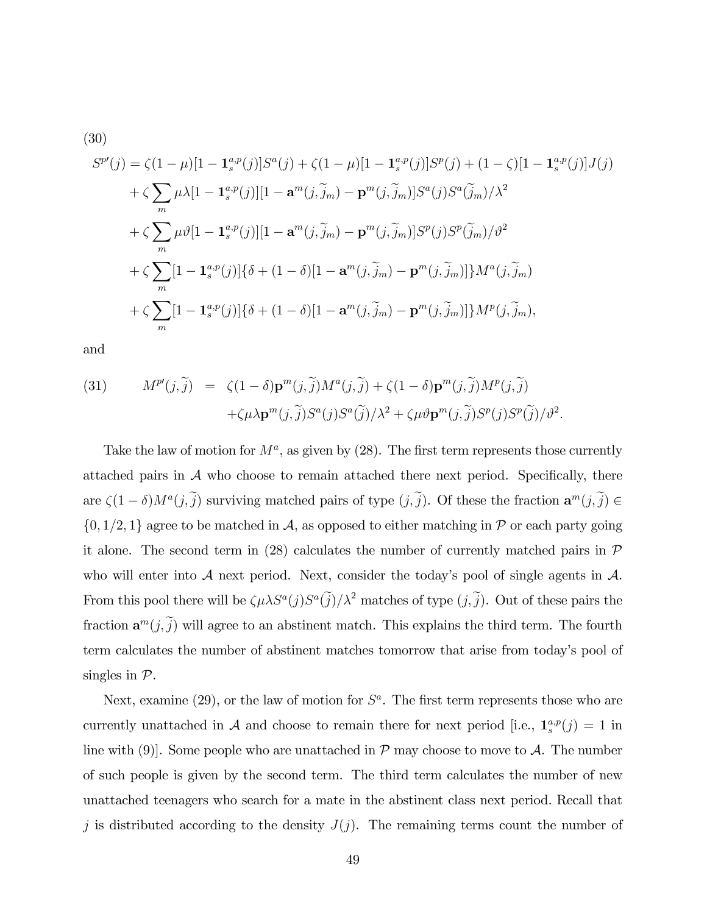(30)  
\n
$$
S^{p'}(j) = \zeta(1-\mu)[1 - \mathbf{1}_{s}^{a,p}(j)]S^{a}(j) + \zeta(1-\mu)[1 - \mathbf{1}_{s}^{a,p}(j)]S^{p}(j) + (1-\zeta)[1 - \mathbf{1}_{s}^{a,p}(j)]J(j) \n+ \zeta \sum_{m} \mu \lambda[1 - \mathbf{1}_{s}^{a,p}(j)][1 - \mathbf{a}^{m}(j,\tilde{j}_{m}) - \mathbf{p}^{m}(j,\tilde{j}_{m})]S^{a}(j)S^{a}(\tilde{j}_{m})/\lambda^{2} \n+ \zeta \sum_{m} \mu \vartheta[1 - \mathbf{1}_{s}^{a,p}(j)][1 - \mathbf{a}^{m}(j,\tilde{j}_{m}) - \mathbf{p}^{m}(j,\tilde{j}_{m})]S^{p}(j)S^{p}(\tilde{j}_{m})/\vartheta^{2} \n+ \zeta \sum_{m}[1 - \mathbf{1}_{s}^{a,p}(j)]\{\delta + (1-\delta)[1 - \mathbf{a}^{m}(j,\tilde{j}_{m}) - \mathbf{p}^{m}(j,\tilde{j}_{m})]\}M^{a}(j,\tilde{j}_{m}) \n+ \zeta \sum_{m}[1 - \mathbf{1}_{s}^{a,p}(j)]\{\delta + (1-\delta)[1 - \mathbf{a}^{m}(j,\tilde{j}_{m}) - \mathbf{p}^{m}(j,\tilde{j}_{m})]\}M^{p}(j,\tilde{j}_{m}),
$$

and

(31) 
$$
M^{p}(j,\tilde{j}) = \zeta(1-\delta)\mathbf{p}^{m}(j,\tilde{j})M^{a}(j,\tilde{j}) + \zeta(1-\delta)\mathbf{p}^{m}(j,\tilde{j})M^{p}(j,\tilde{j}) + \zeta\mu\lambda\mathbf{p}^{m}(j,\tilde{j})S^{a}(j)S^{a}(\tilde{j})/\lambda^{2} + \zeta\mu\vartheta\mathbf{p}^{m}(j,\tilde{j})S^{p}(j)S^{p}(\tilde{j})/\vartheta^{2}.
$$

Take the law of motion for  $M^a$ , as given by  $(28)$ . The first term represents those currently attached pairs in  $A$  who choose to remain attached there next period. Specifically, there are  $\zeta(1-\delta)M^a(j,\tilde{j})$  surviving matched pairs of type  $(j,\tilde{j})$ . Of these the fraction  $\mathbf{a}^m(j,\tilde{j}) \in$  $\{0, 1/2, 1\}$  agree to be matched in A, as opposed to either matching in P or each party going it alone. The second term in (28) calculates the number of currently matched pairs in  $\mathcal P$ who will enter into  $A$  next period. Next, consider the today's pool of single agents in  $A$ . From this pool there will be  $\zeta \mu \lambda S^a(j) S^a(\tilde{j})/\lambda^2$  matches of type  $(j,\tilde{j})$ . Out of these pairs the fraction  $\mathbf{a}^m(j,\tilde{j})$  will agree to an abstinent match. This explains the third term. The fourth term calculates the number of abstinent matches tomorrow that arise from todayís pool of singles in  $\mathcal{P}$ .

Next, examine  $(29)$ , or the law of motion for  $S^a$ . The first term represents those who are currently unattached in A and choose to remain there for next period [i.e.,  $\mathbf{1}_{s}^{a,p}(j) = 1$  in line with (9). Some people who are unattached in  $\mathcal P$  may choose to move to  $\mathcal A$ . The number of such people is given by the second term. The third term calculates the number of new unattached teenagers who search for a mate in the abstinent class next period. Recall that j is distributed according to the density  $J(j)$ . The remaining terms count the number of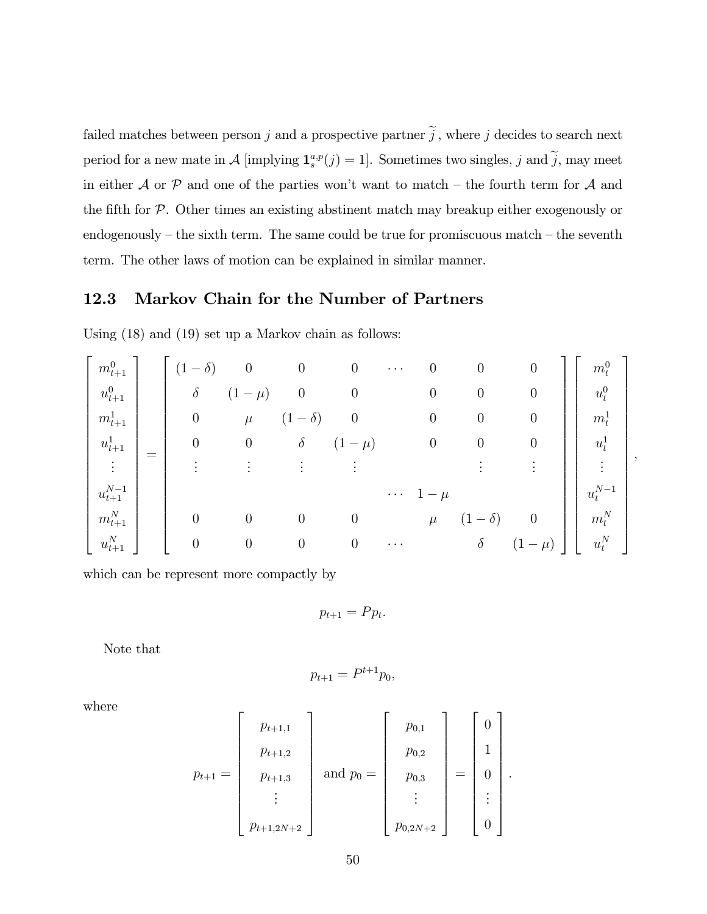failed matches between person j and a prospective partner  $\tilde{j}$ , where j decides to search next period for a new mate in  $\mathcal{A}$  [implying  $\mathbf{1}_{s}^{a,p}(j) = 1$ ]. Sometimes two singles, j and j, may meet in either  $A$  or  $P$  and one of the parties won't want to match – the fourth term for  $A$  and the fifth for  $P$ . Other times an existing abstinent match may breakup either exogenously or endogenously  $-$  the sixth term. The same could be true for promiscuous match  $-$  the seventh term. The other laws of motion can be explained in similar manner.

### 12.3 Markov Chain for the Number of Partners

Using (18) and (19) set up a Markov chain as follows:

| $m_{t+1}^0$     |     | $\delta$ )<br>$\qquad \qquad -$ |                  | $\overline{0}$                 | $\boldsymbol{0}$ | $\cdots$ | $\boldsymbol{0}$ | $\boldsymbol{0}$ | 0                                   | $m_t^0$              |  |
|-----------------|-----|---------------------------------|------------------|--------------------------------|------------------|----------|------------------|------------------|-------------------------------------|----------------------|--|
| $u_{t+1}^0$     |     | $\delta$                        | $\mu$ )          | $\overline{0}$                 | $\boldsymbol{0}$ |          | $\boldsymbol{0}$ | 0                | $\overline{0}$                      | $u_t^0$              |  |
| $m_{t+1}$       |     | $\theta$                        | $\mu$            | $\delta)$<br>$\qquad \qquad -$ | $\boldsymbol{0}$ |          | $\boldsymbol{0}$ | 0                | 0                                   | $m_t^1$              |  |
| $u_{t+1}$       | $=$ | $\theta$                        | 0                | $\delta$                       | $(1 - \mu)$      |          | $\boldsymbol{0}$ | U                | $\boldsymbol{0}$                    | $u_t^{\perp}$        |  |
|                 |     |                                 |                  |                                |                  |          |                  |                  |                                     |                      |  |
| $u_{t+1}^{N-1}$ |     |                                 |                  |                                |                  | $\cdots$ |                  |                  |                                     | $u_t^{N-1}$          |  |
| $m_{t+1}^N$     |     | $\overline{0}$                  | $\boldsymbol{0}$ | $\overline{0}$                 | $\boldsymbol{0}$ |          | $\mu$            | $\partial$<br>—  |                                     | $m_t^N$              |  |
| $u_{t+1}^N$     |     | $\theta$                        | 0                | $\overline{0}$                 | $\boldsymbol{0}$ | $\cdots$ |                  | $\delta$         | $\mu$ )<br>$\overline{\phantom{m}}$ | $\boldsymbol{u}^N_t$ |  |

which can be represent more compactly by

$$
p_{t+1} = P p_t.
$$

Note that

$$
p_{t+1} = P^{t+1} p_0,
$$

where

$$
p_{t+1} = \begin{bmatrix} p_{t+1,1} \\ p_{t+1,2} \\ p_{t+1,3} \\ \vdots \\ p_{t+1,2N+2} \end{bmatrix} \text{ and } p_0 = \begin{bmatrix} p_{0,1} \\ p_{0,2} \\ p_{0,3} \\ \vdots \\ p_{0,2N+2} \end{bmatrix} = \begin{bmatrix} 0 \\ 1 \\ 0 \\ \vdots \\ 0 \end{bmatrix}
$$

: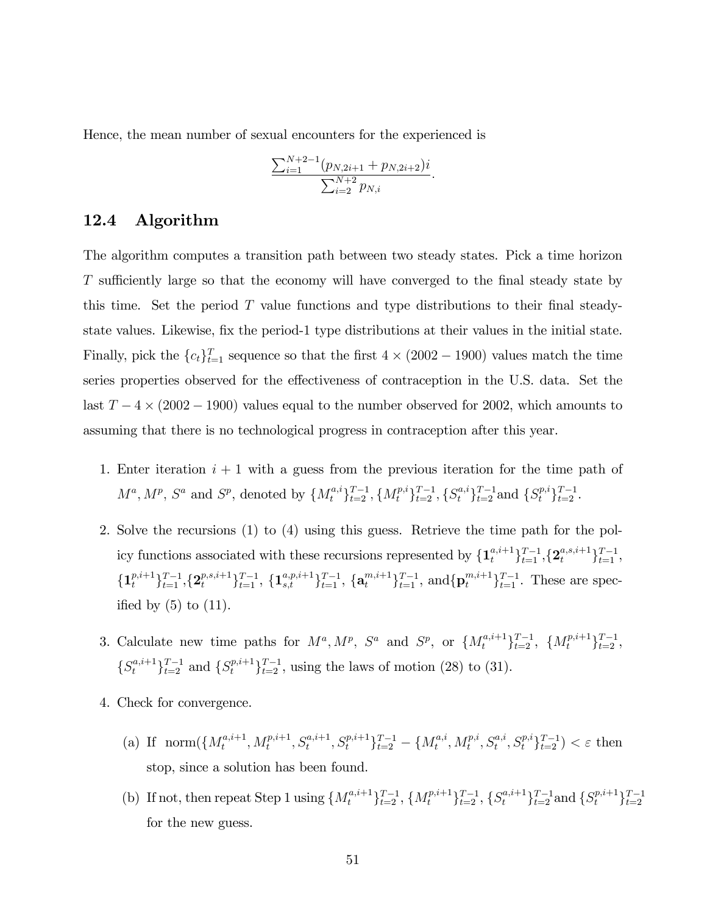Hence, the mean number of sexual encounters for the experienced is

$$
\frac{\sum_{i=1}^{N+2-1} (p_{N,2i+1} + p_{N,2i+2})i}{\sum_{i=2}^{N+2} p_{N,i}}.
$$

#### 12.4 Algorithm

The algorithm computes a transition path between two steady states. Pick a time horizon T sufficiently large so that the economy will have converged to the final steady state by this time. Set the period  $T$  value functions and type distributions to their final steadystate values. Likewise, fix the period-1 type distributions at their values in the initial state. Finally, pick the  ${c_t}_{t=1}^T$  sequence so that the first  $4 \times (2002 - 1900)$  values match the time series properties observed for the effectiveness of contraception in the U.S. data. Set the last  $T - 4 \times (2002 - 1900)$  values equal to the number observed for 2002, which amounts to assuming that there is no technological progress in contraception after this year.

- 1. Enter iteration  $i + 1$  with a guess from the previous iteration for the time path of  $M^a, M^p, S^a$  and  $S^p$ , denoted by  $\{M_t^{a,i}\}_{t=2}^{T-1}, \{M_t^{p,i}\}_{t=2}^{T-1}, \{S_t^{a,i}\}_{t=2}^{T-1}$  and  $\{S_t^{p,i}\}_{t=2}^{T-1}$ .
- 2. Solve the recursions (1) to (4) using this guess. Retrieve the time path for the policy functions associated with these recursions represented by  $\{\mathbf{1}_{t}^{a,i+1}\}_{t=1}^{T-1}, \{\mathbf{2}_{t}^{a,s,i+1}\}_{t=1}^{T-1},$  $\{\mathbf{1}_{t}^{p,i+1}\}_{t=1}^{T-1},\{\mathbf{2}_{t}^{p,s,i+1}\}_{t=1}^{T-1},\{\mathbf{1}_{s,t}^{a,p,i+1}\}_{t=1}^{T-1},\{\mathbf{a}_{t}^{m,i+1}\}_{t=1}^{T-1},\text{ and }\{\mathbf{p}_{t}^{m,i+1}\}_{t=1}^{T-1}.$  These are specified by  $(5)$  to  $(11)$ .
- 3. Calculate new time paths for  $M^a, M^p, S^a$  and  $S^p$ , or  $\{M_t^{a,i+1}\}_{t=2}^{T-1}, \{M_t^{p,i+1}\}_{t=2}^{T-1},$  $\{S_t^{a,i+1}\}_{t=2}^{T-1}$  and  $\{S_t^{p,i+1}\}_{t=2}^{T-1}$ , using the laws of motion (28) to (31).
- 4. Check for convergence.
	- (a) If  $\operatorname{norm}(\lbrace M_t^{a,i+1} \rbrace)$  $\{x_t^{a,i+1}, M_t^{p,i+1}, S_t^{a,i+1}, S_t^{p,i+1}\}_{t=2}^{T-1} - \{M_t^{a,i}\}$  $\{x_t^{a,i}, M_t^{p,i}, S_t^{a,i}, S_t^{p,i} \}_{t=2}^{T-1}$   $< \varepsilon$  then stop, since a solution has been found.
	- (b) If not, then repeat Step 1 using  $\{M_t^{a,i+1}\}_{t=2}^{T-1}$ ,  $\{M_t^{p,i+1}\}_{t=2}^{T-1}$ ,  $\{S_t^{a,i+1}\}_{t=2}^{T-1}$  and  $\{S_t^{p,i+1}\}_{t=2}^{T-1}$ for the new guess.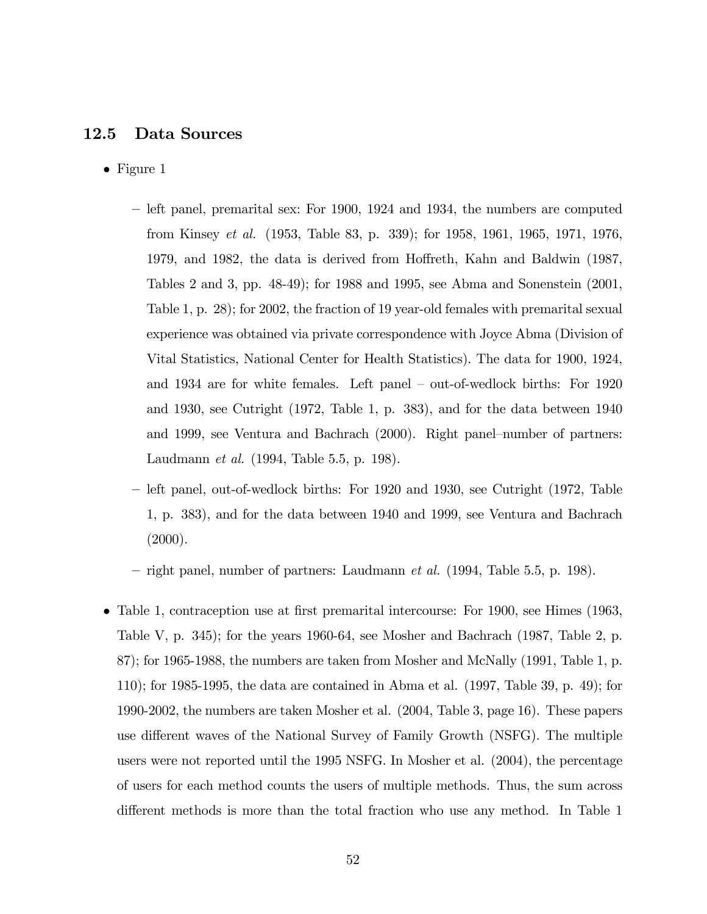#### 12.5 Data Sources

- Figure 1
	- $-$  left panel, premarital sex: For 1900, 1924 and 1934, the numbers are computed from Kinsey et al. (1953, Table 83, p. 339); for 1958, 1961, 1965, 1971, 1976, 1979, and 1982, the data is derived from Hoffreth, Kahn and Baldwin (1987, Tables 2 and 3, pp. 48-49); for 1988 and 1995, see Abma and Sonenstein (2001, Table 1, p. 28); for 2002, the fraction of 19 year-old females with premarital sexual experience was obtained via private correspondence with Joyce Abma (Division of Vital Statistics, National Center for Health Statistics). The data for 1900, 1924, and 1934 are for white females. Left panel  $-$  out-of-wedlock births: For 1920 and 1930, see Cutright (1972, Table 1, p. 383), and for the data between 1940 and 1999, see Ventura and Bachrach  $(2000)$ . Right panel-number of partners: Laudmann et al. (1994, Table 5.5, p. 198).
	- left panel, out-of-wedlock births: For 1920 and 1930, see Cutright (1972, Table 1, p. 383), and for the data between 1940 and 1999, see Ventura and Bachrach  $(2000).$

 $r =$  right panel, number of partners: Laudmann *et al.* (1994, Table 5.5, p. 198).

 $\bullet$  Table 1, contraception use at first premarital intercourse: For 1900, see Himes (1963, Table V, p. 345); for the years 1960-64, see Mosher and Bachrach (1987, Table 2, p. 87); for 1965-1988, the numbers are taken from Mosher and McNally (1991, Table 1, p. 110); for 1985-1995, the data are contained in Abma et al. (1997, Table 39, p. 49); for 1990-2002, the numbers are taken Mosher et al. (2004, Table 3, page 16). These papers use different waves of the National Survey of Family Growth (NSFG). The multiple users were not reported until the 1995 NSFG. In Mosher et al. (2004), the percentage of users for each method counts the users of multiple methods. Thus, the sum across different methods is more than the total fraction who use any method. In Table 1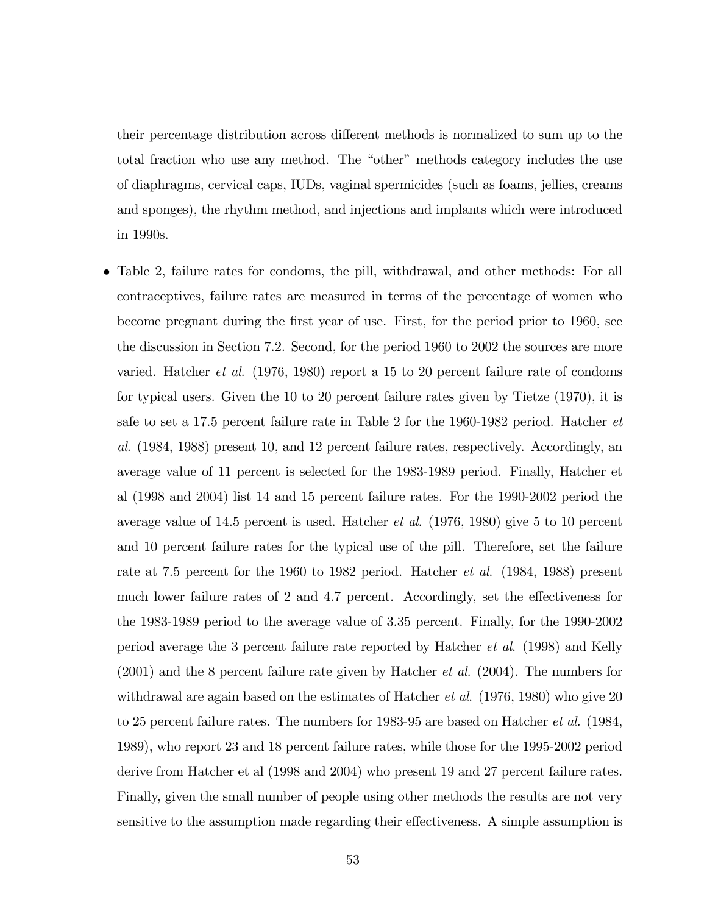their percentage distribution across different methods is normalized to sum up to the total fraction who use any method. The "other" methods category includes the use of diaphragms, cervical caps, IUDs, vaginal spermicides (such as foams, jellies, creams and sponges), the rhythm method, and injections and implants which were introduced in 1990s.

 Table 2, failure rates for condoms, the pill, withdrawal, and other methods: For all contraceptives, failure rates are measured in terms of the percentage of women who become pregnant during the Örst year of use. First, for the period prior to 1960, see the discussion in Section 7.2. Second, for the period 1960 to 2002 the sources are more varied. Hatcher et al. (1976, 1980) report a 15 to 20 percent failure rate of condoms for typical users. Given the 10 to 20 percent failure rates given by Tietze (1970), it is safe to set a 17.5 percent failure rate in Table 2 for the 1960-1982 period. Hatcher et al. (1984, 1988) present 10, and 12 percent failure rates, respectively. Accordingly, an average value of 11 percent is selected for the 1983-1989 period. Finally, Hatcher et al (1998 and 2004) list 14 and 15 percent failure rates. For the 1990-2002 period the average value of 14.5 percent is used. Hatcher et al. (1976, 1980) give 5 to 10 percent and 10 percent failure rates for the typical use of the pill. Therefore, set the failure rate at 7.5 percent for the 1960 to 1982 period. Hatcher et al. (1984, 1988) present much lower failure rates of  $2$  and  $4.7$  percent. Accordingly, set the effectiveness for the 1983-1989 period to the average value of 3.35 percent. Finally, for the 1990-2002 period average the 3 percent failure rate reported by Hatcher et al. (1998) and Kelly  $(2001)$  and the 8 percent failure rate given by Hatcher *et al.*  $(2004)$ . The numbers for withdrawal are again based on the estimates of Hatcher *et al.*  $(1976, 1980)$  who give 20 to 25 percent failure rates. The numbers for 1983-95 are based on Hatcher et al. (1984, 1989), who report 23 and 18 percent failure rates, while those for the 1995-2002 period derive from Hatcher et al (1998 and 2004) who present 19 and 27 percent failure rates. Finally, given the small number of people using other methods the results are not very sensitive to the assumption made regarding their effectiveness. A simple assumption is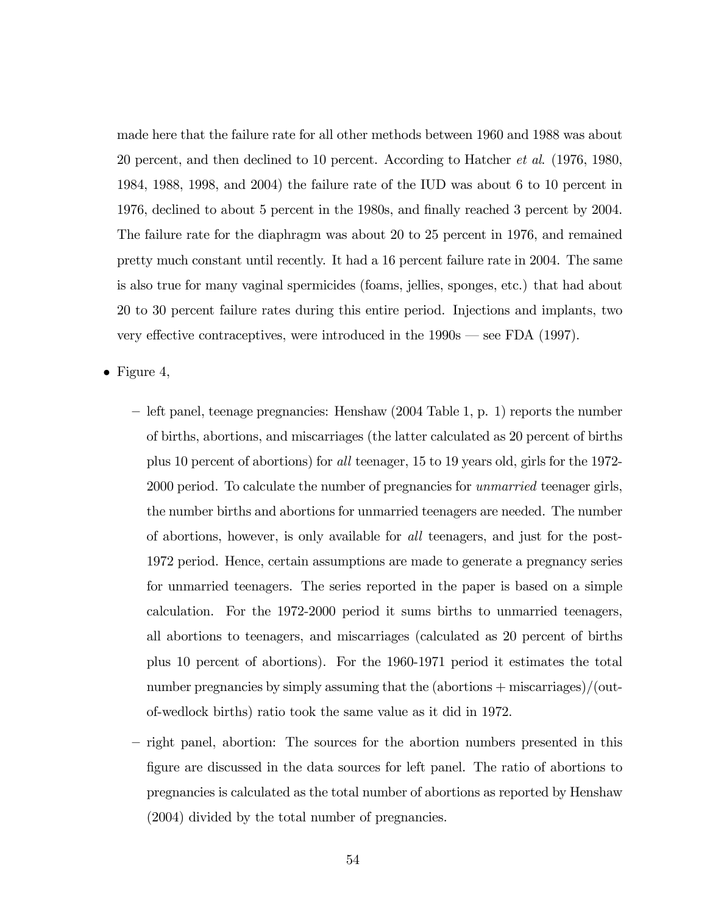made here that the failure rate for all other methods between 1960 and 1988 was about 20 percent, and then declined to 10 percent. According to Hatcher et al. (1976, 1980, 1984, 1988, 1998, and 2004) the failure rate of the IUD was about 6 to 10 percent in 1976, declined to about 5 percent in the 1980s, and finally reached 3 percent by 2004. The failure rate for the diaphragm was about 20 to 25 percent in 1976, and remained pretty much constant until recently. It had a 16 percent failure rate in 2004. The same is also true for many vaginal spermicides (foams, jellies, sponges, etc.) that had about 20 to 30 percent failure rates during this entire period. Injections and implants, two very effective contraceptives, were introduced in the  $1990s$  – see FDA (1997).

• Figure 4,

- $-$  left panel, teenage pregnancies: Henshaw (2004 Table 1, p. 1) reports the number of births, abortions, and miscarriages (the latter calculated as 20 percent of births plus 10 percent of abortions) for all teenager, 15 to 19 years old, girls for the 1972- 2000 period. To calculate the number of pregnancies for *unmarried* teenager girls, the number births and abortions for unmarried teenagers are needed. The number of abortions, however, is only available for all teenagers, and just for the post-1972 period. Hence, certain assumptions are made to generate a pregnancy series for unmarried teenagers. The series reported in the paper is based on a simple calculation. For the 1972-2000 period it sums births to unmarried teenagers, all abortions to teenagers, and miscarriages (calculated as 20 percent of births plus 10 percent of abortions). For the 1960-1971 period it estimates the total number pregnancies by simply assuming that the (abortions + miscarriages)/(outof-wedlock births) ratio took the same value as it did in 1972.
- right panel, abortion: The sources for the abortion numbers presented in this Ögure are discussed in the data sources for left panel. The ratio of abortions to pregnancies is calculated as the total number of abortions as reported by Henshaw (2004) divided by the total number of pregnancies.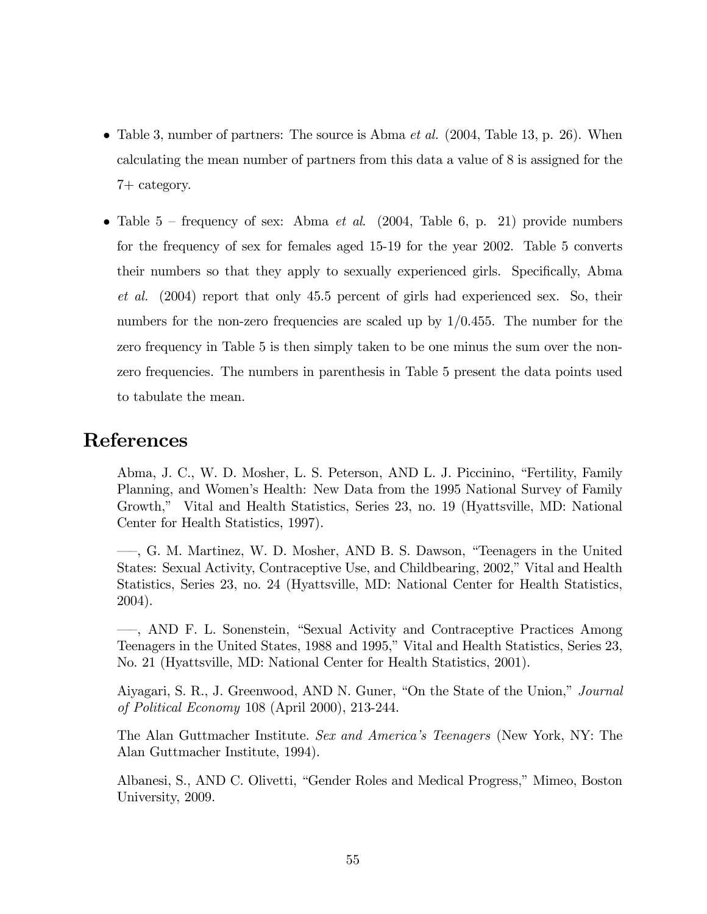- Table 3, number of partners: The source is Abma  $et al.$  (2004, Table 13, p. 26). When calculating the mean number of partners from this data a value of 8 is assigned for the 7+ category.
- Table  $5$  frequency of sex: Abma *et al.* (2004, Table 6, p. 21) provide numbers for the frequency of sex for females aged 15-19 for the year 2002. Table 5 converts their numbers so that they apply to sexually experienced girls. Specifically, Abma et al. (2004) report that only 45.5 percent of girls had experienced sex. So, their numbers for the non-zero frequencies are scaled up by  $1/0.455$ . The number for the zero frequency in Table 5 is then simply taken to be one minus the sum over the nonzero frequencies. The numbers in parenthesis in Table 5 present the data points used to tabulate the mean.

## References

Abma, J. C., W. D. Mosher, L. S. Peterson, AND L. J. Piccinino, "Fertility, Family Planning, and Womenís Health: New Data from the 1995 National Survey of Family Growth," Vital and Health Statistics, Series 23, no. 19 (Hyattsville, MD: National Center for Health Statistics, 1997).

 $\rightarrow$ , G. M. Martinez, W. D. Mosher, AND B. S. Dawson, "Teenagers in the United States: Sexual Activity, Contraceptive Use, and Childbearing, 2002," Vital and Health Statistics, Series 23, no. 24 (Hyattsville, MD: National Center for Health Statistics, 2004).

 $\longrightarrow$ , AND F. L. Sonenstein, "Sexual Activity and Contraceptive Practices Among Teenagers in the United States, 1988 and 1995," Vital and Health Statistics, Series 23, No. 21 (Hyattsville, MD: National Center for Health Statistics, 2001).

Aiyagari, S. R., J. Greenwood, AND N. Guner, "On the State of the Union," Journal of Political Economy 108 (April 2000), 213-244.

The Alan Guttmacher Institute. Sex and Americaís Teenagers (New York, NY: The Alan Guttmacher Institute, 1994).

Albanesi, S., AND C. Olivetti, "Gender Roles and Medical Progress," Mimeo, Boston University, 2009.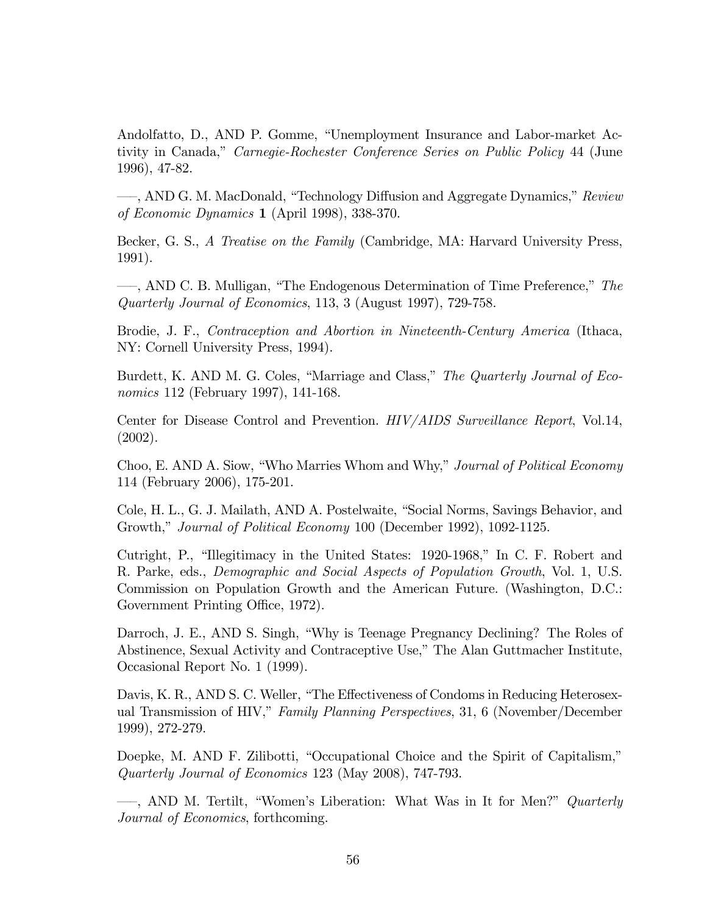Andolfatto, D., AND P. Gomme, "Unemployment Insurance and Labor-market Activity in Canada," Carnegie-Rochester Conference Series on Public Policy 44 (June 1996), 47-82.

<sub>d</sub>, AND G. M. MacDonald, "Technology Diffusion and Aggregate Dynamics," Review of Economic Dynamics 1 (April 1998), 338-370.

Becker, G. S., A Treatise on the Family (Cambridge, MA: Harvard University Press, 1991).

 $\longrightarrow$ , AND C. B. Mulligan, "The Endogenous Determination of Time Preference," The Quarterly Journal of Economics, 113, 3 (August 1997), 729-758.

Brodie, J. F., Contraception and Abortion in Nineteenth-Century America (Ithaca, NY: Cornell University Press, 1994).

Burdett, K. AND M. G. Coles, "Marriage and Class," The Quarterly Journal of Economics 112 (February 1997), 141-168.

Center for Disease Control and Prevention. HIV/AIDS Surveillance Report, Vol.14, (2002).

Choo, E. AND A. Siow, "Who Marries Whom and Why," Journal of Political Economy 114 (February 2006), 175-201.

Cole, H. L., G. J. Mailath, AND A. Postelwaite, "Social Norms, Savings Behavior, and Growth," Journal of Political Economy 100 (December 1992), 1092-1125.

Cutright, P., "Illegitimacy in the United States: 1920-1968," In C. F. Robert and R. Parke, eds., Demographic and Social Aspects of Population Growth, Vol. 1, U.S. Commission on Population Growth and the American Future. (Washington, D.C.: Government Printing Office, 1972).

Darroch, J. E., AND S. Singh, "Why is Teenage Pregnancy Declining? The Roles of Abstinence, Sexual Activity and Contraceptive Use," The Alan Guttmacher Institute, Occasional Report No. 1 (1999).

Davis, K. R., AND S. C. Weller, "The Effectiveness of Condoms in Reducing Heterosexual Transmission of HIV," Family Planning Perspectives, 31, 6 (November/December 1999), 272-279.

Doepke, M. AND F. Zilibotti, "Occupational Choice and the Spirit of Capitalism," Quarterly Journal of Economics 123 (May 2008), 747-793.

 $\sim$ , AND M. Tertilt, "Women's Liberation: What Was in It for Men?" Quarterly Journal of Economics, forthcoming.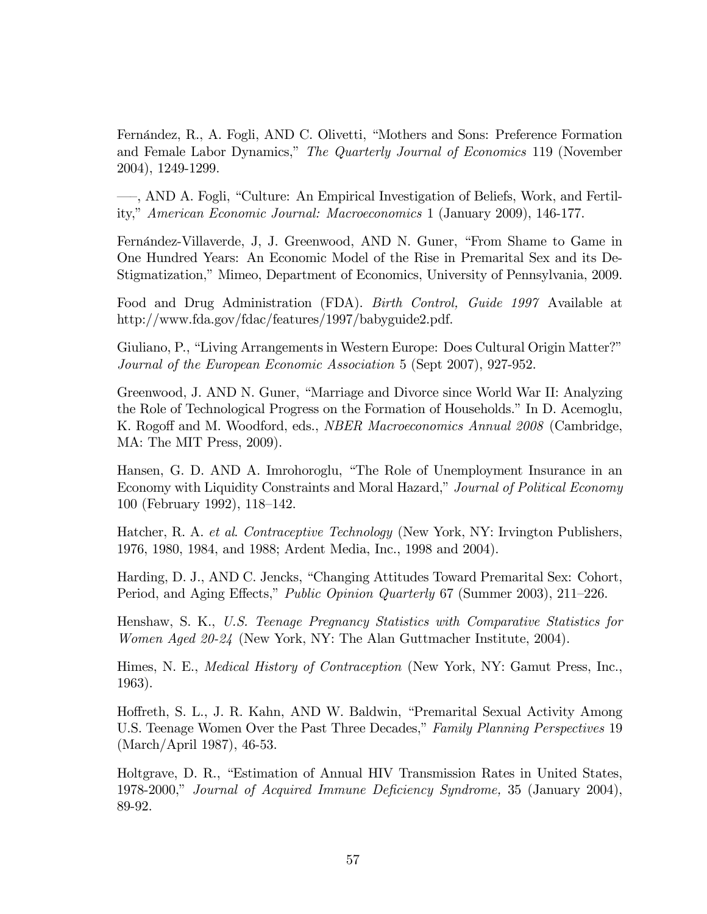Fernández, R., A. Fogli, AND C. Olivetti, "Mothers and Sons: Preference Formation and Female Labor Dynamics," The Quarterly Journal of Economics 119 (November 2004), 1249-1299.

 $-$ , AND A. Fogli, "Culture: An Empirical Investigation of Beliefs, Work, and Fertility," American Economic Journal: Macroeconomics 1 (January 2009), 146-177.

Fernández-Villaverde, J. J. Greenwood, AND N. Guner, "From Shame to Game in One Hundred Years: An Economic Model of the Rise in Premarital Sex and its De-Stigmatization," Mimeo, Department of Economics, University of Pennsylvania, 2009.

Food and Drug Administration (FDA). Birth Control, Guide 1997 Available at http://www.fda.gov/fdac/features/1997/babyguide2.pdf.

Giuliano, P., "Living Arrangements in Western Europe: Does Cultural Origin Matter?" Journal of the European Economic Association 5 (Sept 2007), 927-952.

Greenwood, J. AND N. Guner, "Marriage and Divorce since World War II: Analyzing the Role of Technological Progress on the Formation of Households." In D. Acemoglu, K. Rogoff and M. Woodford, eds., *NBER Macroeconomics Annual 2008* (Cambridge, MA: The MIT Press, 2009).

Hansen, G. D. AND A. Imrohoroglu, "The Role of Unemployment Insurance in an Economy with Liquidity Constraints and Moral Hazard," Journal of Political Economy 100 (February 1992), 118–142.

Hatcher, R. A. et al. Contraceptive Technology (New York, NY: Irvington Publishers, 1976, 1980, 1984, and 1988; Ardent Media, Inc., 1998 and 2004).

Harding, D. J., AND C. Jencks, "Changing Attitudes Toward Premarital Sex: Cohort, Period, and Aging Effects," *Public Opinion Quarterly* 67 (Summer 2003), 211–226.

Henshaw, S. K., U.S. Teenage Pregnancy Statistics with Comparative Statistics for Women Aged 20-24 (New York, NY: The Alan Guttmacher Institute, 2004).

Himes, N. E., Medical History of Contraception (New York, NY: Gamut Press, Inc., 1963).

Hoffreth, S. L., J. R. Kahn, AND W. Baldwin, "Premarital Sexual Activity Among U.S. Teenage Women Over the Past Three Decades," Family Planning Perspectives 19 (March/April 1987), 46-53.

Holtgrave, D. R., "Estimation of Annual HIV Transmission Rates in United States, 1978-2000," Journal of Acquired Immune Deficiency Syndrome, 35 (January 2004), 89-92.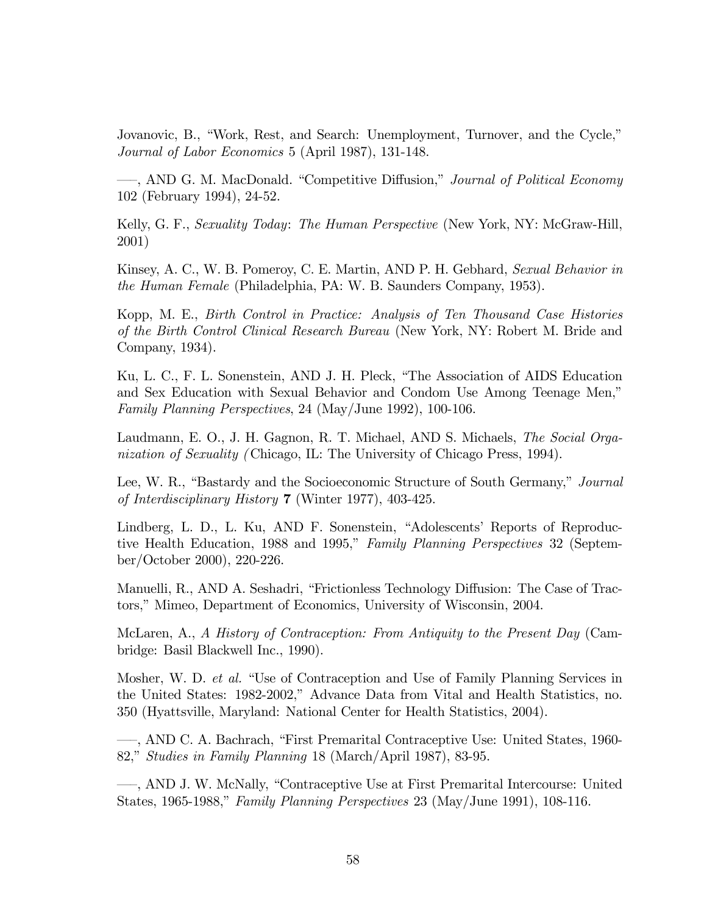Jovanovic, B., "Work, Rest, and Search: Unemployment, Turnover, and the Cycle," Journal of Labor Economics 5 (April 1987), 131-148.

-, AND G. M. MacDonald. "Competitive Diffusion," Journal of Political Economy 102 (February 1994), 24-52.

Kelly, G. F., Sexuality Today: The Human Perspective (New York, NY: McGraw-Hill, 2001)

Kinsey, A. C., W. B. Pomeroy, C. E. Martin, AND P. H. Gebhard, Sexual Behavior in the Human Female (Philadelphia, PA: W. B. Saunders Company, 1953).

Kopp, M. E., Birth Control in Practice: Analysis of Ten Thousand Case Histories of the Birth Control Clinical Research Bureau (New York, NY: Robert M. Bride and Company, 1934).

Ku, L. C., F. L. Sonenstein, AND J. H. Pleck, "The Association of AIDS Education and Sex Education with Sexual Behavior and Condom Use Among Teenage Men," Family Planning Perspectives, 24 (May/June 1992), 100-106.

Laudmann, E. O., J. H. Gagnon, R. T. Michael, AND S. Michaels, The Social Organization of Sexuality (Chicago, IL: The University of Chicago Press, 1994).

Lee, W. R., "Bastardy and the Socioeconomic Structure of South Germany," Journal of Interdisciplinary History 7 (Winter 1977), 403-425.

Lindberg, L. D., L. Ku, AND F. Sonenstein, "Adolescents' Reports of Reproductive Health Education, 1988 and 1995," Family Planning Perspectives 32 (September/October 2000), 220-226.

Manuelli, R., AND A. Seshadri, "Frictionless Technology Diffusion: The Case of Tractors," Mimeo, Department of Economics, University of Wisconsin, 2004.

McLaren, A., A History of Contraception: From Antiquity to the Present Day (Cambridge: Basil Blackwell Inc., 1990).

Mosher, W. D. et al. "Use of Contraception and Use of Family Planning Services in the United States: 1982-2002," Advance Data from Vital and Health Statistics, no. 350 (Hyattsville, Maryland: National Center for Health Statistics, 2004).

<sup>---</sup>, AND C. A. Bachrach, "First Premarital Contraceptive Use: United States, 1960-82," Studies in Family Planning 18 (March/April 1987), 83-95.

<sup>---</sup>, AND J. W. McNally, "Contraceptive Use at First Premarital Intercourse: United States, 1965-1988," Family Planning Perspectives 23 (May/June 1991), 108-116.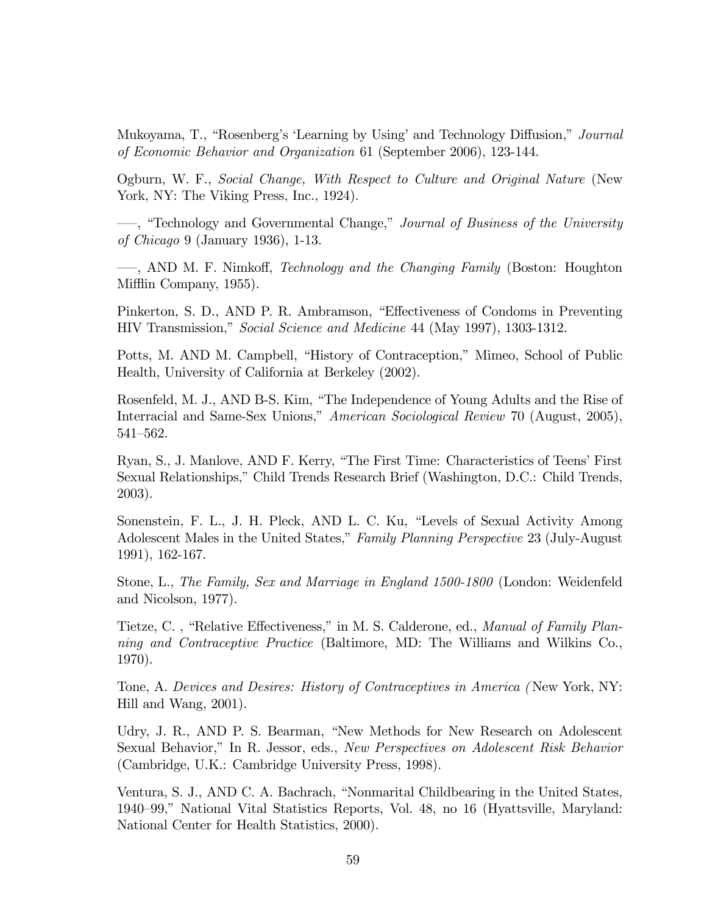Mukoyama, T., "Rosenberg's 'Learning by Using' and Technology Diffusion," Journal of Economic Behavior and Organization 61 (September 2006), 123-144.

Ogburn, W. F., Social Change, With Respect to Culture and Original Nature (New York, NY: The Viking Press, Inc., 1924).

<sup>---</sup>, "Technology and Governmental Change," *Journal of Business of the University* of Chicago 9 (January 1936), 1-13.

<sub>n</sub>, AND M. F. Nimkoff, *Technology and the Changing Family* (Boston: Houghton) Mifflin Company, 1955).

Pinkerton, S. D., AND P. R. Ambramson, "Effectiveness of Condoms in Preventing HIV Transmission," Social Science and Medicine 44 (May 1997), 1303-1312.

Potts, M. AND M. Campbell, "History of Contraception," Mimeo, School of Public Health, University of California at Berkeley (2002).

Rosenfeld, M. J., AND B-S. Kim, "The Independence of Young Adults and the Rise of Interracial and Same-Sex Unions," American Sociological Review 70 (August, 2005),  $541 - 562.$ 

Ryan, S., J. Manlove, AND F. Kerry, "The First Time: Characteristics of Teens' First Sexual Relationships," Child Trends Research Brief (Washington, D.C.: Child Trends, 2003).

Sonenstein, F. L., J. H. Pleck, AND L. C. Ku, "Levels of Sexual Activity Among Adolescent Males in the United States," Family Planning Perspective 23 (July-August 1991), 162-167.

Stone, L., The Family, Sex and Marriage in England 1500-1800 (London: Weidenfeld and Nicolson, 1977).

Tietze, C., "Relative Effectiveness," in M. S. Calderone, ed., *Manual of Family Plan*ning and Contraceptive Practice (Baltimore, MD: The Williams and Wilkins Co., 1970).

Tone, A. Devices and Desires: History of Contraceptives in America ( New York, NY: Hill and Wang, 2001).

Udry, J. R., AND P. S. Bearman, "New Methods for New Research on Adolescent Sexual Behavior," In R. Jessor, eds., New Perspectives on Adolescent Risk Behavior (Cambridge, U.K.: Cambridge University Press, 1998).

Ventura, S. J., AND C. A. Bachrach, "Nonmarital Childbearing in the United States, 1940–99," National Vital Statistics Reports, Vol. 48, no 16 (Hyattsville, Maryland: National Center for Health Statistics, 2000).